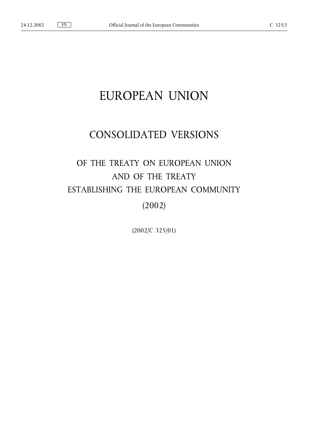# EUROPEAN UNION

# CONSOLIDATED VERSIONS

# OF THE TREATY ON EUROPEAN UNION AND OF THE TREATY ESTABLISHING THE EUROPEAN COMMUNITY (2002)

(2002/C 325/01)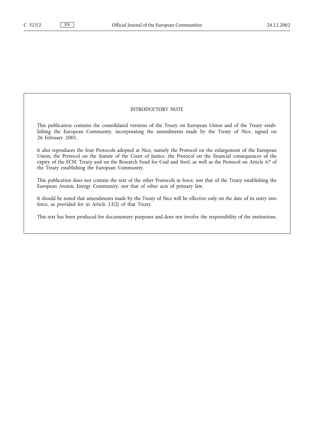#### INTRODUCTORY NOTE

This publication contains the consolidated versions of the Treaty on European Union and of the Treaty establishing the European Community, incorporating the amendments made by the Treaty of Nice, signed on 26 February 2001.

It also reproduces the four Protocols adopted at Nice, namely the Protocol on the enlargement of the European Union, the Protocol on the Statute of the Court of Justice, the Protocol on the financial consequences of the expiry of the ECSC Treaty and on the Research Fund for Coal and Steel, as well as the Protocol on Article 67 of the Treaty establishing the European Community.

This publication does not contain the text of the other Protocols in force, nor that of the Treaty establishing the European Atomic Energy Community, nor that of other acts of primary law.

It should be noted that amendments made by the Treaty of Nice will be effective only on the date of its entry into force, as provided for in Article 12(2) of that Treaty.

This text has been produced for documentary purposes and does not involve the responsibility of the institutions.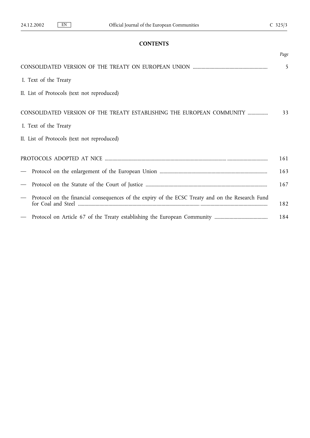# **CONTENTS**

|                                                                                                    | Page |
|----------------------------------------------------------------------------------------------------|------|
|                                                                                                    | 5    |
| I. Text of the Treaty                                                                              |      |
| II. List of Protocols (text not reproduced)                                                        |      |
|                                                                                                    |      |
| CONSOLIDATED VERSION OF THE TREATY ESTABLISHING THE EUROPEAN COMMUNITY                             | 33   |
| I. Text of the Treaty                                                                              |      |
| II. List of Protocols (text not reproduced)                                                        |      |
|                                                                                                    |      |
|                                                                                                    | 161  |
|                                                                                                    | 163  |
|                                                                                                    | 167  |
| - Protocol on the financial consequences of the expiry of the ECSC Treaty and on the Research Fund | 182  |
|                                                                                                    | 184  |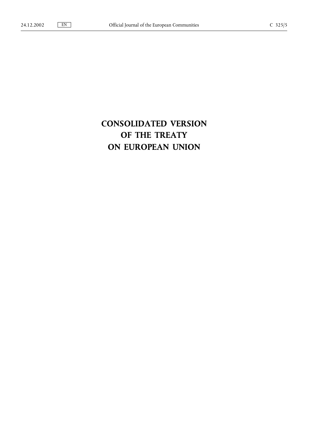# **CONSOLIDATED VERSION OF THE TREATY ON EUROPEAN UNION**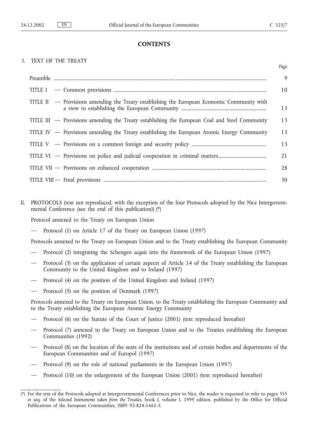*Page*

#### **CONTENTS**

#### I. TEXT OF THE TREATY

|                                                                                               | 9  |
|-----------------------------------------------------------------------------------------------|----|
|                                                                                               | 10 |
| TITLE II - Provisions amending the Treaty establishing the European Economic Community with   | 13 |
| TITLE III - Provisions amending the Treaty establishing the European Coal and Steel Community | 13 |
| TITLE IV $-$ Provisions amending the Treaty establishing the European Atomic Energy Community | 13 |
|                                                                                               | 13 |
|                                                                                               | 21 |
|                                                                                               | 28 |
|                                                                                               | 30 |

II. PROTOCOLS (text not reproduced, with the exception of the four Protocols adopted by the Nice Intergovernmental Conference (see the end of this publication)) (\*)

Protocol annexed to the Treaty on European Union

Protocol (1) on Article 17 of the Treaty on European Union (1997)

Protocols annexed to the Treaty on European Union and to the Treaty establishing the European Community

- Protocol (2) integrating the Schengen *acquis* into the framework of the European Union (1997)
- Protocol (3) on the application of certain aspects of Article 14 of the Treaty establishing the European Community to the United Kingdom and to Ireland (1997)
- Protocol (4) on the position of the United Kingdom and Ireland (1997)
- Protocol (5) on the position of Denmark (1997)

Protocols annexed to the Treaty on European Union, to the Treaty establishing the European Community and to the Treaty establishing the European Atomic Energy Community

- Protocol (6) on the Statute of the Court of Justice (2001) (text reproduced hereafter)
- Protocol (7) annexed to the Treaty on European Union and to the Treaties establishing the European Communities (1992)
- Protocol (8) on the location of the seats of the institutions and of certain bodies and departments of the European Communities and of Europol (1997)
- Protocol (9) on the role of national parliaments in the European Union (1997)
- Protocol (10) on the enlargement of the European Union (2001) (text reproduced hereafter)

<sup>(\*)</sup> For the text of the Protocols adopted at Intergovernmental Conferences prior to Nice, the reader is requested to refer to pages 355 et seq. of the *Selected Instruments taken from the Treaties*, book I, volume I, 1999 edition, published by the Office for Official Publications of the European Communities, ISBN 92-824-1661-5.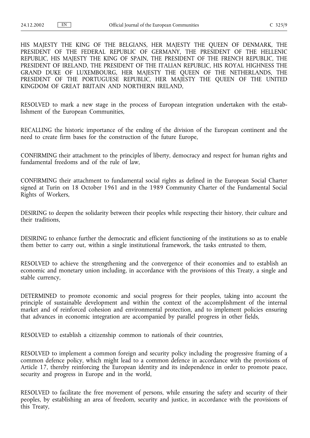HIS MAJESTY THE KING OF THE BELGIANS, HER MAJESTY THE QUEEN OF DENMARK, THE PRESIDENT OF THE FEDERAL REPUBLIC OF GERMANY, THE PRESIDENT OF THE HELLENIC REPUBLIC, HIS MAJESTY THE KING OF SPAIN, THE PRESIDENT OF THE FRENCH REPUBLIC, THE PRESIDENT OF IRELAND, THE PRESIDENT OF THE ITALIAN REPUBLIC, HIS ROYAL HIGHNESS THE GRAND DUKE OF LUXEMBOURG, HER MAJESTY THE QUEEN OF THE NETHERLANDS, THE PRESIDENT OF THE PORTUGUESE REPUBLIC, HER MAJESTY THE QUEEN OF THE UNITED KINGDOM OF GREAT BRITAIN AND NORTHERN IRELAND,

RESOLVED to mark a new stage in the process of European integration undertaken with the establishment of the European Communities,

RECALLING the historic importance of the ending of the division of the European continent and the need to create firm bases for the construction of the future Europe,

CONFIRMING their attachment to the principles of liberty, democracy and respect for human rights and fundamental freedoms and of the rule of law,

CONFIRMING their attachment to fundamental social rights as defined in the European Social Charter signed at Turin on 18 October 1961 and in the 1989 Community Charter of the Fundamental Social Rights of Workers,

DESIRING to deepen the solidarity between their peoples while respecting their history, their culture and their traditions,

DESIRING to enhance further the democratic and efficient functioning of the institutions so as to enable them better to carry out, within a single institutional framework, the tasks entrusted to them,

RESOLVED to achieve the strengthening and the convergence of their economies and to establish an economic and monetary union including, in accordance with the provisions of this Treaty, a single and stable currency,

DETERMINED to promote economic and social progress for their peoples, taking into account the principle of sustainable development and within the context of the accomplishment of the internal market and of reinforced cohesion and environmental protection, and to implement policies ensuring that advances in economic integration are accompanied by parallel progress in other fields,

RESOLVED to establish a citizenship common to nationals of their countries,

RESOLVED to implement a common foreign and security policy including the progressive framing of a common defence policy, which might lead to a common defence in accordance with the provisions of Article 17, thereby reinforcing the European identity and its independence in order to promote peace, security and progress in Europe and in the world,

RESOLVED to facilitate the free movement of persons, while ensuring the safety and security of their peoples, by establishing an area of freedom, security and justice, in accordance with the provisions of this Treaty,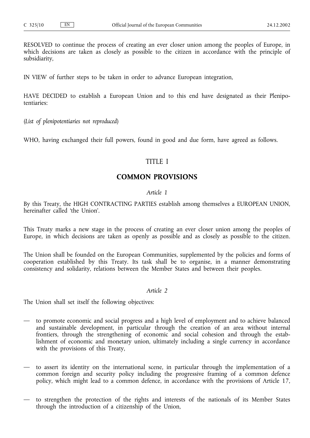RESOLVED to continue the process of creating an ever closer union among the peoples of Europe, in which decisions are taken as closely as possible to the citizen in accordance with the principle of subsidiarity,

IN VIEW of further steps to be taken in order to advance European integration,

HAVE DECIDED to establish a European Union and to this end have designated as their Plenipotentiaries:

(*List of plenipotentiaries not reproduced*)

WHO, having exchanged their full powers, found in good and due form, have agreed as follows.

#### TITLE I

## **COMMON PROVISIONS**

#### *Article 1*

By this Treaty, the HIGH CONTRACTING PARTIES establish among themselves a EUROPEAN UNION, hereinafter called 'the Union'.

This Treaty marks a new stage in the process of creating an ever closer union among the peoples of Europe, in which decisions are taken as openly as possible and as closely as possible to the citizen.

The Union shall be founded on the European Communities, supplemented by the policies and forms of cooperation established by this Treaty. Its task shall be to organise, in a manner demonstrating consistency and solidarity, relations between the Member States and between their peoples.

#### *Article 2*

The Union shall set itself the following objectives:

- to promote economic and social progress and a high level of employment and to achieve balanced and sustainable development, in particular through the creation of an area without internal frontiers, through the strengthening of economic and social cohesion and through the establishment of economic and monetary union, ultimately including a single currency in accordance with the provisions of this Treaty,
- to assert its identity on the international scene, in particular through the implementation of a common foreign and security policy including the progressive framing of a common defence policy, which might lead to a common defence, in accordance with the provisions of Article 17,
- to strengthen the protection of the rights and interests of the nationals of its Member States through the introduction of a citizenship of the Union,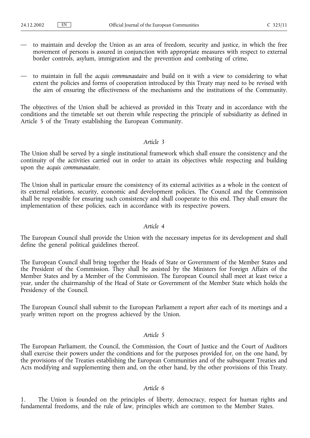- to maintain and develop the Union as an area of freedom, security and justice, in which the free movement of persons is assured in conjunction with appropriate measures with respect to external border controls, asylum, immigration and the prevention and combating of crime,
- to maintain in full the *acquis communautaire* and build on it with a view to considering to what extent the policies and forms of cooperation introduced by this Treaty may need to be revised with the aim of ensuring the effectiveness of the mechanisms and the institutions of the Community.

The objectives of the Union shall be achieved as provided in this Treaty and in accordance with the conditions and the timetable set out therein while respecting the principle of subsidiarity as defined in Article 5 of the Treaty establishing the European Community.

#### *Article 3*

The Union shall be served by a single institutional framework which shall ensure the consistency and the continuity of the activities carried out in order to attain its objectives while respecting and building upon the *acquis communautaire*.

The Union shall in particular ensure the consistency of its external activities as a whole in the context of its external relations, security, economic and development policies. The Council and the Commission shall be responsible for ensuring such consistency and shall cooperate to this end. They shall ensure the implementation of these policies, each in accordance with its respective powers.

#### *Article 4*

The European Council shall provide the Union with the necessary impetus for its development and shall define the general political guidelines thereof.

The European Council shall bring together the Heads of State or Government of the Member States and the President of the Commission. They shall be assisted by the Ministers for Foreign Affairs of the Member States and by a Member of the Commission. The European Council shall meet at least twice a year, under the chairmanship of the Head of State or Government of the Member State which holds the Presidency of the Council.

The European Council shall submit to the European Parliament a report after each of its meetings and a yearly written report on the progress achieved by the Union.

## *Article 5*

The European Parliament, the Council, the Commission, the Court of Justice and the Court of Auditors shall exercise their powers under the conditions and for the purposes provided for, on the one hand, by the provisions of the Treaties establishing the European Communities and of the subsequent Treaties and Acts modifying and supplementing them and, on the other hand, by the other provisions of this Treaty.

#### *Article 6*

1. The Union is founded on the principles of liberty, democracy, respect for human rights and fundamental freedoms, and the rule of law, principles which are common to the Member States.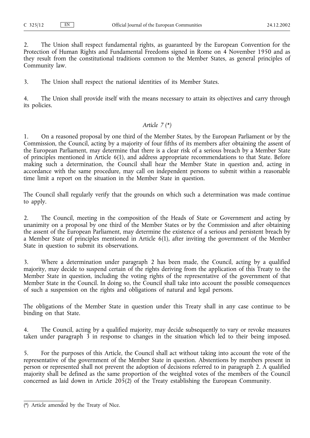2. The Union shall respect fundamental rights, as guaranteed by the European Convention for the Protection of Human Rights and Fundamental Freedoms signed in Rome on 4 November 1950 and as they result from the constitutional traditions common to the Member States, as general principles of Community law.

3. The Union shall respect the national identities of its Member States.

4. The Union shall provide itself with the means necessary to attain its objectives and carry through its policies.

## *Article 7 (\*)*

1. On a reasoned proposal by one third of the Member States, by the European Parliament or by the Commission, the Council, acting by a majority of four fifths of its members after obtaining the assent of the European Parliament, may determine that there is a clear risk of a serious breach by a Member State of principles mentioned in Article 6(1), and address appropriate recommendations to that State. Before making such a determination, the Council shall hear the Member State in question and, acting in accordance with the same procedure, may call on independent persons to submit within a reasonable time limit a report on the situation in the Member State in question.

The Council shall regularly verify that the grounds on which such a determination was made continue to apply.

2. The Council, meeting in the composition of the Heads of State or Government and acting by unanimity on a proposal by one third of the Member States or by the Commission and after obtaining the assent of the European Parliament, may determine the existence of a serious and persistent breach by a Member State of principles mentioned in Article 6(1), after inviting the government of the Member State in question to submit its observations.

3. Where a determination under paragraph 2 has been made, the Council, acting by a qualified majority, may decide to suspend certain of the rights deriving from the application of this Treaty to the Member State in question, including the voting rights of the representative of the government of that Member State in the Council. In doing so, the Council shall take into account the possible consequences of such a suspension on the rights and obligations of natural and legal persons.

The obligations of the Member State in question under this Treaty shall in any case continue to be binding on that State.

4. The Council, acting by a qualified majority, may decide subsequently to vary or revoke measures taken under paragraph 3 in response to changes in the situation which led to their being imposed.

5. For the purposes of this Article, the Council shall act without taking into account the vote of the representative of the government of the Member State in question. Abstentions by members present in person or represented shall not prevent the adoption of decisions referred to in paragraph 2. A qualified majority shall be defined as the same proportion of the weighted votes of the members of the Council concerned as laid down in Article 205(2) of the Treaty establishing the European Community.

<sup>(\*)</sup> Article amended by the Treaty of Nice.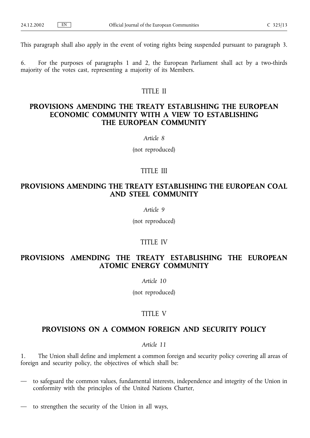This paragraph shall also apply in the event of voting rights being suspended pursuant to paragraph 3.

6. For the purposes of paragraphs 1 and 2, the European Parliament shall act by a two-thirds majority of the votes cast, representing a majority of its Members.

## TITLE II

# **PROVISIONS AMENDING THE TREATY ESTABLISHING THE EUROPEAN ECONOMIC COMMUNITY WITH A VIEW TO ESTABLISHING THE EUROPEAN COMMUNITY**

*Article 8*

(not reproduced)

## TITLE III

# **PROVISIONS AMENDING THE TREATY ESTABLISHING THE EUROPEAN COAL AND STEEL COMMUNITY**

*Article 9*

(not reproduced)

## TITLE IV

# **PROVISIONS AMENDING THE TREATY ESTABLISHING THE EUROPEAN ATOMIC ENERGY COMMUNITY**

*Article 10*

(not reproduced)

## TITLE V

# **PROVISIONS ON A COMMON FOREIGN AND SECURITY POLICY**

#### *Article 11*

1. The Union shall define and implement a common foreign and security policy covering all areas of foreign and security policy, the objectives of which shall be:

- to safeguard the common values, fundamental interests, independence and integrity of the Union in conformity with the principles of the United Nations Charter,
- to strengthen the security of the Union in all ways,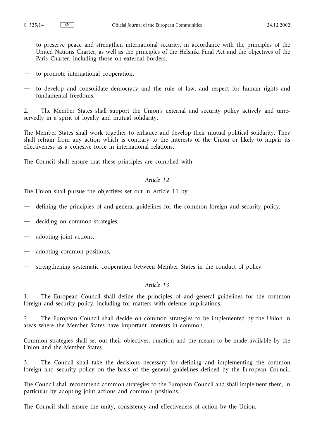- to preserve peace and strengthen international security, in accordance with the principles of the United Nations Charter, as well as the principles of the Helsinki Final Act and the objectives of the Paris Charter, including those on external borders,
- to promote international cooperation,
- to develop and consolidate democracy and the rule of law, and respect for human rights and fundamental freedoms.

2. The Member States shall support the Union's external and security policy actively and unreservedly in a spirit of loyalty and mutual solidarity.

The Member States shall work together to enhance and develop their mutual political solidarity. They shall refrain from any action which is contrary to the interests of the Union or likely to impair its effectiveness as a cohesive force in international relations.

The Council shall ensure that these principles are complied with.

## *Article 12*

The Union shall pursue the objectives set out in Article 11 by:

- defining the principles of and general guidelines for the common foreign and security policy,
- deciding on common strategies,
- adopting joint actions,
- adopting common positions,
- strengthening systematic cooperation between Member States in the conduct of policy.

## *Article 13*

1. The European Council shall define the principles of and general guidelines for the common foreign and security policy, including for matters with defence implications.

2. The European Council shall decide on common strategies to be implemented by the Union in areas where the Member States have important interests in common.

Common strategies shall set out their objectives, duration and the means to be made available by the Union and the Member States.

3. The Council shall take the decisions necessary for defining and implementing the common foreign and security policy on the basis of the general guidelines defined by the European Council.

The Council shall recommend common strategies to the European Council and shall implement them, in particular by adopting joint actions and common positions.

The Council shall ensure the unity, consistency and effectiveness of action by the Union.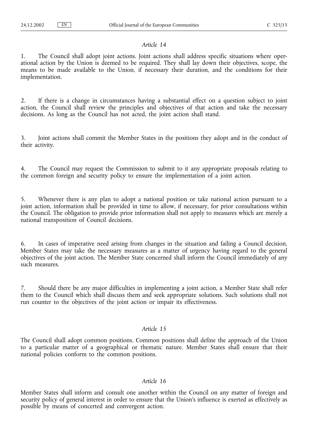1. The Council shall adopt joint actions. Joint actions shall address specific situations where operational action by the Union is deemed to be required. They shall lay down their objectives, scope, the means to be made available to the Union, if necessary their duration, and the conditions for their implementation.

2. If there is a change in circumstances having a substantial effect on a question subject to joint action, the Council shall review the principles and objectives of that action and take the necessary decisions. As long as the Council has not acted, the joint action shall stand.

3. Joint actions shall commit the Member States in the positions they adopt and in the conduct of their activity.

4. The Council may request the Commission to submit to it any appropriate proposals relating to the common foreign and security policy to ensure the implementation of a joint action.

5. Whenever there is any plan to adopt a national position or take national action pursuant to a joint action, information shall be provided in time to allow, if necessary, for prior consultations within the Council. The obligation to provide prior information shall not apply to measures which are merely a national transposition of Council decisions.

6. In cases of imperative need arising from changes in the situation and failing a Council decision, Member States may take the necessary measures as a matter of urgency having regard to the general objectives of the joint action. The Member State concerned shall inform the Council immediately of any such measures.

7. Should there be any major difficulties in implementing a joint action, a Member State shall refer them to the Council which shall discuss them and seek appropriate solutions. Such solutions shall not run counter to the objectives of the joint action or impair its effectiveness.

## *Article 15*

The Council shall adopt common positions. Common positions shall define the approach of the Union to a particular matter of a geographical or thematic nature. Member States shall ensure that their national policies conform to the common positions.

#### *Article 16*

Member States shall inform and consult one another within the Council on any matter of foreign and security policy of general interest in order to ensure that the Union's influence is exerted as effectively as possible by means of concerted and convergent action.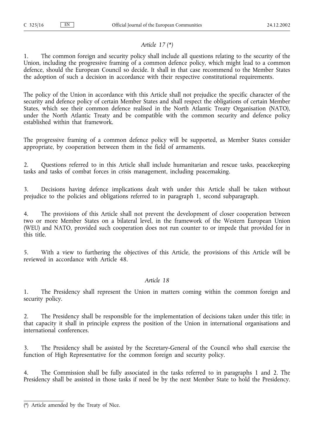## *Article 17 (\*)*

1. The common foreign and security policy shall include all questions relating to the security of the Union, including the progressive framing of a common defence policy, which might lead to a common defence, should the European Council so decide. It shall in that case recommend to the Member States the adoption of such a decision in accordance with their respective constitutional requirements.

The policy of the Union in accordance with this Article shall not prejudice the specific character of the security and defence policy of certain Member States and shall respect the obligations of certain Member States, which see their common defence realised in the North Atlantic Treaty Organisation (NATO), under the North Atlantic Treaty and be compatible with the common security and defence policy established within that framework.

The progressive framing of a common defence policy will be supported, as Member States consider appropriate, by cooperation between them in the field of armaments.

2. Questions referred to in this Article shall include humanitarian and rescue tasks, peacekeeping tasks and tasks of combat forces in crisis management, including peacemaking.

3. Decisions having defence implications dealt with under this Article shall be taken without prejudice to the policies and obligations referred to in paragraph 1, second subparagraph.

4. The provisions of this Article shall not prevent the development of closer cooperation between two or more Member States on a bilateral level, in the framework of the Western European Union (WEU) and NATO, provided such cooperation does not run counter to or impede that provided for in this title.

5. With a view to furthering the objectives of this Article, the provisions of this Article will be reviewed in accordance with Article 48.

## *Article 18*

1. The Presidency shall represent the Union in matters coming within the common foreign and security policy.

2. The Presidency shall be responsible for the implementation of decisions taken under this title; in that capacity it shall in principle express the position of the Union in international organisations and international conferences.

3. The Presidency shall be assisted by the Secretary-General of the Council who shall exercise the function of High Representative for the common foreign and security policy.

4. The Commission shall be fully associated in the tasks referred to in paragraphs 1 and 2. The Presidency shall be assisted in those tasks if need be by the next Member State to hold the Presidency.

<sup>(\*)</sup> Article amended by the Treaty of Nice.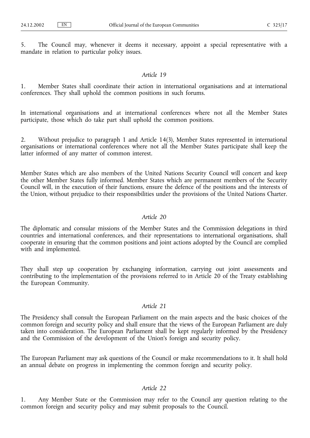5. The Council may, whenever it deems it necessary, appoint a special representative with a mandate in relation to particular policy issues.

#### *Article 19*

1. Member States shall coordinate their action in international organisations and at international conferences. They shall uphold the common positions in such forums.

In international organisations and at international conferences where not all the Member States participate, those which do take part shall uphold the common positions.

2. Without prejudice to paragraph 1 and Article 14(3), Member States represented in international organisations or international conferences where not all the Member States participate shall keep the latter informed of any matter of common interest.

Member States which are also members of the United Nations Security Council will concert and keep the other Member States fully informed. Member States which are permanent members of the Security Council will, in the execution of their functions, ensure the defence of the positions and the interests of the Union, without prejudice to their responsibilities under the provisions of the United Nations Charter.

#### *Article 20*

The diplomatic and consular missions of the Member States and the Commission delegations in third countries and international conferences, and their representations to international organisations, shall cooperate in ensuring that the common positions and joint actions adopted by the Council are complied with and implemented.

They shall step up cooperation by exchanging information, carrying out joint assessments and contributing to the implementation of the provisions referred to in Article 20 of the Treaty establishing the European Community.

#### *Article 21*

The Presidency shall consult the European Parliament on the main aspects and the basic choices of the common foreign and security policy and shall ensure that the views of the European Parliament are duly taken into consideration. The European Parliament shall be kept regularly informed by the Presidency and the Commission of the development of the Union's foreign and security policy.

The European Parliament may ask questions of the Council or make recommendations to it. It shall hold an annual debate on progress in implementing the common foreign and security policy.

#### *Article 22*

1. Any Member State or the Commission may refer to the Council any question relating to the common foreign and security policy and may submit proposals to the Council.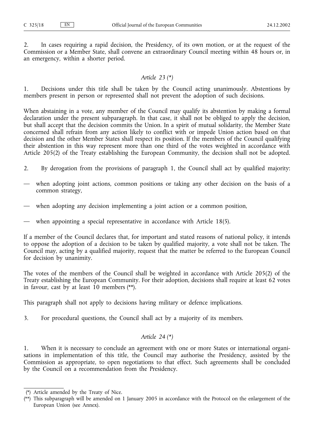2. In cases requiring a rapid decision, the Presidency, of its own motion, or at the request of the Commission or a Member State, shall convene an extraordinary Council meeting within 48 hours or, in an emergency, within a shorter period.

## *Article 23 (\*)*

1. Decisions under this title shall be taken by the Council acting unanimously. Abstentions by members present in person or represented shall not prevent the adoption of such decisions.

When abstaining in a vote, any member of the Council may qualify its abstention by making a formal declaration under the present subparagraph. In that case, it shall not be obliged to apply the decision, but shall accept that the decision commits the Union. In a spirit of mutual solidarity, the Member State concerned shall refrain from any action likely to conflict with or impede Union action based on that decision and the other Member States shall respect its position. If the members of the Council qualifying their abstention in this way represent more than one third of the votes weighted in accordance with Article 205(2) of the Treaty establishing the European Community, the decision shall not be adopted.

- 2. By derogation from the provisions of paragraph 1, the Council shall act by qualified majority:
- when adopting joint actions, common positions or taking any other decision on the basis of a common strategy,
- when adopting any decision implementing a joint action or a common position,
- when appointing a special representative in accordance with Article 18(5).

If a member of the Council declares that, for important and stated reasons of national policy, it intends to oppose the adoption of a decision to be taken by qualified majority, a vote shall not be taken. The Council may, acting by a qualified majority, request that the matter be referred to the European Council for decision by unanimity.

The votes of the members of the Council shall be weighted in accordance with Article 205(2) of the Treaty establishing the European Community. For their adoption, decisions shall require at least 62 votes in favour, cast by at least 10 members (\*\*).

This paragraph shall not apply to decisions having military or defence implications.

3. For procedural questions, the Council shall act by a majority of its members.

#### *Article 24 (\*)*

1. When it is necessary to conclude an agreement with one or more States or international organisations in implementation of this title, the Council may authorise the Presidency, assisted by the Commission as appropriate, to open negotiations to that effect. Such agreements shall be concluded by the Council on a recommendation from the Presidency.

<sup>(\*)</sup> Article amended by the Treaty of Nice.

<sup>(\*\*)</sup> This subparagraph will be amended on 1 January 2005 in accordance with the Protocol on the enlargement of the European Union (see Annex).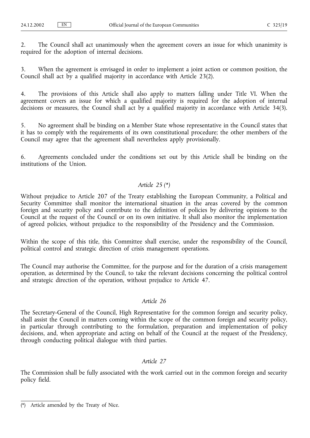2. The Council shall act unanimously when the agreement covers an issue for which unanimity is required for the adoption of internal decisions.

3. When the agreement is envisaged in order to implement a joint action or common position, the Council shall act by a qualified majority in accordance with Article 23(2).

4. The provisions of this Article shall also apply to matters falling under Title VI. When the agreement covers an issue for which a qualified majority is required for the adoption of internal decisions or measures, the Council shall act by a qualified majority in accordance with Article 34(3).

5. No agreement shall be binding on a Member State whose representative in the Council states that it has to comply with the requirements of its own constitutional procedure; the other members of the Council may agree that the agreement shall nevertheless apply provisionally.

6. Agreements concluded under the conditions set out by this Article shall be binding on the institutions of the Union.

## *Article 25 (\*)*

Without prejudice to Article 207 of the Treaty establishing the European Community, a Political and Security Committee shall monitor the international situation in the areas covered by the common foreign and security policy and contribute to the definition of policies by delivering opinions to the Council at the request of the Council or on its own initiative. It shall also monitor the implementation of agreed policies, without prejudice to the responsibility of the Presidency and the Commission.

Within the scope of this title, this Committee shall exercise, under the responsibility of the Council, political control and strategic direction of crisis management operations.

The Council may authorise the Committee, for the purpose and for the duration of a crisis management operation, as determined by the Council, to take the relevant decisions concerning the political control and strategic direction of the operation, without prejudice to Article 47.

## *Article 26*

The Secretary-General of the Council, High Representative for the common foreign and security policy, shall assist the Council in matters coming within the scope of the common foreign and security policy, in particular through contributing to the formulation, preparation and implementation of policy decisions, and, when appropriate and acting on behalf of the Council at the request of the Presidency, through conducting political dialogue with third parties.

### *Article 27*

The Commission shall be fully associated with the work carried out in the common foreign and security policy field.

<sup>(\*)</sup> Article amended by the Treaty of Nice.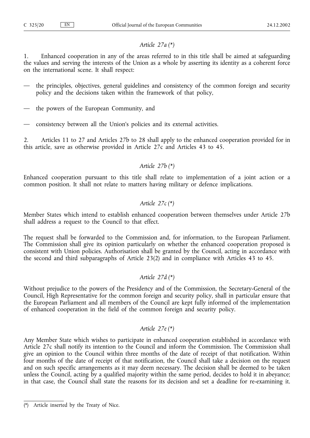## *Article 27a (\*)*

1. Enhanced cooperation in any of the areas referred to in this title shall be aimed at safeguarding the values and serving the interests of the Union as a whole by asserting its identity as a coherent force on the international scene. It shall respect:

- the principles, objectives, general guidelines and consistency of the common foreign and security policy and the decisions taken within the framework of that policy,
- the powers of the European Community, and
- consistency between all the Union's policies and its external activities.

2. Articles 11 to 27 and Articles 27b to 28 shall apply to the enhanced cooperation provided for in this article, save as otherwise provided in Article 27c and Articles 43 to 45.

## *Article 27b (\*)*

Enhanced cooperation pursuant to this title shall relate to implementation of a joint action or a common position. It shall not relate to matters having military or defence implications.

## *Article 27c (\*)*

Member States which intend to establish enhanced cooperation between themselves under Article 27b shall address a request to the Council to that effect.

The request shall be forwarded to the Commission and, for information, to the European Parliament. The Commission shall give its opinion particularly on whether the enhanced cooperation proposed is consistent with Union policies. Authorisation shall be granted by the Council, acting in accordance with the second and third subparagraphs of Article 23(2) and in compliance with Articles 43 to 45.

## *Article 27d (\*)*

Without prejudice to the powers of the Presidency and of the Commission, the Secretary-General of the Council, High Representative for the common foreign and security policy, shall in particular ensure that the European Parliament and all members of the Council are kept fully informed of the implementation of enhanced cooperation in the field of the common foreign and security policy.

## *Article 27e (\*)*

Any Member State which wishes to participate in enhanced cooperation established in accordance with Article 27c shall notify its intention to the Council and inform the Commission. The Commission shall give an opinion to the Council within three months of the date of receipt of that notification. Within four months of the date of receipt of that notification, the Council shall take a decision on the request and on such specific arrangements as it may deem necessary. The decision shall be deemed to be taken unless the Council, acting by a qualified majority within the same period, decides to hold it in abeyance; in that case, the Council shall state the reasons for its decision and set a deadline for re-examining it.

<sup>(\*)</sup> Article inserted by the Treaty of Nice.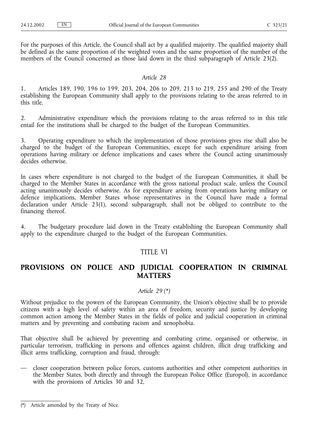For the purposes of this Article, the Council shall act by a qualified majority. The qualified majority shall be defined as the same proportion of the weighted votes and the same proportion of the number of the members of the Council concerned as those laid down in the third subparagraph of Article 23(2).

#### *Article 28*

1. Articles 189, 190, 196 to 199, 203, 204, 206 to 209, 213 to 219, 255 and 290 of the Treaty establishing the European Community shall apply to the provisions relating to the areas referred to in this title.

2. Administrative expenditure which the provisions relating to the areas referred to in this title entail for the institutions shall be charged to the budget of the European Communities.

3. Operating expenditure to which the implementation of those provisions gives rise shall also be charged to the budget of the European Communities, except for such expenditure arising from operations having military or defence implications and cases where the Council acting unanimously decides otherwise.

In cases where expenditure is not charged to the budget of the European Communities, it shall be charged to the Member States in accordance with the gross national product scale, unless the Council acting unanimously decides otherwise. As for expenditure arising from operations having military or defence implications, Member States whose representatives in the Council have made a formal declaration under Article 23(1), second subparagraph, shall not be obliged to contribute to the financing thereof.

4. The budgetary procedure laid down in the Treaty establishing the European Community shall apply to the expenditure charged to the budget of the European Communities.

## TITLE VI

# **PROVISIONS ON POLICE AND JUDICIAL COOPERATION IN CRIMINAL MATTERS**

#### *Article 29 (\*)*

Without prejudice to the powers of the European Community, the Union's objective shall be to provide citizens with a high level of safety within an area of freedom, security and justice by developing common action among the Member States in the fields of police and judicial cooperation in criminal matters and by preventing and combating racism and xenophobia.

That objective shall be achieved by preventing and combating crime, organised or otherwise, in particular terrorism, trafficking in persons and offences against children, illicit drug trafficking and illicit arms trafficking, corruption and fraud, through:

— closer cooperation between police forces, customs authorities and other competent authorities in the Member States, both directly and through the European Police Office (Europol), in accordance with the provisions of Articles 30 and 32,

<sup>(\*)</sup> Article amended by the Treaty of Nice.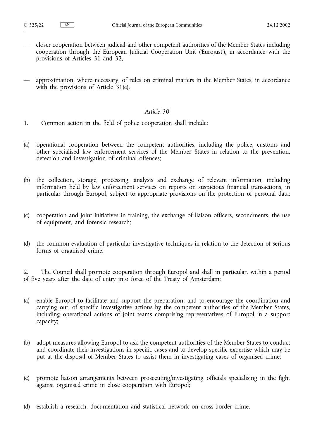- closer cooperation between judicial and other competent authorities of the Member States including cooperation through the European Judicial Cooperation Unit ('Eurojust'), in accordance with the provisions of Articles 31 and 32,
- approximation, where necessary, of rules on criminal matters in the Member States, in accordance with the provisions of Article 31(e).

- 1. Common action in the field of police cooperation shall include:
- (a) operational cooperation between the competent authorities, including the police, customs and other specialised law enforcement services of the Member States in relation to the prevention, detection and investigation of criminal offences;
- (b) the collection, storage, processing, analysis and exchange of relevant information, including information held by law enforcement services on reports on suspicious financial transactions, in particular through Europol, subject to appropriate provisions on the protection of personal data;
- (c) cooperation and joint initiatives in training, the exchange of liaison officers, secondments, the use of equipment, and forensic research;
- (d) the common evaluation of particular investigative techniques in relation to the detection of serious forms of organised crime.

2. The Council shall promote cooperation through Europol and shall in particular, within a period of five years after the date of entry into force of the Treaty of Amsterdam:

- (a) enable Europol to facilitate and support the preparation, and to encourage the coordination and carrying out, of specific investigative actions by the competent authorities of the Member States, including operational actions of joint teams comprising representatives of Europol in a support capacity;
- (b) adopt measures allowing Europol to ask the competent authorities of the Member States to conduct and coordinate their investigations in specific cases and to develop specific expertise which may be put at the disposal of Member States to assist them in investigating cases of organised crime;
- (c) promote liaison arrangements between prosecuting/investigating officials specialising in the fight against organised crime in close cooperation with Europol;
- (d) establish a research, documentation and statistical network on cross-border crime.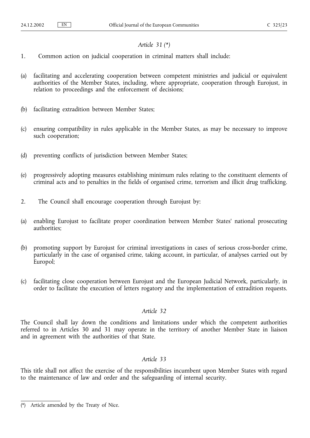## *Article 31 (\*)*

- 1. Common action on judicial cooperation in criminal matters shall include:
- (a) facilitating and accelerating cooperation between competent ministries and judicial or equivalent authorities of the Member States, including, where appropriate, cooperation through Eurojust, in relation to proceedings and the enforcement of decisions;
- (b) facilitating extradition between Member States;
- (c) ensuring compatibility in rules applicable in the Member States, as may be necessary to improve such cooperation;
- (d) preventing conflicts of jurisdiction between Member States;
- (e) progressively adopting measures establishing minimum rules relating to the constituent elements of criminal acts and to penalties in the fields of organised crime, terrorism and illicit drug trafficking.
- 2. The Council shall encourage cooperation through Eurojust by:
- (a) enabling Eurojust to facilitate proper coordination between Member States' national prosecuting authorities;
- (b) promoting support by Eurojust for criminal investigations in cases of serious cross-border crime, particularly in the case of organised crime, taking account, in particular, of analyses carried out by Europol;
- (c) facilitating close cooperation between Eurojust and the European Judicial Network, particularly, in order to facilitate the execution of letters rogatory and the implementation of extradition requests.

#### *Article 32*

The Council shall lay down the conditions and limitations under which the competent authorities referred to in Articles 30 and 31 may operate in the territory of another Member State in liaison and in agreement with the authorities of that State.

#### *Article 33*

This title shall not affect the exercise of the responsibilities incumbent upon Member States with regard to the maintenance of law and order and the safeguarding of internal security.

<sup>(\*)</sup> Article amended by the Treaty of Nice.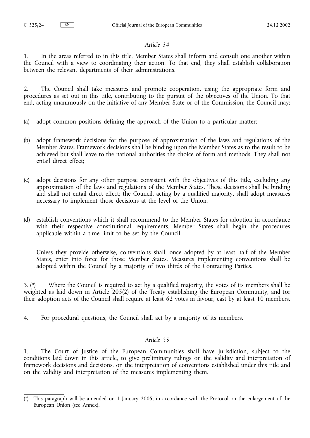1. In the areas referred to in this title, Member States shall inform and consult one another within the Council with a view to coordinating their action. To that end, they shall establish collaboration between the relevant departments of their administrations.

2. The Council shall take measures and promote cooperation, using the appropriate form and procedures as set out in this title, contributing to the pursuit of the objectives of the Union. To that end, acting unanimously on the initiative of any Member State or of the Commission, the Council may:

- (a) adopt common positions defining the approach of the Union to a particular matter;
- (b) adopt framework decisions for the purpose of approximation of the laws and regulations of the Member States. Framework decisions shall be binding upon the Member States as to the result to be achieved but shall leave to the national authorities the choice of form and methods. They shall not entail direct effect;
- (c) adopt decisions for any other purpose consistent with the objectives of this title, excluding any approximation of the laws and regulations of the Member States. These decisions shall be binding and shall not entail direct effect; the Council, acting by a qualified majority, shall adopt measures necessary to implement those decisions at the level of the Union;
- (d) establish conventions which it shall recommend to the Member States for adoption in accordance with their respective constitutional requirements. Member States shall begin the procedures applicable within a time limit to be set by the Council.

Unless they provide otherwise, conventions shall, once adopted by at least half of the Member States, enter into force for those Member States. Measures implementing conventions shall be adopted within the Council by a majority of two thirds of the Contracting Parties.

3. (\*) Where the Council is required to act by a qualified majority, the votes of its members shall be weighted as laid down in Article 205(2) of the Treaty establishing the European Community, and for their adoption acts of the Council shall require at least 62 votes in favour, cast by at least 10 members.

4. For procedural questions, the Council shall act by a majority of its members.

## *Article 35*

1. The Court of Justice of the European Communities shall have jurisdiction, subject to the conditions laid down in this article, to give preliminary rulings on the validity and interpretation of framework decisions and decisions, on the interpretation of conventions established under this title and on the validity and interpretation of the measures implementing them.

<sup>(\*)</sup> This paragraph will be amended on 1 January 2005, in accordance with the Protocol on the enlargement of the European Union (see Annex).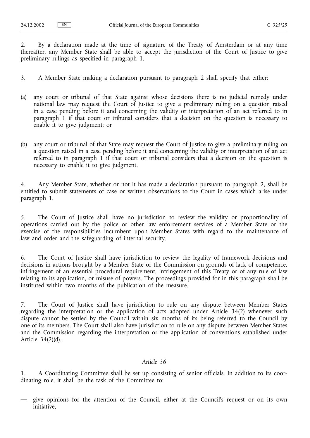2. By a declaration made at the time of signature of the Treaty of Amsterdam or at any time thereafter, any Member State shall be able to accept the jurisdiction of the Court of Justice to give preliminary rulings as specified in paragraph 1.

- 3. A Member State making a declaration pursuant to paragraph 2 shall specify that either:
- (a) any court or tribunal of that State against whose decisions there is no judicial remedy under national law may request the Court of Justice to give a preliminary ruling on a question raised in a case pending before it and concerning the validity or interpretation of an act referred to in paragraph 1 if that court or tribunal considers that a decision on the question is necessary to enable it to give judgment; or
- (b) any court or tribunal of that State may request the Court of Justice to give a preliminary ruling on a question raised in a case pending before it and concerning the validity or interpretation of an act referred to in paragraph 1 if that court or tribunal considers that a decision on the question is necessary to enable it to give judgment.

4. Any Member State, whether or not it has made a declaration pursuant to paragraph 2, shall be entitled to submit statements of case or written observations to the Court in cases which arise under paragraph 1.

5. The Court of Justice shall have no jurisdiction to review the validity or proportionality of operations carried out by the police or other law enforcement services of a Member State or the exercise of the responsibilities incumbent upon Member States with regard to the maintenance of law and order and the safeguarding of internal security.

6. The Court of Justice shall have jurisdiction to review the legality of framework decisions and decisions in actions brought by a Member State or the Commission on grounds of lack of competence, infringement of an essential procedural requirement, infringement of this Treaty or of any rule of law relating to its application, or misuse of powers. The proceedings provided for in this paragraph shall be instituted within two months of the publication of the measure.

7. The Court of Justice shall have jurisdiction to rule on any dispute between Member States regarding the interpretation or the application of acts adopted under Article 34(2) whenever such dispute cannot be settled by the Council within six months of its being referred to the Council by one of its members. The Court shall also have jurisdiction to rule on any dispute between Member States and the Commission regarding the interpretation or the application of conventions established under Article 34(2)(d).

## *Article 36*

1. A Coordinating Committee shall be set up consisting of senior officials. In addition to its coordinating role, it shall be the task of the Committee to:

— give opinions for the attention of the Council, either at the Council's request or on its own initiative,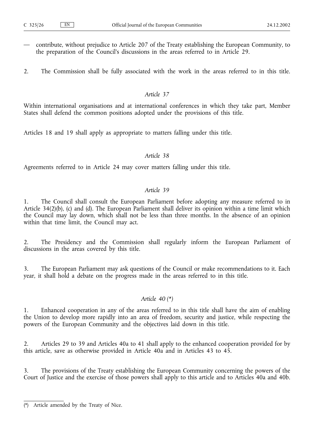- contribute, without prejudice to Article 207 of the Treaty establishing the European Community, to the preparation of the Council's discussions in the areas referred to in Article 29.
- 2. The Commission shall be fully associated with the work in the areas referred to in this title.

Within international organisations and at international conferences in which they take part, Member States shall defend the common positions adopted under the provisions of this title.

Articles 18 and 19 shall apply as appropriate to matters falling under this title.

## *Article 38*

Agreements referred to in Article 24 may cover matters falling under this title.

#### *Article 39*

1. The Council shall consult the European Parliament before adopting any measure referred to in Article 34(2)(b), (c) and (d). The European Parliament shall deliver its opinion within a time limit which the Council may lay down, which shall not be less than three months. In the absence of an opinion within that time limit, the Council may act.

2. The Presidency and the Commission shall regularly inform the European Parliament of discussions in the areas covered by this title.

3. The European Parliament may ask questions of the Council or make recommendations to it. Each year, it shall hold a debate on the progress made in the areas referred to in this title.

## *Article 40 (\*)*

1. Enhanced cooperation in any of the areas referred to in this title shall have the aim of enabling the Union to develop more rapidly into an area of freedom, security and justice, while respecting the powers of the European Community and the objectives laid down in this title.

2. Articles 29 to 39 and Articles 40a to 41 shall apply to the enhanced cooperation provided for by this article, save as otherwise provided in Article 40a and in Articles 43 to 45.

3. The provisions of the Treaty establishing the European Community concerning the powers of the Court of Justice and the exercise of those powers shall apply to this article and to Articles 40a and 40b.

<sup>(\*)</sup> Article amended by the Treaty of Nice.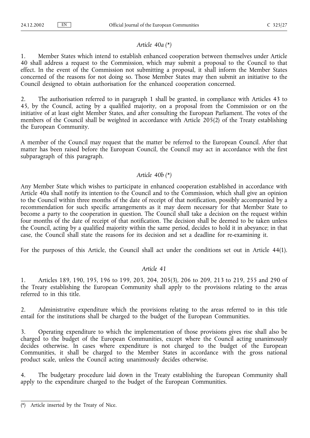## *Article 40a (\*)*

1. Member States which intend to establish enhanced cooperation between themselves under Article 40 shall address a request to the Commission, which may submit a proposal to the Council to that effect. In the event of the Commission not submitting a proposal, it shall inform the Member States concerned of the reasons for not doing so. Those Member States may then submit an initiative to the Council designed to obtain authorisation for the enhanced cooperation concerned.

2. The authorisation referred to in paragraph 1 shall be granted, in compliance with Articles 43 to 45, by the Council, acting by a qualified majority, on a proposal from the Commission or on the initiative of at least eight Member States, and after consulting the European Parliament. The votes of the members of the Council shall be weighted in accordance with Article 205(2) of the Treaty establishing the European Community.

A member of the Council may request that the matter be referred to the European Council. After that matter has been raised before the European Council, the Council may act in accordance with the first subparagraph of this paragraph.

## *Article 40b (\*)*

Any Member State which wishes to participate in enhanced cooperation established in accordance with Article 40a shall notify its intention to the Council and to the Commission, which shall give an opinion to the Council within three months of the date of receipt of that notification, possibly accompanied by a recommendation for such specific arrangements as it may deem necessary for that Member State to become a party to the cooperation in question. The Council shall take a decision on the request within four months of the date of receipt of that notification. The decision shall be deemed to be taken unless the Council, acting by a qualified majority within the same period, decides to hold it in abeyance; in that case, the Council shall state the reasons for its decision and set a deadline for re-examining it.

For the purposes of this Article, the Council shall act under the conditions set out in Article 44(1).

#### *Article 41*

1. Articles 189, 190, 195, 196 to 199, 203, 204, 205(3), 206 to 209, 213 to 219, 255 and 290 of the Treaty establishing the European Community shall apply to the provisions relating to the areas referred to in this title.

2. Administrative expenditure which the provisions relating to the areas referred to in this title entail for the institutions shall be charged to the budget of the European Communities.

3. Operating expenditure to which the implementation of those provisions gives rise shall also be charged to the budget of the European Communities, except where the Council acting unanimously decides otherwise. In cases where expenditure is not charged to the budget of the European Communities, it shall be charged to the Member States in accordance with the gross national product scale, unless the Council acting unanimously decides otherwise.

4. The budgetary procedure laid down in the Treaty establishing the European Community shall apply to the expenditure charged to the budget of the European Communities.

<sup>(\*)</sup> Article inserted by the Treaty of Nice.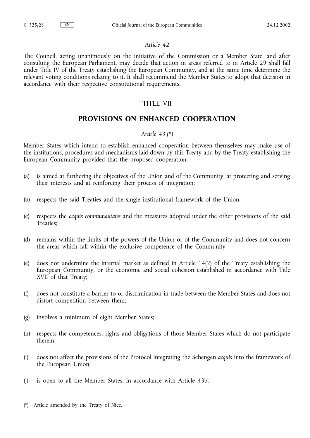The Council, acting unanimously on the initiative of the Commission or a Member State, and after consulting the European Parliament, may decide that action in areas referred to in Article 29 shall fall under Title IV of the Treaty establishing the European Community, and at the same time determine the relevant voting conditions relating to it. It shall recommend the Member States to adopt that decision in accordance with their respective constitutional requirements.

## TITLE VII

## **PROVISIONS ON ENHANCED COOPERATION**

#### *Article 43 (\*)*

Member States which intend to establish enhanced cooperation between themselves may make use of the institutions, procedures and mechanisms laid down by this Treaty and by the Treaty establishing the European Community provided that the proposed cooperation:

- (a) is aimed at furthering the objectives of the Union and of the Community, at protecting and serving their interests and at reinforcing their process of integration;
- (b) respects the said Treaties and the single institutional framework of the Union;
- (c) respects the *acquis communautaire* and the measures adopted under the other provisions of the said Treaties;
- (d) remains within the limits of the powers of the Union or of the Community and does not concern the areas which fall within the exclusive competence of the Community;
- (e) does not undermine the internal market as defined in Article 14(2) of the Treaty establishing the European Community, or the economic and social cohesion established in accordance with Title XVII of that Treaty;
- (f) does not constitute a barrier to or discrimination in trade between the Member States and does not distort competition between them;
- (g) involves a minimum of eight Member States;
- (h) respects the competences, rights and obligations of those Member States which do not participate therein;
- (i) does not affect the provisions of the Protocol integrating the Schengen *acquis* into the framework of the European Union;
- (j) is open to all the Member States, in accordance with Article 43b.

<sup>(\*)</sup> Article amended by the Treaty of Nice.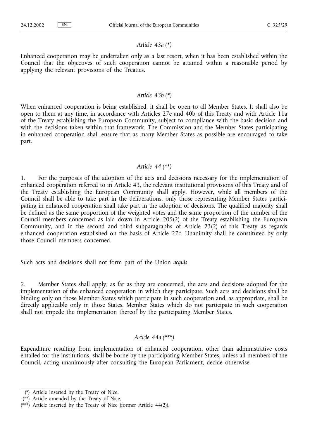#### *Article 43a (\*)*

Enhanced cooperation may be undertaken only as a last resort, when it has been established within the Council that the objectives of such cooperation cannot be attained within a reasonable period by applying the relevant provisions of the Treaties.

## *Article 43b (\*)*

When enhanced cooperation is being established, it shall be open to all Member States. It shall also be open to them at any time, in accordance with Articles 27e and 40b of this Treaty and with Article 11a of the Treaty establishing the European Community, subject to compliance with the basic decision and with the decisions taken within that framework. The Commission and the Member States participating in enhanced cooperation shall ensure that as many Member States as possible are encouraged to take part.

### *Article 44 (\*\*)*

1. For the purposes of the adoption of the acts and decisions necessary for the implementation of enhanced cooperation referred to in Article 43, the relevant institutional provisions of this Treaty and of the Treaty establishing the European Community shall apply. However, while all members of the Council shall be able to take part in the deliberations, only those representing Member States participating in enhanced cooperation shall take part in the adoption of decisions. The qualified majority shall be defined as the same proportion of the weighted votes and the same proportion of the number of the Council members concerned as laid down in Article 205(2) of the Treaty establishing the European Community, and in the second and third subparagraphs of Article 23(2) of this Treaty as regards enhanced cooperation established on the basis of Article 27c. Unanimity shall be constituted by only those Council members concerned.

Such acts and decisions shall not form part of the Union *acquis*.

2. Member States shall apply, as far as they are concerned, the acts and decisions adopted for the implementation of the enhanced cooperation in which they participate. Such acts and decisions shall be binding only on those Member States which participate in such cooperation and, as appropriate, shall be directly applicable only in those States. Member States which do not participate in such cooperation shall not impede the implementation thereof by the participating Member States.

### *Article 44a (\*\*\*)*

Expenditure resulting from implementation of enhanced cooperation, other than administrative costs entailed for the institutions, shall be borne by the participating Member States, unless all members of the Council, acting unanimously after consulting the European Parliament, decide otherwise.

<sup>(\*)</sup> Article inserted by the Treaty of Nice.

<sup>(\*\*)</sup> Article amended by the Treaty of Nice.

<sup>(\*\*\*)</sup> Article inserted by the Treaty of Nice (former Article 44(2)).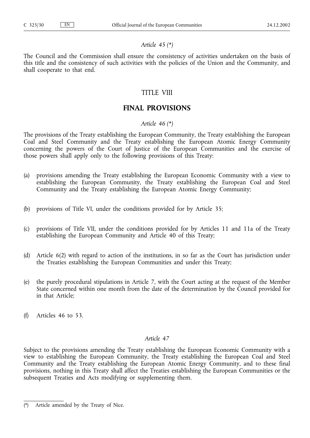## *Article 45 (\*)*

The Council and the Commission shall ensure the consistency of activities undertaken on the basis of this title and the consistency of such activities with the policies of the Union and the Community, and shall cooperate to that end.

# TITLE VIII

# **FINAL PROVISIONS**

## *Article 46 (\*)*

The provisions of the Treaty establishing the European Community, the Treaty establishing the European Coal and Steel Community and the Treaty establishing the European Atomic Energy Community concerning the powers of the Court of Justice of the European Communities and the exercise of those powers shall apply only to the following provisions of this Treaty:

- (a) provisions amending the Treaty establishing the European Economic Community with a view to establishing the European Community, the Treaty establishing the European Coal and Steel Community and the Treaty establishing the European Atomic Energy Community;
- (b) provisions of Title VI, under the conditions provided for by Article 35;
- (c) provisions of Title VII, under the conditions provided for by Articles 11 and 11a of the Treaty establishing the European Community and Article 40 of this Treaty;
- (d) Article 6(2) with regard to action of the institutions, in so far as the Court has jurisdiction under the Treaties establishing the European Communities and under this Treaty;
- (e) the purely procedural stipulations in Article 7, with the Court acting at the request of the Member State concerned within one month from the date of the determination by the Council provided for in that Article;
- (f) Articles 46 to 53.

## *Article 47*

Subject to the provisions amending the Treaty establishing the European Economic Community with a view to establishing the European Community, the Treaty establishing the European Coal and Steel Community and the Treaty establishing the European Atomic Energy Community, and to these final provisions, nothing in this Treaty shall affect the Treaties establishing the European Communities or the subsequent Treaties and Acts modifying or supplementing them.

<sup>(\*)</sup> Article amended by the Treaty of Nice.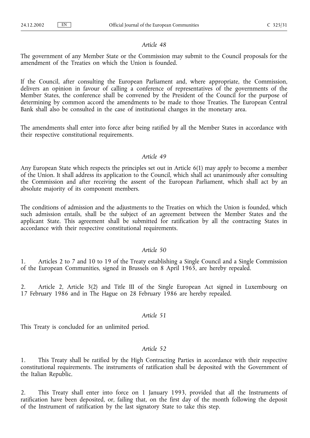The government of any Member State or the Commission may submit to the Council proposals for the amendment of the Treaties on which the Union is founded.

If the Council, after consulting the European Parliament and, where appropriate, the Commission, delivers an opinion in favour of calling a conference of representatives of the governments of the Member States, the conference shall be convened by the President of the Council for the purpose of determining by common accord the amendments to be made to those Treaties. The European Central Bank shall also be consulted in the case of institutional changes in the monetary area.

The amendments shall enter into force after being ratified by all the Member States in accordance with their respective constitutional requirements.

## *Article 49*

Any European State which respects the principles set out in Article 6(1) may apply to become a member of the Union. It shall address its application to the Council, which shall act unanimously after consulting the Commission and after receiving the assent of the European Parliament, which shall act by an absolute majority of its component members.

The conditions of admission and the adjustments to the Treaties on which the Union is founded, which such admission entails, shall be the subject of an agreement between the Member States and the applicant State. This agreement shall be submitted for ratification by all the contracting States in accordance with their respective constitutional requirements.

#### *Article 50*

1. Articles 2 to 7 and 10 to 19 of the Treaty establishing a Single Council and a Single Commission of the European Communities, signed in Brussels on 8 April 1965, are hereby repealed.

2. Article 2, Article 3(2) and Title III of the Single European Act signed in Luxembourg on 17 February 1986 and in The Hague on 28 February 1986 are hereby repealed.

#### *Article 51*

This Treaty is concluded for an unlimited period.

#### *Article 52*

1. This Treaty shall be ratified by the High Contracting Parties in accordance with their respective constitutional requirements. The instruments of ratification shall be deposited with the Government of the Italian Republic.

2. This Treaty shall enter into force on 1 January 1993, provided that all the Instruments of ratification have been deposited, or, failing that, on the first day of the month following the deposit of the Instrument of ratification by the last signatory State to take this step.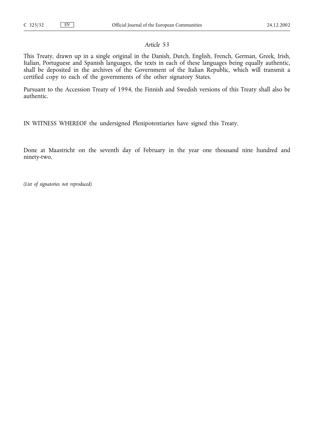This Treaty, drawn up in a single original in the Danish, Dutch, English, French, German, Greek, Irish, Italian, Portuguese and Spanish languages, the texts in each of these languages being equally authentic, shall be deposited in the archives of the Government of the Italian Republic, which will transmit a certified copy to each of the governments of the other signatory States.

Pursuant to the Accession Treaty of 1994, the Finnish and Swedish versions of this Treaty shall also be authentic.

IN WITNESS WHEREOF the undersigned Plenipotentiaries have signed this Treaty.

Done at Maastricht on the seventh day of February in the year one thousand nine hundred and ninety-two.

*(List of signatories not reproduced)*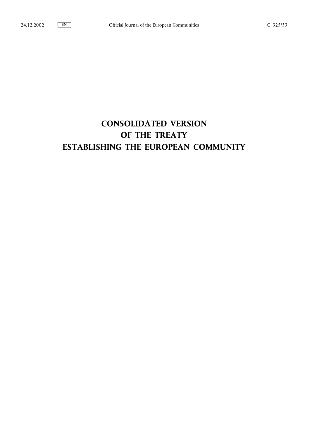# **CONSOLIDATED VERSION OF THE TREATY ESTABLISHING THE EUROPEAN COMMUNITY**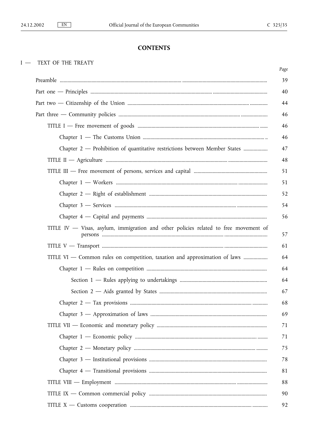# **CONTENTS**

# $I - TEXT$  OF THE TREATY

| Chapter 2 — Prohibition of quantitative restrictions between Member States             |  |
|----------------------------------------------------------------------------------------|--|
|                                                                                        |  |
|                                                                                        |  |
|                                                                                        |  |
|                                                                                        |  |
|                                                                                        |  |
|                                                                                        |  |
| TITLE IV $-$ Visas, asylum, immigration and other policies related to free movement of |  |
|                                                                                        |  |
| TITLE VI — Common rules on competition, taxation and approximation of laws             |  |
|                                                                                        |  |
|                                                                                        |  |
|                                                                                        |  |
|                                                                                        |  |
|                                                                                        |  |
|                                                                                        |  |
|                                                                                        |  |
|                                                                                        |  |
|                                                                                        |  |
|                                                                                        |  |
|                                                                                        |  |
|                                                                                        |  |
|                                                                                        |  |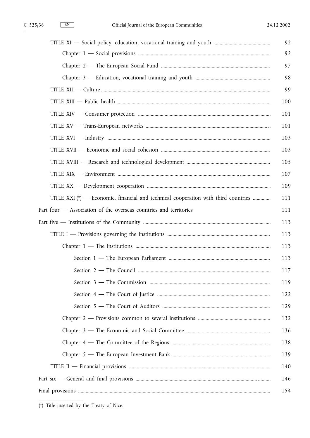|                                                                                      | 92                |
|--------------------------------------------------------------------------------------|-------------------|
|                                                                                      | 92                |
|                                                                                      | 97                |
|                                                                                      | 98                |
|                                                                                      | 99                |
|                                                                                      | 100               |
|                                                                                      | 101               |
|                                                                                      | 101               |
|                                                                                      | 103               |
|                                                                                      | 103               |
|                                                                                      | 105               |
|                                                                                      | 107               |
|                                                                                      | 109               |
| TITLE XXI $(*)$ — Economic, financial and technical cooperation with third countries | 111               |
| Part four - Association of the overseas countries and territories                    | 111               |
|                                                                                      |                   |
|                                                                                      | 113               |
|                                                                                      | 113               |
|                                                                                      | 113               |
|                                                                                      | 113               |
|                                                                                      |                   |
|                                                                                      | 117<br>119        |
|                                                                                      | 122               |
|                                                                                      | 129               |
|                                                                                      | 132               |
|                                                                                      |                   |
|                                                                                      |                   |
|                                                                                      | 136<br>138<br>139 |
|                                                                                      | 140               |
|                                                                                      | 146               |

 $(*)$  Title inserted by the Treaty of Nice.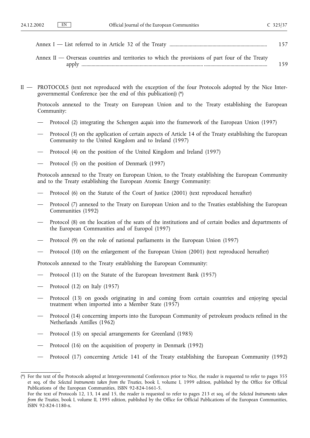|                                                                                                  | 157 |
|--------------------------------------------------------------------------------------------------|-----|
| Annex II — Overseas countries and territories to which the provisions of part four of the Treaty | 159 |

II — PROTOCOLS (text not reproduced with the exception of the four Protocols adopted by the Nice Intergovernmental Conference (see the end of this publication)) (\*)

Protocols annexed to the Treaty on European Union and to the Treaty establishing the European Community:

- Protocol (2) integrating the Schengen *acquis* into the framework of the European Union (1997)
- Protocol (3) on the application of certain aspects of Article 14 of the Treaty establishing the European Community to the United Kingdom and to Ireland (1997)
- Protocol (4) on the position of the United Kingdom and Ireland (1997)
- Protocol (5) on the position of Denmark (1997)

Protocols annexed to the Treaty on European Union, to the Treaty establishing the European Community and to the Treaty establishing the European Atomic Energy Community:

- Protocol (6) on the Statute of the Court of Justice (2001) (text reproduced hereafter)
- Protocol (7) annexed to the Treaty on European Union and to the Treaties establishing the European Communities (1992)
- Protocol (8) on the location of the seats of the institutions and of certain bodies and departments of the European Communities and of Europol (1997)
- Protocol (9) on the role of national parliaments in the European Union (1997)
- Protocol (10) on the enlargement of the European Union (2001) (text reproduced hereafter)

Protocols annexed to the Treaty establishing the European Community:

- Protocol (11) on the Statute of the European Investment Bank (1957)
- Protocol (12) on Italy (1957)
- Protocol (13) on goods originating in and coming from certain countries and enjoying special treatment when imported into a Member State (1957)
- Protocol (14) concerning imports into the European Community of petroleum products refined in the Netherlands Antilles (1962)
- Protocol (15) on special arrangements for Greenland (1985)
- Protocol (16) on the acquisition of property in Denmark (1992)
- Protocol (17) concerning Article 141 of the Treaty establishing the European Community (1992)

<sup>(\*)</sup> For the text of the Protocols adopted at Intergovernmental Conferences prior to Nice, the reader is requested to refer to pages 355 et seq. of the *Selected Instruments taken from the Treaties*, book I, volume I, 1999 edition, published by the Office for Official Publications of the European Communities, ISBN 92-824-1661-5.

For the text of Protocols 12, 13, 14 and 15, the reader is requested to refer to pages 213 et seq. of the *Selected Instruments taken from the Treaties*, book I, volume II, 1995 edition, published by the Office for Official Publications of the European Communities, ISBN 92-824-1180-x.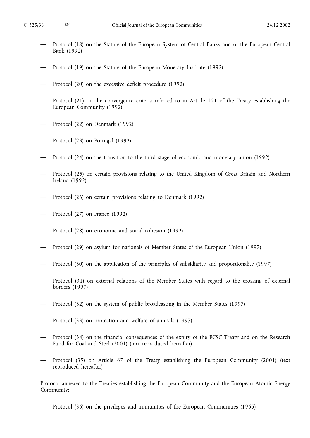- Protocol (18) on the Statute of the European System of Central Banks and of the European Central Bank (1992)
- Protocol (19) on the Statute of the European Monetary Institute (1992)
- Protocol (20) on the excessive deficit procedure (1992)
- Protocol (21) on the convergence criteria referred to in Article 121 of the Treaty establishing the European Community (1992)
- Protocol (22) on Denmark (1992)
- Protocol (23) on Portugal (1992)
- Protocol (24) on the transition to the third stage of economic and monetary union (1992)
- Protocol (25) on certain provisions relating to the United Kingdom of Great Britain and Northern Ireland (1992)
- Protocol (26) on certain provisions relating to Denmark (1992)
- Protocol (27) on France (1992)
- Protocol (28) on economic and social cohesion (1992)
- Protocol (29) on asylum for nationals of Member States of the European Union (1997)
- Protocol (30) on the application of the principles of subsidiarity and proportionality (1997)
- Protocol (31) on external relations of the Member States with regard to the crossing of external borders (1997)
- Protocol (32) on the system of public broadcasting in the Member States (1997)
- Protocol (33) on protection and welfare of animals (1997)
- Protocol (34) on the financial consequences of the expiry of the ECSC Treaty and on the Research Fund for Coal and Steel (2001) (text reproduced hereafter)
- Protocol (35) on Article 67 of the Treaty establishing the European Community (2001) (text reproduced hereafter)

Protocol annexed to the Treaties establishing the European Community and the European Atomic Energy Community:

Protocol (36) on the privileges and immunities of the European Communities (1965)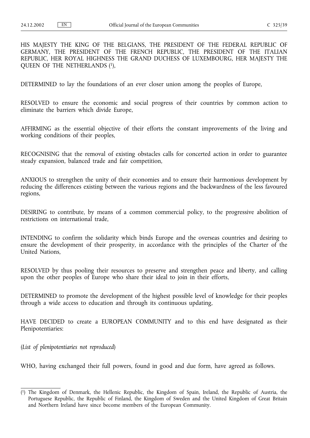HIS MAJESTY THE KING OF THE BELGIANS, THE PRESIDENT OF THE FEDERAL REPUBLIC OF GERMANY, THE PRESIDENT OF THE FRENCH REPUBLIC, THE PRESIDENT OF THE ITALIAN REPUBLIC, HER ROYAL HIGHNESS THE GRAND DUCHESS OF LUXEMBOURG, HER MAJESTY THE QUEEN OF THE NETHERLANDS (1),

DETERMINED to lay the foundations of an ever closer union among the peoples of Europe,

RESOLVED to ensure the economic and social progress of their countries by common action to eliminate the barriers which divide Europe,

AFFIRMING as the essential objective of their efforts the constant improvements of the living and working conditions of their peoples,

RECOGNISING that the removal of existing obstacles calls for concerted action in order to guarantee steady expansion, balanced trade and fair competition,

ANXIOUS to strengthen the unity of their economies and to ensure their harmonious development by reducing the differences existing between the various regions and the backwardness of the less favoured regions,

DESIRING to contribute, by means of a common commercial policy, to the progressive abolition of restrictions on international trade,

INTENDING to confirm the solidarity which binds Europe and the overseas countries and desiring to ensure the development of their prosperity, in accordance with the principles of the Charter of the United Nations,

RESOLVED by thus pooling their resources to preserve and strengthen peace and liberty, and calling upon the other peoples of Europe who share their ideal to join in their efforts,

DETERMINED to promote the development of the highest possible level of knowledge for their peoples through a wide access to education and through its continuous updating,

HAVE DECIDED to create a EUROPEAN COMMUNITY and to this end have designated as their Plenipotentiaries:

(*List of plenipotentiaries not reproduced*)

WHO, having exchanged their full powers, found in good and due form, have agreed as follows.

<sup>(</sup> 1) The Kingdom of Denmark, the Hellenic Republic, the Kingdom of Spain, Ireland, the Republic of Austria, the Portuguese Republic, the Republic of Finland, the Kingdom of Sweden and the United Kingdom of Great Britain and Northern Ireland have since become members of the European Community.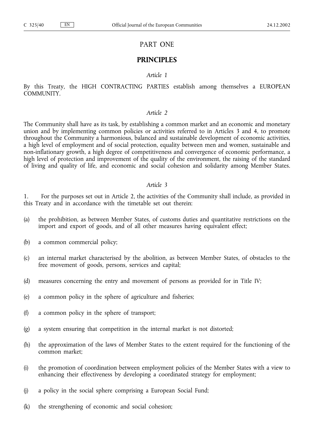# PART ONE

# **PRINCIPLES**

#### *Article 1*

By this Treaty, the HIGH CONTRACTING PARTIES establish among themselves a EUROPEAN COMMUNITY.

## *Article 2*

The Community shall have as its task, by establishing a common market and an economic and monetary union and by implementing common policies or activities referred to in Articles 3 and 4, to promote throughout the Community a harmonious, balanced and sustainable development of economic activities, a high level of employment and of social protection, equality between men and women, sustainable and non-inflationary growth, a high degree of competitiveness and convergence of economic performance, a high level of protection and improvement of the quality of the environment, the raising of the standard of living and quality of life, and economic and social cohesion and solidarity among Member States.

#### *Article 3*

1. For the purposes set out in Article 2, the activities of the Community shall include, as provided in this Treaty and in accordance with the timetable set out therein:

- (a) the prohibition, as between Member States, of customs duties and quantitative restrictions on the import and export of goods, and of all other measures having equivalent effect;
- (b) a common commercial policy;
- (c) an internal market characterised by the abolition, as between Member States, of obstacles to the free movement of goods, persons, services and capital;
- (d) measures concerning the entry and movement of persons as provided for in Title IV;
- (e) a common policy in the sphere of agriculture and fisheries;
- (f) a common policy in the sphere of transport;
- (g) a system ensuring that competition in the internal market is not distorted;
- (h) the approximation of the laws of Member States to the extent required for the functioning of the common market;
- (i) the promotion of coordination between employment policies of the Member States with a view to enhancing their effectiveness by developing a coordinated strategy for employment;
- (j) a policy in the social sphere comprising a European Social Fund;
- (k) the strengthening of economic and social cohesion;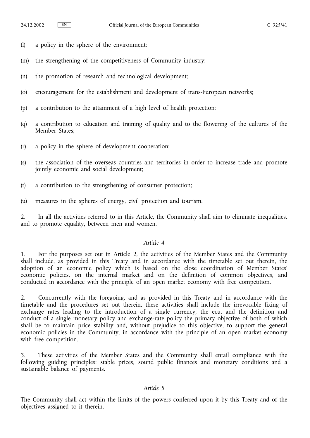- (l) a policy in the sphere of the environment;
- (m) the strengthening of the competitiveness of Community industry;
- (n) the promotion of research and technological development;
- (o) encouragement for the establishment and development of trans-European networks;
- (p) a contribution to the attainment of a high level of health protection;
- (q) a contribution to education and training of quality and to the flowering of the cultures of the Member States;
- (r) a policy in the sphere of development cooperation;
- (s) the association of the overseas countries and territories in order to increase trade and promote jointly economic and social development;
- (t) a contribution to the strengthening of consumer protection;
- (u) measures in the spheres of energy, civil protection and tourism.

2. In all the activities referred to in this Article, the Community shall aim to eliminate inequalities, and to promote equality, between men and women.

# *Article 4*

1. For the purposes set out in Article 2, the activities of the Member States and the Community shall include, as provided in this Treaty and in accordance with the timetable set out therein, the adoption of an economic policy which is based on the close coordination of Member States' economic policies, on the internal market and on the definition of common objectives, and conducted in accordance with the principle of an open market economy with free competition.

2. Concurrently with the foregoing, and as provided in this Treaty and in accordance with the timetable and the procedures set out therein, these activities shall include the irrevocable fixing of exchange rates leading to the introduction of a single currency, the ecu, and the definition and conduct of a single monetary policy and exchange-rate policy the primary objective of both of which shall be to maintain price stability and, without prejudice to this objective, to support the general economic policies in the Community, in accordance with the principle of an open market economy with free competition.

3. These activities of the Member States and the Community shall entail compliance with the following guiding principles: stable prices, sound public finances and monetary conditions and a sustainable balance of payments.

## *Article 5*

The Community shall act within the limits of the powers conferred upon it by this Treaty and of the objectives assigned to it therein.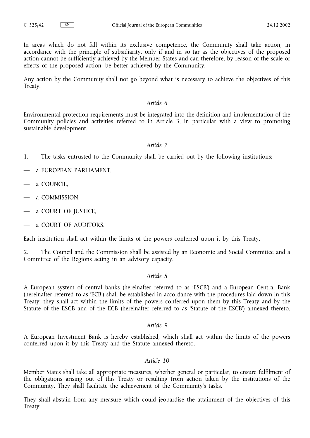In areas which do not fall within its exclusive competence, the Community shall take action, in accordance with the principle of subsidiarity, only if and in so far as the objectives of the proposed action cannot be sufficiently achieved by the Member States and can therefore, by reason of the scale or effects of the proposed action, be better achieved by the Community.

Any action by the Community shall not go beyond what is necessary to achieve the objectives of this Treaty.

### *Article 6*

Environmental protection requirements must be integrated into the definition and implementation of the Community policies and activities referred to in Article 3, in particular with a view to promoting sustainable development.

# *Article 7*

- 1. The tasks entrusted to the Community shall be carried out by the following institutions:
- a EUROPEAN PARLIAMENT,
- a COUNCIL,
- a COMMISSION,
- a COURT OF JUSTICE,
- a COURT OF AUDITORS.

Each institution shall act within the limits of the powers conferred upon it by this Treaty.

2. The Council and the Commission shall be assisted by an Economic and Social Committee and a Committee of the Regions acting in an advisory capacity.

# *Article 8*

A European system of central banks (hereinafter referred to as 'ESCB') and a European Central Bank (hereinafter referred to as 'ECB') shall be established in accordance with the procedures laid down in this Treaty; they shall act within the limits of the powers conferred upon them by this Treaty and by the Statute of the ESCB and of the ECB (hereinafter referred to as 'Statute of the ESCB') annexed thereto.

## *Article 9*

A European Investment Bank is hereby established, which shall act within the limits of the powers conferred upon it by this Treaty and the Statute annexed thereto.

#### *Article 10*

Member States shall take all appropriate measures, whether general or particular, to ensure fulfilment of the obligations arising out of this Treaty or resulting from action taken by the institutions of the Community. They shall facilitate the achievement of the Community's tasks.

They shall abstain from any measure which could jeopardise the attainment of the objectives of this Treaty.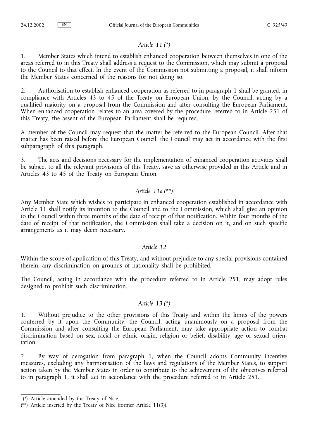# *Article 11 (\*)*

1. Member States which intend to establish enhanced cooperation between themselves in one of the areas referred to in this Treaty shall address a request to the Commission, which may submit a proposal to the Council to that effect. In the event of the Commission not submitting a proposal, it shall inform the Member States concerned of the reasons for not doing so.

2. Authorisation to establish enhanced cooperation as referred to in paragraph 1 shall be granted, in compliance with Articles 43 to 45 of the Treaty on European Union, by the Council, acting by a qualified majority on a proposal from the Commission and after consulting the European Parliament. When enhanced cooperation relates to an area covered by the procedure referred to in Article 251 of this Treaty, the assent of the European Parliament shall be required.

A member of the Council may request that the matter be referred to the European Council. After that matter has been raised before the European Council, the Council may act in accordance with the first subparagraph of this paragraph.

3. The acts and decisions necessary for the implementation of enhanced cooperation activities shall be subject to all the relevant provisions of this Treaty, save as otherwise provided in this Article and in Articles 43 to 45 of the Treaty on European Union.

# *Article 11a (\*\*)*

Any Member State which wishes to participate in enhanced cooperation established in accordance with Article 11 shall notify its intention to the Council and to the Commission, which shall give an opinion to the Council within three months of the date of receipt of that notification. Within four months of the date of receipt of that notification, the Commission shall take a decision on it, and on such specific arrangements as it may deem necessary.

## *Article 12*

Within the scope of application of this Treaty, and without prejudice to any special provisions contained therein, any discrimination on grounds of nationality shall be prohibited.

The Council, acting in accordance with the procedure referred to in Article 251, may adopt rules designed to prohibit such discrimination.

### *Article 13 (\*)*

1. Without prejudice to the other provisions of this Treaty and within the limits of the powers conferred by it upon the Community, the Council, acting unanimously on a proposal from the Commission and after consulting the European Parliament, may take appropriate action to combat discrimination based on sex, racial or ethnic origin, religion or belief, disability, age or sexual orientation.

2. By way of derogation from paragraph 1, when the Council adopts Community incentive measures, excluding any harmonisation of the laws and regulations of the Member States, to support action taken by the Member States in order to contribute to the achievement of the objectives referred to in paragraph 1, it shall act in accordance with the procedure referred to in Article 251.

<sup>(\*)</sup> Article amended by the Treaty of Nice.

<sup>(\*\*)</sup> Article inserted by the Treaty of Nice (former Article 11(3)).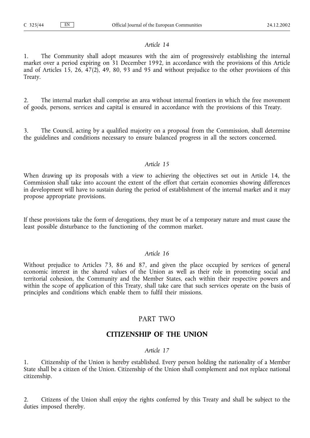1. The Community shall adopt measures with the aim of progressively establishing the internal market over a period expiring on 31 December 1992, in accordance with the provisions of this Article and of Articles 15, 26, 47(2), 49, 80, 93 and 95 and without prejudice to the other provisions of this Treaty.

2. The internal market shall comprise an area without internal frontiers in which the free movement of goods, persons, services and capital is ensured in accordance with the provisions of this Treaty.

3. The Council, acting by a qualified majority on a proposal from the Commission, shall determine the guidelines and conditions necessary to ensure balanced progress in all the sectors concerned.

# *Article 15*

When drawing up its proposals with a view to achieving the objectives set out in Article 14, the Commission shall take into account the extent of the effort that certain economies showing differences in development will have to sustain during the period of establishment of the internal market and it may propose appropriate provisions.

If these provisions take the form of derogations, they must be of a temporary nature and must cause the least possible disturbance to the functioning of the common market.

# *Article 16*

Without prejudice to Articles 73, 86 and 87, and given the place occupied by services of general economic interest in the shared values of the Union as well as their role in promoting social and territorial cohesion, the Community and the Member States, each within their respective powers and within the scope of application of this Treaty, shall take care that such services operate on the basis of principles and conditions which enable them to fulfil their missions.

# PART TWO

# **CITIZENSHIP OF THE UNION**

## *Article 17*

1. Citizenship of the Union is hereby established. Every person holding the nationality of a Member State shall be a citizen of the Union. Citizenship of the Union shall complement and not replace national citizenship.

2. Citizens of the Union shall enjoy the rights conferred by this Treaty and shall be subject to the duties imposed thereby.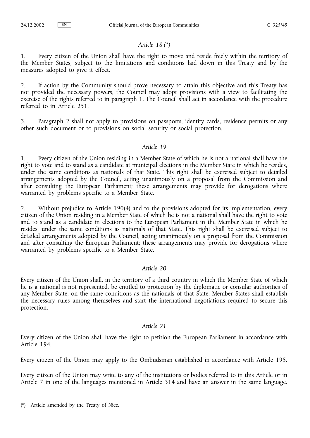# *Article 18 (\*)*

1. Every citizen of the Union shall have the right to move and reside freely within the territory of the Member States, subject to the limitations and conditions laid down in this Treaty and by the measures adopted to give it effect.

2. If action by the Community should prove necessary to attain this objective and this Treaty has not provided the necessary powers, the Council may adopt provisions with a view to facilitating the exercise of the rights referred to in paragraph 1. The Council shall act in accordance with the procedure referred to in Article 251.

3. Paragraph 2 shall not apply to provisions on passports, identity cards, residence permits or any other such document or to provisions on social security or social protection.

# *Article 19*

1. Every citizen of the Union residing in a Member State of which he is not a national shall have the right to vote and to stand as a candidate at municipal elections in the Member State in which he resides, under the same conditions as nationals of that State. This right shall be exercised subject to detailed arrangements adopted by the Council, acting unanimously on a proposal from the Commission and after consulting the European Parliament; these arrangements may provide for derogations where warranted by problems specific to a Member State.

2. Without prejudice to Article 190(4) and to the provisions adopted for its implementation, every citizen of the Union residing in a Member State of which he is not a national shall have the right to vote and to stand as a candidate in elections to the European Parliament in the Member State in which he resides, under the same conditions as nationals of that State. This right shall be exercised subject to detailed arrangements adopted by the Council, acting unanimously on a proposal from the Commission and after consulting the European Parliament; these arrangements may provide for derogations where warranted by problems specific to a Member State.

### *Article 20*

Every citizen of the Union shall, in the territory of a third country in which the Member State of which he is a national is not represented, be entitled to protection by the diplomatic or consular authorities of any Member State, on the same conditions as the nationals of that State. Member States shall establish the necessary rules among themselves and start the international negotiations required to secure this protection.

### *Article 21*

Every citizen of the Union shall have the right to petition the European Parliament in accordance with Article 194.

Every citizen of the Union may apply to the Ombudsman established in accordance with Article 195.

Every citizen of the Union may write to any of the institutions or bodies referred to in this Article or in Article 7 in one of the languages mentioned in Article 314 and have an answer in the same language.

<sup>(\*)</sup> Article amended by the Treaty of Nice.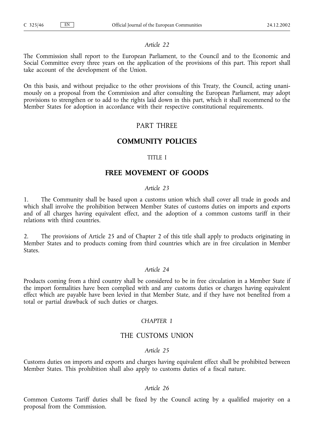The Commission shall report to the European Parliament, to the Council and to the Economic and Social Committee every three years on the application of the provisions of this part. This report shall take account of the development of the Union.

On this basis, and without prejudice to the other provisions of this Treaty, the Council, acting unanimously on a proposal from the Commission and after consulting the European Parliament, may adopt provisions to strengthen or to add to the rights laid down in this part, which it shall recommend to the Member States for adoption in accordance with their respective constitutional requirements.

## PART THREE

# **COMMUNITY POLICIES**

#### TITLE I

## **FREE MOVEMENT OF GOODS**

### *Article 23*

1. The Community shall be based upon a customs union which shall cover all trade in goods and which shall involve the prohibition between Member States of customs duties on imports and exports and of all charges having equivalent effect, and the adoption of a common customs tariff in their relations with third countries.

2. The provisions of Article 25 and of Chapter 2 of this title shall apply to products originating in Member States and to products coming from third countries which are in free circulation in Member States.

# *Article 24*

Products coming from a third country shall be considered to be in free circulation in a Member State if the import formalities have been complied with and any customs duties or charges having equivalent effect which are payable have been levied in that Member State, and if they have not benefited from a total or partial drawback of such duties or charges.

#### *CHAPTER 1*

# THE CUSTOMS UNION

#### *Article 25*

Customs duties on imports and exports and charges having equivalent effect shall be prohibited between Member States. This prohibition shall also apply to customs duties of a fiscal nature.

## *Article 26*

Common Customs Tariff duties shall be fixed by the Council acting by a qualified majority on a proposal from the Commission.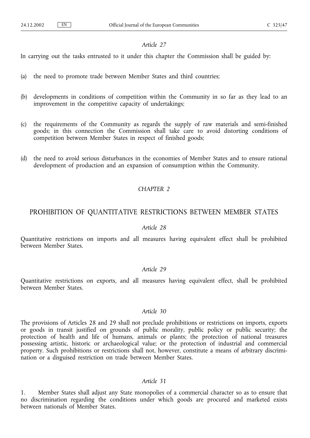In carrying out the tasks entrusted to it under this chapter the Commission shall be guided by:

- (a) the need to promote trade between Member States and third countries;
- (b) developments in conditions of competition within the Community in so far as they lead to an improvement in the competitive capacity of undertakings;
- (c) the requirements of the Community as regards the supply of raw materials and semi-finished goods; in this connection the Commission shall take care to avoid distorting conditions of competition between Member States in respect of finished goods;
- (d) the need to avoid serious disturbances in the economies of Member States and to ensure rational development of production and an expansion of consumption within the Community.

### *CHAPTER 2*

# PROHIBITION OF QUANTITATIVE RESTRICTIONS BETWEEN MEMBER STATES

#### *Article 28*

Quantitative restrictions on imports and all measures having equivalent effect shall be prohibited between Member States.

### *Article 29*

Quantitative restrictions on exports, and all measures having equivalent effect, shall be prohibited between Member States.

# *Article 30*

The provisions of Articles 28 and 29 shall not preclude prohibitions or restrictions on imports, exports or goods in transit justified on grounds of public morality, public policy or public security; the protection of health and life of humans, animals or plants; the protection of national treasures possessing artistic, historic or archaeological value; or the protection of industrial and commercial property. Such prohibitions or restrictions shall not, however, constitute a means of arbitrary discrimination or a disguised restriction on trade between Member States.

#### *Article 31*

1. Member States shall adjust any State monopolies of a commercial character so as to ensure that no discrimination regarding the conditions under which goods are procured and marketed exists between nationals of Member States.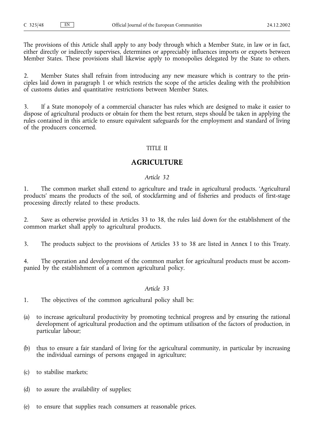The provisions of this Article shall apply to any body through which a Member State, in law or in fact, either directly or indirectly supervises, determines or appreciably influences imports or exports between Member States. These provisions shall likewise apply to monopolies delegated by the State to others.

2. Member States shall refrain from introducing any new measure which is contrary to the principles laid down in paragraph 1 or which restricts the scope of the articles dealing with the prohibition of customs duties and quantitative restrictions between Member States.

3. If a State monopoly of a commercial character has rules which are designed to make it easier to dispose of agricultural products or obtain for them the best return, steps should be taken in applying the rules contained in this article to ensure equivalent safeguards for the employment and standard of living of the producers concerned.

## TITLE II

# **AGRICULTURE**

#### *Article 32*

1. The common market shall extend to agriculture and trade in agricultural products. 'Agricultural products' means the products of the soil, of stockfarming and of fisheries and products of first-stage processing directly related to these products.

2. Save as otherwise provided in Articles 33 to 38, the rules laid down for the establishment of the common market shall apply to agricultural products.

3. The products subject to the provisions of Articles 33 to 38 are listed in Annex I to this Treaty.

4. The operation and development of the common market for agricultural products must be accompanied by the establishment of a common agricultural policy.

## *Article 33*

1. The objectives of the common agricultural policy shall be:

- (a) to increase agricultural productivity by promoting technical progress and by ensuring the rational development of agricultural production and the optimum utilisation of the factors of production, in particular labour;
- (b) thus to ensure a fair standard of living for the agricultural community, in particular by increasing the individual earnings of persons engaged in agriculture;
- (c) to stabilise markets;
- (d) to assure the availability of supplies;
- (e) to ensure that supplies reach consumers at reasonable prices.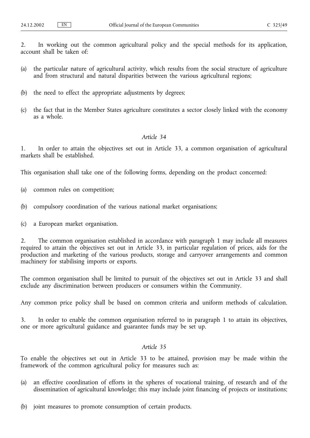2. In working out the common agricultural policy and the special methods for its application, account shall be taken of:

- (a) the particular nature of agricultural activity, which results from the social structure of agriculture and from structural and natural disparities between the various agricultural regions;
- (b) the need to effect the appropriate adjustments by degrees;
- (c) the fact that in the Member States agriculture constitutes a sector closely linked with the economy as a whole.

#### *Article 34*

1. In order to attain the objectives set out in Article 33, a common organisation of agricultural markets shall be established.

This organisation shall take one of the following forms, depending on the product concerned:

- (a) common rules on competition;
- (b) compulsory coordination of the various national market organisations;
- (c) a European market organisation.

2. The common organisation established in accordance with paragraph 1 may include all measures required to attain the objectives set out in Article 33, in particular regulation of prices, aids for the production and marketing of the various products, storage and carryover arrangements and common machinery for stabilising imports or exports.

The common organisation shall be limited to pursuit of the objectives set out in Article 33 and shall exclude any discrimination between producers or consumers within the Community.

Any common price policy shall be based on common criteria and uniform methods of calculation.

3. In order to enable the common organisation referred to in paragraph 1 to attain its objectives, one or more agricultural guidance and guarantee funds may be set up.

# *Article 35*

To enable the objectives set out in Article 33 to be attained, provision may be made within the framework of the common agricultural policy for measures such as:

- (a) an effective coordination of efforts in the spheres of vocational training, of research and of the dissemination of agricultural knowledge; this may include joint financing of projects or institutions;
- (b) joint measures to promote consumption of certain products.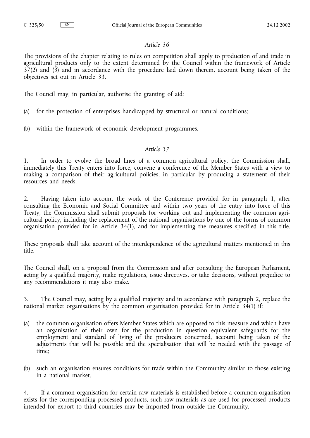The provisions of the chapter relating to rules on competition shall apply to production of and trade in agricultural products only to the extent determined by the Council within the framework of Article 37(2) and (3) and in accordance with the procedure laid down therein, account being taken of the objectives set out in Article 33.

The Council may, in particular, authorise the granting of aid:

- (a) for the protection of enterprises handicapped by structural or natural conditions;
- (b) within the framework of economic development programmes.

## *Article 37*

1. In order to evolve the broad lines of a common agricultural policy, the Commission shall, immediately this Treaty enters into force, convene a conference of the Member States with a view to making a comparison of their agricultural policies, in particular by producing a statement of their resources and needs.

2. Having taken into account the work of the Conference provided for in paragraph 1, after consulting the Economic and Social Committee and within two years of the entry into force of this Treaty, the Commission shall submit proposals for working out and implementing the common agricultural policy, including the replacement of the national organisations by one of the forms of common organisation provided for in Article 34(1), and for implementing the measures specified in this title.

These proposals shall take account of the interdependence of the agricultural matters mentioned in this title.

The Council shall, on a proposal from the Commission and after consulting the European Parliament, acting by a qualified majority, make regulations, issue directives, or take decisions, without prejudice to any recommendations it may also make.

3. The Council may, acting by a qualified majority and in accordance with paragraph 2, replace the national market organisations by the common organisation provided for in Article 34(1) if:

- (a) the common organisation offers Member States which are opposed to this measure and which have an organisation of their own for the production in question equivalent safeguards for the employment and standard of living of the producers concerned, account being taken of the adjustments that will be possible and the specialisation that will be needed with the passage of time;
- (b) such an organisation ensures conditions for trade within the Community similar to those existing in a national market.

4. If a common organisation for certain raw materials is established before a common organisation exists for the corresponding processed products, such raw materials as are used for processed products intended for export to third countries may be imported from outside the Community.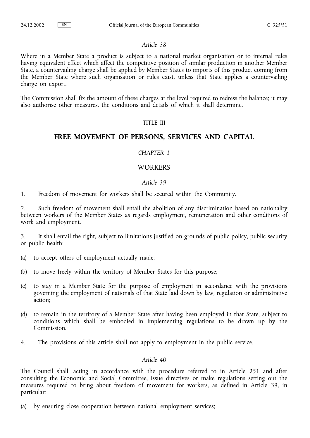Where in a Member State a product is subject to a national market organisation or to internal rules having equivalent effect which affect the competitive position of similar production in another Member State, a countervailing charge shall be applied by Member States to imports of this product coming from the Member State where such organisation or rules exist, unless that State applies a countervailing charge on export.

The Commission shall fix the amount of these charges at the level required to redress the balance; it may also authorise other measures, the conditions and details of which it shall determine.

### TITLE III

# **FREE MOVEMENT OF PERSONS, SERVICES AND CAPITAL**

# *CHAPTER 1*

# **WORKERS**

## *Article 39*

1. Freedom of movement for workers shall be secured within the Community.

2. Such freedom of movement shall entail the abolition of any discrimination based on nationality between workers of the Member States as regards employment, remuneration and other conditions of work and employment.

3. It shall entail the right, subject to limitations justified on grounds of public policy, public security or public health:

- (a) to accept offers of employment actually made;
- (b) to move freely within the territory of Member States for this purpose;
- (c) to stay in a Member State for the purpose of employment in accordance with the provisions governing the employment of nationals of that State laid down by law, regulation or administrative action;
- (d) to remain in the territory of a Member State after having been employed in that State, subject to conditions which shall be embodied in implementing regulations to be drawn up by the Commission.
- 4. The provisions of this article shall not apply to employment in the public service.

#### *Article 40*

The Council shall, acting in accordance with the procedure referred to in Article 251 and after consulting the Economic and Social Committee, issue directives or make regulations setting out the measures required to bring about freedom of movement for workers, as defined in Article 39, in particular:

(a) by ensuring close cooperation between national employment services;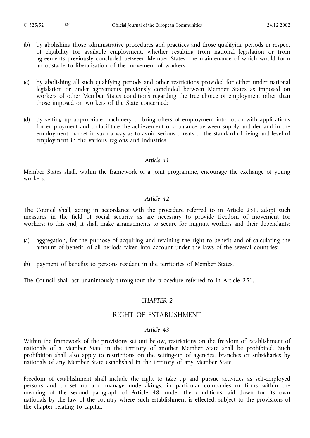- (b) by abolishing those administrative procedures and practices and those qualifying periods in respect of eligibility for available employment, whether resulting from national legislation or from agreements previously concluded between Member States, the maintenance of which would form an obstacle to liberalisation of the movement of workers;
- (c) by abolishing all such qualifying periods and other restrictions provided for either under national legislation or under agreements previously concluded between Member States as imposed on workers of other Member States conditions regarding the free choice of employment other than those imposed on workers of the State concerned;
- (d) by setting up appropriate machinery to bring offers of employment into touch with applications for employment and to facilitate the achievement of a balance between supply and demand in the employment market in such a way as to avoid serious threats to the standard of living and level of employment in the various regions and industries.

Member States shall, within the framework of a joint programme, encourage the exchange of young workers.

### *Article 42*

The Council shall, acting in accordance with the procedure referred to in Article 251, adopt such measures in the field of social security as are necessary to provide freedom of movement for workers; to this end, it shall make arrangements to secure for migrant workers and their dependants:

- (a) aggregation, for the purpose of acquiring and retaining the right to benefit and of calculating the amount of benefit, of all periods taken into account under the laws of the several countries;
- (b) payment of benefits to persons resident in the territories of Member States.

The Council shall act unanimously throughout the procedure referred to in Article 251.

# *CHAPTER 2*

# RIGHT OF ESTABLISHMENT

#### *Article 43*

Within the framework of the provisions set out below, restrictions on the freedom of establishment of nationals of a Member State in the territory of another Member State shall be prohibited. Such prohibition shall also apply to restrictions on the setting-up of agencies, branches or subsidiaries by nationals of any Member State established in the territory of any Member State.

Freedom of establishment shall include the right to take up and pursue activities as self-employed persons and to set up and manage undertakings, in particular companies or firms within the meaning of the second paragraph of Article 48, under the conditions laid down for its own nationals by the law of the country where such establishment is effected, subject to the provisions of the chapter relating to capital.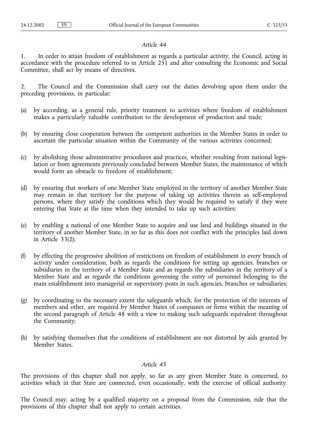1. In order to attain freedom of establishment as regards a particular activity, the Council, acting in accordance with the procedure referred to in Article 251 and after consulting the Economic and Social Committee, shall act by means of directives.

2. The Council and the Commission shall carry out the duties devolving upon them under the preceding provisions, in particular:

- (a) by according, as a general rule, priority treatment to activities where freedom of establishment makes a particularly valuable contribution to the development of production and trade;
- (b) by ensuring close cooperation between the competent authorities in the Member States in order to ascertain the particular situation within the Community of the various activities concerned;
- (c) by abolishing those administrative procedures and practices, whether resulting from national legislation or from agreements previously concluded between Member States, the maintenance of which would form an obstacle to freedom of establishment;
- (d) by ensuring that workers of one Member State employed in the territory of another Member State may remain in that territory for the purpose of taking up activities therein as self-employed persons, where they satisfy the conditions which they would be required to satisfy if they were entering that State at the time when they intended to take up such activities;
- (e) by enabling a national of one Member State to acquire and use land and buildings situated in the territory of another Member State, in so far as this does not conflict with the principles laid down in Article 33(2);
- (f) by effecting the progressive abolition of restrictions on freedom of establishment in every branch of activity under consideration, both as regards the conditions for setting up agencies, branches or subsidiaries in the territory of a Member State and as regards the subsidiaries in the territory of a Member State and as regards the conditions governing the entry of personnel belonging to the main establishment into managerial or supervisory posts in such agencies, branches or subsidiaries;
- (g) by coordinating to the necessary extent the safeguards which, for the protection of the interests of members and other, are required by Member States of companies or firms within the meaning of the second paragraph of Article 48 with a view to making such safeguards equivalent throughout the Community;
- (h) by satisfying themselves that the conditions of establishment are not distorted by aids granted by Member States.

# *Article 45*

The provisions of this chapter shall not apply, so far as any given Member State is concerned, to activities which in that State are connected, even occasionally, with the exercise of official authority.

The Council may, acting by a qualified majority on a proposal from the Commission, rule that the provisions of this chapter shall not apply to certain activities.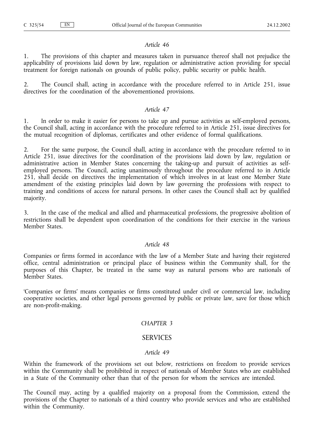1. The provisions of this chapter and measures taken in pursuance thereof shall not prejudice the applicability of provisions laid down by law, regulation or administrative action providing for special treatment for foreign nationals on grounds of public policy, public security or public health.

2. The Council shall, acting in accordance with the procedure referred to in Article 251, issue directives for the coordination of the abovementioned provisions.

## *Article 47*

1. In order to make it easier for persons to take up and pursue activities as self-employed persons, the Council shall, acting in accordance with the procedure referred to in Article 251, issue directives for the mutual recognition of diplomas, certificates and other evidence of formal qualifications.

2. For the same purpose, the Council shall, acting in accordance with the procedure referred to in Article 251, issue directives for the coordination of the provisions laid down by law, regulation or administrative action in Member States concerning the taking-up and pursuit of activities as selfemployed persons. The Council, acting unanimously throughout the procedure referred to in Article 251, shall decide on directives the implementation of which involves in at least one Member State amendment of the existing principles laid down by law governing the professions with respect to training and conditions of access for natural persons. In other cases the Council shall act by qualified majority.

3. In the case of the medical and allied and pharmaceutical professions, the progressive abolition of restrictions shall be dependent upon coordination of the conditions for their exercise in the various Member States.

#### *Article 48*

Companies or firms formed in accordance with the law of a Member State and having their registered office, central administration or principal place of business within the Community shall, for the purposes of this Chapter, be treated in the same way as natural persons who are nationals of Member States.

'Companies or firms' means companies or firms constituted under civil or commercial law, including cooperative societies, and other legal persons governed by public or private law, save for those which are non-profit-making.

# *CHAPTER 3*

## SERVICES

#### *Article 49*

Within the framework of the provisions set out below, restrictions on freedom to provide services within the Community shall be prohibited in respect of nationals of Member States who are established in a State of the Community other than that of the person for whom the services are intended.

The Council may, acting by a qualified majority on a proposal from the Commission, extend the provisions of the Chapter to nationals of a third country who provide services and who are established within the Community.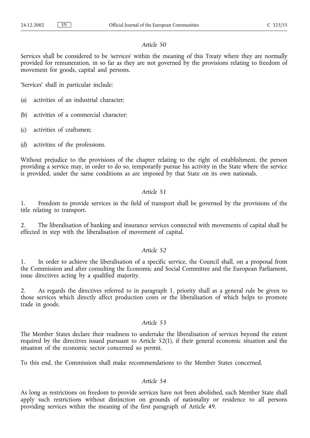Services shall be considered to be 'services' within the meaning of this Treaty where they are normally provided for remuneration, in so far as they are not governed by the provisions relating to freedom of movement for goods, capital and persons.

'Services' shall in particular include:

- (a) activities of an industrial character;
- (b) activities of a commercial character;
- (c) activities of craftsmen;
- (d) activities of the professions.

Without prejudice to the provisions of the chapter relating to the right of establishment, the person providing a service may, in order to do so, temporarily pursue his activity in the State where the service is provided, under the same conditions as are imposed by that State on its own nationals.

# *Article 51*

1. Freedom to provide services in the field of transport shall be governed by the provisions of the title relating to transport.

2. The liberalisation of banking and insurance services connected with movements of capital shall be effected in step with the liberalisation of movement of capital.

# *Article 52*

1. In order to achieve the liberalisation of a specific service, the Council shall, on a proposal from the Commission and after consulting the Economic and Social Committee and the European Parliament, issue directives acting by a qualified majority.

2. As regards the directives referred to in paragraph 1, priority shall as a general rule be given to those services which directly affect production costs or the liberalisation of which helps to promote trade in goods.

# *Article 53*

The Member States declare their readiness to undertake the liberalisation of services beyond the extent required by the directives issued pursuant to Article 52(1), if their general economic situation and the situation of the economic sector concerned so permit.

To this end, the Commission shall make recommendations to the Member States concerned.

### *Article 54*

As long as restrictions on freedom to provide services have not been abolished, each Member State shall apply such restrictions without distinction on grounds of nationality or residence to all persons providing services within the meaning of the first paragraph of Article 49.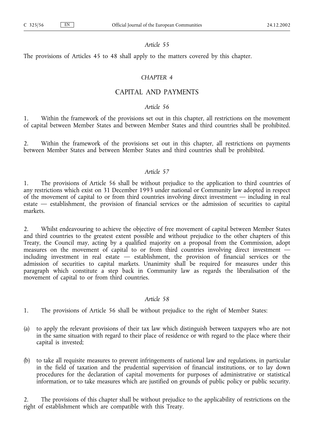The provisions of Articles 45 to 48 shall apply to the matters covered by this chapter.

### *CHAPTER 4*

# CAPITAL AND PAYMENTS

#### *Article 56*

1. Within the framework of the provisions set out in this chapter, all restrictions on the movement of capital between Member States and between Member States and third countries shall be prohibited.

2. Within the framework of the provisions set out in this chapter, all restrictions on payments between Member States and between Member States and third countries shall be prohibited.

#### *Article 57*

1. The provisions of Article 56 shall be without prejudice to the application to third countries of any restrictions which exist on 31 December 1993 under national or Community law adopted in respect of the movement of capital to or from third countries involving direct investment — including in real estate — establishment, the provision of financial services or the admission of securities to capital markets.

2. Whilst endeavouring to achieve the objective of free movement of capital between Member States and third countries to the greatest extent possible and without prejudice to the other chapters of this Treaty, the Council may, acting by a qualified majority on a proposal from the Commission, adopt measures on the movement of capital to or from third countries involving direct investment including investment in real estate — establishment, the provision of financial services or the admission of securities to capital markets. Unanimity shall be required for measures under this paragraph which constitute a step back in Community law as regards the liberalisation of the movement of capital to or from third countries.

#### *Article 58*

1. The provisions of Article 56 shall be without prejudice to the right of Member States:

- (a) to apply the relevant provisions of their tax law which distinguish between taxpayers who are not in the same situation with regard to their place of residence or with regard to the place where their capital is invested;
- (b) to take all requisite measures to prevent infringements of national law and regulations, in particular in the field of taxation and the prudential supervision of financial institutions, or to lay down procedures for the declaration of capital movements for purposes of administrative or statistical information, or to take measures which are justified on grounds of public policy or public security.

2. The provisions of this chapter shall be without prejudice to the applicability of restrictions on the right of establishment which are compatible with this Treaty.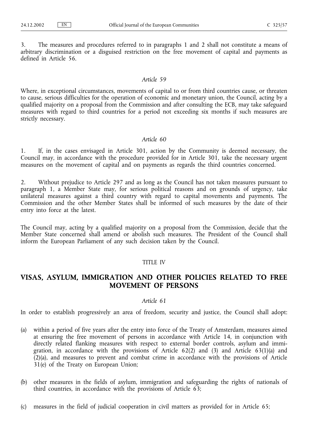3. The measures and procedures referred to in paragraphs 1 and 2 shall not constitute a means of arbitrary discrimination or a disguised restriction on the free movement of capital and payments as defined in Article 56.

### *Article 59*

Where, in exceptional circumstances, movements of capital to or from third countries cause, or threaten to cause, serious difficulties for the operation of economic and monetary union, the Council, acting by a qualified majority on a proposal from the Commission and after consulting the ECB, may take safeguard measures with regard to third countries for a period not exceeding six months if such measures are strictly necessary.

#### *Article 60*

1. If, in the cases envisaged in Article 301, action by the Community is deemed necessary, the Council may, in accordance with the procedure provided for in Article 301, take the necessary urgent measures on the movement of capital and on payments as regards the third countries concerned.

2. Without prejudice to Article 297 and as long as the Council has not taken measures pursuant to paragraph 1, a Member State may, for serious political reasons and on grounds of urgency, take unilateral measures against a third country with regard to capital movements and payments. The Commission and the other Member States shall be informed of such measures by the date of their entry into force at the latest.

The Council may, acting by a qualified majority on a proposal from the Commission, decide that the Member State concerned shall amend or abolish such measures. The President of the Council shall inform the European Parliament of any such decision taken by the Council.

#### TITLE IV

# **VISAS, ASYLUM, IMMIGRATION AND OTHER POLICIES RELATED TO FREE MOVEMENT OF PERSONS**

#### *Article 61*

In order to establish progressively an area of freedom, security and justice, the Council shall adopt:

- (a) within a period of five years after the entry into force of the Treaty of Amsterdam, measures aimed at ensuring the free movement of persons in accordance with Article 14, in conjunction with directly related flanking measures with respect to external border controls, asylum and immigration, in accordance with the provisions of Article 62(2) and (3) and Article 63(1)(a) and  $(2)(a)$ , and measures to prevent and combat crime in accordance with the provisions of Article 31(e) of the Treaty on European Union;
- (b) other measures in the fields of asylum, immigration and safeguarding the rights of nationals of third countries, in accordance with the provisions of Article 63;
- (c) measures in the field of judicial cooperation in civil matters as provided for in Article 65;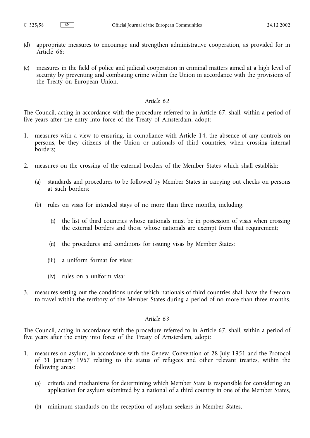- (d) appropriate measures to encourage and strengthen administrative cooperation, as provided for in Article 66;
- (e) measures in the field of police and judicial cooperation in criminal matters aimed at a high level of security by preventing and combating crime within the Union in accordance with the provisions of the Treaty on European Union.

The Council, acting in accordance with the procedure referred to in Article 67, shall, within a period of five years after the entry into force of the Treaty of Amsterdam, adopt:

- 1. measures with a view to ensuring, in compliance with Article 14, the absence of any controls on persons, be they citizens of the Union or nationals of third countries, when crossing internal borders;
- 2. measures on the crossing of the external borders of the Member States which shall establish:
	- (a) standards and procedures to be followed by Member States in carrying out checks on persons at such borders;
	- (b) rules on visas for intended stays of no more than three months, including:
		- (i) the list of third countries whose nationals must be in possession of visas when crossing the external borders and those whose nationals are exempt from that requirement;
		- (ii) the procedures and conditions for issuing visas by Member States;
		- (iii) a uniform format for visas;
		- (iv) rules on a uniform visa;
- 3. measures setting out the conditions under which nationals of third countries shall have the freedom to travel within the territory of the Member States during a period of no more than three months.

## *Article 63*

The Council, acting in accordance with the procedure referred to in Article 67, shall, within a period of five years after the entry into force of the Treaty of Amsterdam, adopt:

- 1. measures on asylum, in accordance with the Geneva Convention of 28 July 1951 and the Protocol of 31 January 1967 relating to the status of refugees and other relevant treaties, within the following areas:
	- (a) criteria and mechanisms for determining which Member State is responsible for considering an application for asylum submitted by a national of a third country in one of the Member States,
	- (b) minimum standards on the reception of asylum seekers in Member States,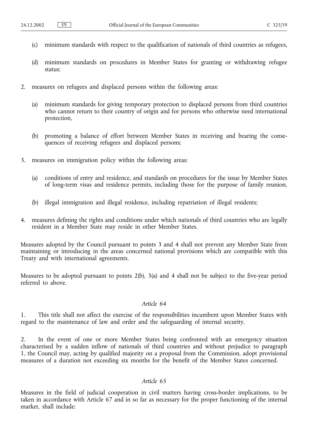- (c) minimum standards with respect to the qualification of nationals of third countries as refugees,
- (d) minimum standards on procedures in Member States for granting or withdrawing refugee status;
- 2. measures on refugees and displaced persons within the following areas:
	- (a) minimum standards for giving temporary protection to displaced persons from third countries who cannot return to their country of origin and for persons who otherwise need international protection,
	- (b) promoting a balance of effort between Member States in receiving and bearing the consequences of receiving refugees and displaced persons;
- 3. measures on immigration policy within the following areas:
	- (a) conditions of entry and residence, and standards on procedures for the issue by Member States of long-term visas and residence permits, including those for the purpose of family reunion,
	- (b) illegal immigration and illegal residence, including repatriation of illegal residents;
- 4. measures defining the rights and conditions under which nationals of third countries who are legally resident in a Member State may reside in other Member States.

Measures adopted by the Council pursuant to points 3 and 4 shall not prevent any Member State from maintaining or introducing in the areas concerned national provisions which are compatible with this Treaty and with international agreements.

Measures to be adopted pursuant to points 2(b), 3(a) and 4 shall not be subject to the five-year period referred to above.

## *Article 64*

1. This title shall not affect the exercise of the responsibilities incumbent upon Member States with regard to the maintenance of law and order and the safeguarding of internal security.

2. In the event of one or more Member States being confronted with an emergency situation characterised by a sudden inflow of nationals of third countries and without prejudice to paragraph 1, the Council may, acting by qualified majority on a proposal from the Commission, adopt provisional measures of a duration not exceeding six months for the benefit of the Member States concerned.

## *Article 65*

Measures in the field of judicial cooperation in civil matters having cross-border implications, to be taken in accordance with Article 67 and in so far as necessary for the proper functioning of the internal market, shall include: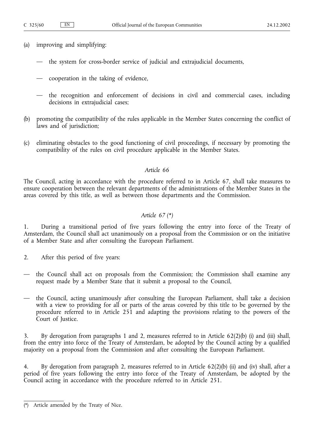- (a) improving and simplifying:
	- the system for cross-border service of judicial and extrajudicial documents,
	- cooperation in the taking of evidence,
	- the recognition and enforcement of decisions in civil and commercial cases, including decisions in extrajudicial cases;
- (b) promoting the compatibility of the rules applicable in the Member States concerning the conflict of laws and of jurisdiction;
- (c) eliminating obstacles to the good functioning of civil proceedings, if necessary by promoting the compatibility of the rules on civil procedure applicable in the Member States.

The Council, acting in accordance with the procedure referred to in Article 67, shall take measures to ensure cooperation between the relevant departments of the administrations of the Member States in the areas covered by this title, as well as between those departments and the Commission.

# *Article 67 (\*)*

1. During a transitional period of five years following the entry into force of the Treaty of Amsterdam, the Council shall act unanimously on a proposal from the Commission or on the initiative of a Member State and after consulting the European Parliament.

- 2. After this period of five years:
- the Council shall act on proposals from the Commission; the Commission shall examine any request made by a Member State that it submit a proposal to the Council,
- the Council, acting unanimously after consulting the European Parliament, shall take a decision with a view to providing for all or parts of the areas covered by this title to be governed by the procedure referred to in Article 251 and adapting the provisions relating to the powers of the Court of Justice.

3. By derogation from paragraphs 1 and 2, measures referred to in Article 62(2)(b) (i) and (iii) shall, from the entry into force of the Treaty of Amsterdam, be adopted by the Council acting by a qualified majority on a proposal from the Commission and after consulting the European Parliament.

4. By derogation from paragraph 2, measures referred to in Article 62(2)(b) (ii) and (iv) shall, after a period of five years following the entry into force of the Treaty of Amsterdam, be adopted by the Council acting in accordance with the procedure referred to in Article 251.

<sup>(\*)</sup> Article amended by the Treaty of Nice.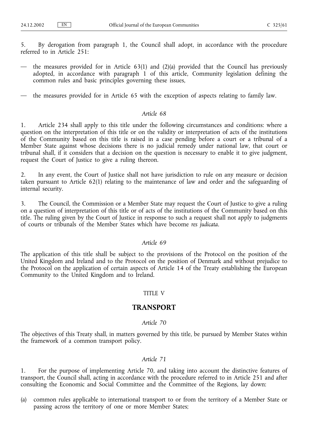5. By derogation from paragraph 1, the Council shall adopt, in accordance with the procedure referred to in Article 251:

the measures provided for in Article  $63(1)$  and  $(2)(a)$  provided that the Council has previously adopted, in accordance with paragraph 1 of this article, Community legislation defining the common rules and basic principles governing these issues,

the measures provided for in Article 65 with the exception of aspects relating to family law.

# *Article 68*

1. Article 234 shall apply to this title under the following circumstances and conditions: where a question on the interpretation of this title or on the validity or interpretation of acts of the institutions of the Community based on this title is raised in a case pending before a court or a tribunal of a Member State against whose decisions there is no judicial remedy under national law, that court or tribunal shall, if it considers that a decision on the question is necessary to enable it to give judgment, request the Court of Justice to give a ruling thereon.

2. In any event, the Court of Justice shall not have jurisdiction to rule on any measure or decision taken pursuant to Article 62(1) relating to the maintenance of law and order and the safeguarding of internal security.

3. The Council, the Commission or a Member State may request the Court of Justice to give a ruling on a question of interpretation of this title or of acts of the institutions of the Community based on this title. The ruling given by the Court of Justice in response to such a request shall not apply to judgments of courts or tribunals of the Member States which have become *res judicata*.

## *Article 69*

The application of this title shall be subject to the provisions of the Protocol on the position of the United Kingdom and Ireland and to the Protocol on the position of Denmark and without prejudice to the Protocol on the application of certain aspects of Article 14 of the Treaty establishing the European Community to the United Kingdom and to Ireland.

# TITLE V

# **TRANSPORT**

#### *Article 70*

The objectives of this Treaty shall, in matters governed by this title, be pursued by Member States within the framework of a common transport policy.

#### *Article 71*

1. For the purpose of implementing Article 70, and taking into account the distinctive features of transport, the Council shall, acting in accordance with the procedure referred to in Article 251 and after consulting the Economic and Social Committee and the Committee of the Regions, lay down:

(a) common rules applicable to international transport to or from the territory of a Member State or passing across the territory of one or more Member States;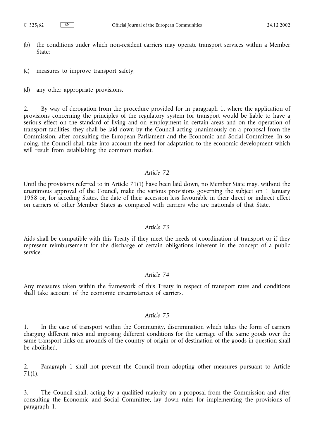- (b) the conditions under which non-resident carriers may operate transport services within a Member State;
- (c) measures to improve transport safety;
- (d) any other appropriate provisions.

2. By way of derogation from the procedure provided for in paragraph 1, where the application of provisions concerning the principles of the regulatory system for transport would be liable to have a serious effect on the standard of living and on employment in certain areas and on the operation of transport facilities, they shall be laid down by the Council acting unanimously on a proposal from the Commission, after consulting the European Parliament and the Economic and Social Committee. In so doing, the Council shall take into account the need for adaptation to the economic development which will result from establishing the common market.

#### *Article 72*

Until the provisions referred to in Article 71(1) have been laid down, no Member State may, without the unanimous approval of the Council, make the various provisions governing the subject on 1 January 1958 or, for acceding States, the date of their accession less favourable in their direct or indirect effect on carriers of other Member States as compared with carriers who are nationals of that State.

#### *Article 73*

Aids shall be compatible with this Treaty if they meet the needs of coordination of transport or if they represent reimbursement for the discharge of certain obligations inherent in the concept of a public service.

#### *Article 74*

Any measures taken within the framework of this Treaty in respect of transport rates and conditions shall take account of the economic circumstances of carriers.

#### *Article 75*

1. In the case of transport within the Community, discrimination which takes the form of carriers charging different rates and imposing different conditions for the carriage of the same goods over the same transport links on grounds of the country of origin or of destination of the goods in question shall be abolished.

2. Paragraph 1 shall not prevent the Council from adopting other measures pursuant to Article 71(1).

3. The Council shall, acting by a qualified majority on a proposal from the Commission and after consulting the Economic and Social Committee, lay down rules for implementing the provisions of paragraph 1.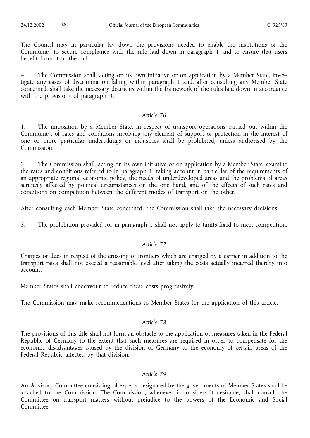The Council may in particular lay down the provisions needed to enable the institutions of the Community to secure compliance with the rule laid down in paragraph 1 and to ensure that users benefit from it to the full.

4. The Commission shall, acting on its own initiative or on application by a Member State, investigate any cases of discrimination falling within paragraph 1 and, after consulting any Member State concerned, shall take the necessary decisions within the framework of the rules laid down in accordance with the provisions of paragraph 3.

#### *Article 76*

1. The imposition by a Member State, in respect of transport operations carried out within the Community, of rates and conditions involving any element of support or protection in the interest of one or more particular undertakings or industries shall be prohibited, unless authorised by the Commission.

2. The Commission shall, acting on its own initiative or on application by a Member State, examine the rates and conditions referred to in paragraph 1, taking account in particular of the requirements of an appropriate regional economic policy, the needs of underdeveloped areas and the problems of areas seriously affected by political circumstances on the one hand, and of the effects of such rates and conditions on competition between the different modes of transport on the other.

After consulting each Member State concerned, the Commission shall take the necessary decisions.

3. The prohibition provided for in paragraph 1 shall not apply to tariffs fixed to meet competition.

## *Article 77*

Charges or dues in respect of the crossing of frontiers which are charged by a carrier in addition to the transport rates shall not exceed a reasonable level after taking the costs actually incurred thereby into account.

Member States shall endeavour to reduce these costs progressively.

The Commission may make recommendations to Member States for the application of this article.

## *Article 78*

The provisions of this title shall not form an obstacle to the application of measures taken in the Federal Republic of Germany to the extent that such measures are required in order to compensate for the economic disadvantages caused by the division of Germany to the economy of certain areas of the Federal Republic affected by that division.

## *Article 79*

An Advisory Committee consisting of experts designated by the governments of Member States shall be attached to the Commission. The Commission, whenever it considers it desirable, shall consult the Committee on transport matters without prejudice to the powers of the Economic and Social Committee.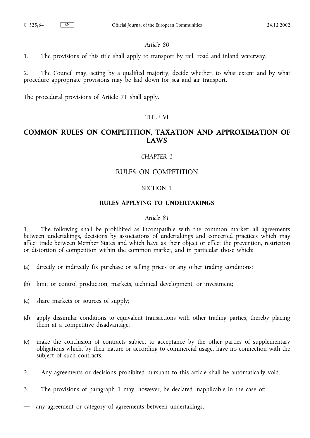1. The provisions of this title shall apply to transport by rail, road and inland waterway.

2. The Council may, acting by a qualified majority, decide whether, to what extent and by what procedure appropriate provisions may be laid down for sea and air transport.

The procedural provisions of Article 71 shall apply.

# TITLE VI

# **COMMON RULES ON COMPETITION, TAXATION AND APPROXIMATION OF LAWS**

# *CHAPTER 1*

# RULES ON COMPETITION

# SECTION 1

### **RULES APPLYING TO UNDERTAKINGS**

#### *Article 81*

1. The following shall be prohibited as incompatible with the common market: all agreements between undertakings, decisions by associations of undertakings and concerted practices which may affect trade between Member States and which have as their object or effect the prevention, restriction or distortion of competition within the common market, and in particular those which:

- (a) directly or indirectly fix purchase or selling prices or any other trading conditions;
- (b) limit or control production, markets, technical development, or investment;
- (c) share markets or sources of supply;
- (d) apply dissimilar conditions to equivalent transactions with other trading parties, thereby placing them at a competitive disadvantage;
- (e) make the conclusion of contracts subject to acceptance by the other parties of supplementary obligations which, by their nature or according to commercial usage, have no connection with the subject of such contracts.
- 2. Any agreements or decisions prohibited pursuant to this article shall be automatically void.
- 3. The provisions of paragraph 1 may, however, be declared inapplicable in the case of:
- any agreement or category of agreements between undertakings,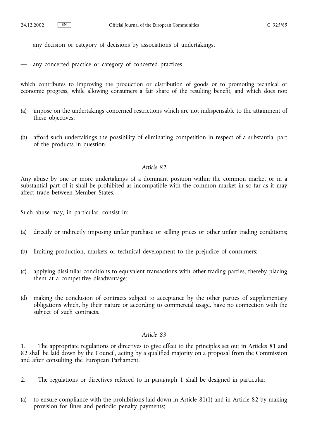- any decision or category of decisions by associations of undertakings,
- any concerted practice or category of concerted practices,

which contributes to improving the production or distribution of goods or to promoting technical or economic progress, while allowing consumers a fair share of the resulting benefit, and which does not:

- (a) impose on the undertakings concerned restrictions which are not indispensable to the attainment of these objectives;
- (b) afford such undertakings the possibility of eliminating competition in respect of a substantial part of the products in question.

#### *Article 82*

Any abuse by one or more undertakings of a dominant position within the common market or in a substantial part of it shall be prohibited as incompatible with the common market in so far as it may affect trade between Member States.

Such abuse may, in particular, consist in:

- (a) directly or indirectly imposing unfair purchase or selling prices or other unfair trading conditions;
- (b) limiting production, markets or technical development to the prejudice of consumers;
- (c) applying dissimilar conditions to equivalent transactions with other trading parties, thereby placing them at a competitive disadvantage;
- (d) making the conclusion of contracts subject to acceptance by the other parties of supplementary obligations which, by their nature or according to commercial usage, have no connection with the subject of such contracts.

## *Article 83*

1. The appropriate regulations or directives to give effect to the principles set out in Articles 81 and 82 shall be laid down by the Council, acting by a qualified majority on a proposal from the Commission and after consulting the European Parliament.

- 2. The regulations or directives referred to in paragraph 1 shall be designed in particular:
- (a) to ensure compliance with the prohibitions laid down in Article 81(1) and in Article 82 by making provision for fines and periodic penalty payments;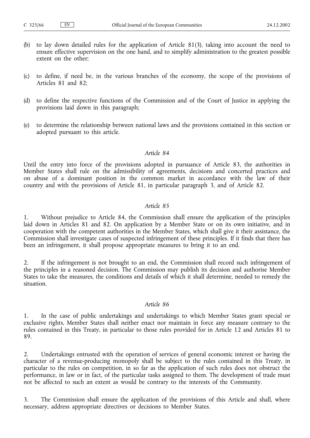- (b) to lay down detailed rules for the application of Article 81(3), taking into account the need to ensure effective supervision on the one hand, and to simplify administration to the greatest possible extent on the other;
- (c) to define, if need be, in the various branches of the economy, the scope of the provisions of Articles 81 and 82;
- (d) to define the respective functions of the Commission and of the Court of Justice in applying the provisions laid down in this paragraph;
- (e) to determine the relationship between national laws and the provisions contained in this section or adopted pursuant to this article.

Until the entry into force of the provisions adopted in pursuance of Article 83, the authorities in Member States shall rule on the admissibility of agreements, decisions and concerted practices and on abuse of a dominant position in the common market in accordance with the law of their country and with the provisions of Article 81, in particular paragraph 3, and of Article 82.

#### *Article 85*

1. Without prejudice to Article 84, the Commission shall ensure the application of the principles laid down in Articles 81 and 82. On application by a Member State or on its own initiative, and in cooperation with the competent authorities in the Member States, which shall give it their assistance, the Commission shall investigate cases of suspected infringement of these principles. If it finds that there has been an infringement, it shall propose appropriate measures to bring it to an end.

2. If the infringement is not brought to an end, the Commission shall record such infringement of the principles in a reasoned decision. The Commission may publish its decision and authorise Member States to take the measures, the conditions and details of which it shall determine, needed to remedy the situation.

### *Article 86*

1. In the case of public undertakings and undertakings to which Member States grant special or exclusive rights, Member States shall neither enact nor maintain in force any measure contrary to the rules contained in this Treaty, in particular to those rules provided for in Article 12 and Articles 81 to 89.

2. Undertakings entrusted with the operation of services of general economic interest or having the character of a revenue-producing monopoly shall be subject to the rules contained in this Treaty, in particular to the rules on competition, in so far as the application of such rules does not obstruct the performance, in law or in fact, of the particular tasks assigned to them. The development of trade must not be affected to such an extent as would be contrary to the interests of the Community.

3. The Commission shall ensure the application of the provisions of this Article and shall, where necessary, address appropriate directives or decisions to Member States.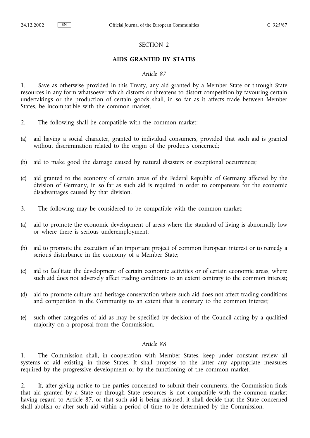#### SECTION 2

## **AIDS GRANTED BY STATES**

## *Article 87*

1. Save as otherwise provided in this Treaty, any aid granted by a Member State or through State resources in any form whatsoever which distorts or threatens to distort competition by favouring certain undertakings or the production of certain goods shall, in so far as it affects trade between Member States, be incompatible with the common market.

- 2. The following shall be compatible with the common market:
- (a) aid having a social character, granted to individual consumers, provided that such aid is granted without discrimination related to the origin of the products concerned;
- (b) aid to make good the damage caused by natural disasters or exceptional occurrences;
- (c) aid granted to the economy of certain areas of the Federal Republic of Germany affected by the division of Germany, in so far as such aid is required in order to compensate for the economic disadvantages caused by that division.
- 3. The following may be considered to be compatible with the common market:
- (a) aid to promote the economic development of areas where the standard of living is abnormally low or where there is serious underemployment;
- (b) aid to promote the execution of an important project of common European interest or to remedy a serious disturbance in the economy of a Member State;
- (c) aid to facilitate the development of certain economic activities or of certain economic areas, where such aid does not adversely affect trading conditions to an extent contrary to the common interest;
- (d) aid to promote culture and heritage conservation where such aid does not affect trading conditions and competition in the Community to an extent that is contrary to the common interest;
- (e) such other categories of aid as may be specified by decision of the Council acting by a qualified majority on a proposal from the Commission.

### *Article 88*

1. The Commission shall, in cooperation with Member States, keep under constant review all systems of aid existing in those States. It shall propose to the latter any appropriate measures required by the progressive development or by the functioning of the common market.

2. If, after giving notice to the parties concerned to submit their comments, the Commission finds that aid granted by a State or through State resources is not compatible with the common market having regard to Article 87, or that such aid is being misused, it shall decide that the State concerned shall abolish or alter such aid within a period of time to be determined by the Commission.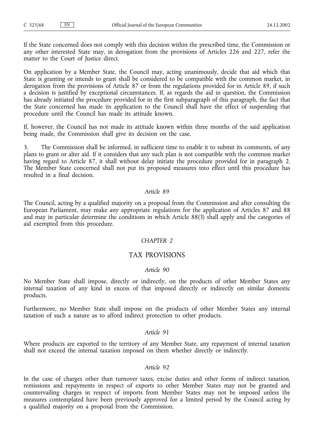If the State concerned does not comply with this decision within the prescribed time, the Commission or any other interested State may, in derogation from the provisions of Articles 226 and 227, refer the matter to the Court of Justice direct.

On application by a Member State, the Council may, acting unanimously, decide that aid which that State is granting or intends to grant shall be considered to be compatible with the common market, in derogation from the provisions of Article 87 or from the regulations provided for in Article 89, if such a decision is justified by exceptional circumstances. If, as regards the aid in question, the Commission has already initiated the procedure provided for in the first subparagraph of this paragraph, the fact that the State concerned has made its application to the Council shall have the effect of suspending that procedure until the Council has made its attitude known.

If, however, the Council has not made its attitude known within three months of the said application being made, the Commission shall give its decision on the case.

3. The Commission shall be informed, in sufficient time to enable it to submit its comments, of any plans to grant or alter aid. If it considers that any such plan is not compatible with the common market having regard to Article 87, it shall without delay initiate the procedure provided for in paragraph 2. The Member State concerned shall not put its proposed measures into effect until this procedure has resulted in a final decision.

#### *Article 89*

The Council, acting by a qualified majority on a proposal from the Commission and after consulting the European Parliament, may make any appropriate regulations for the application of Articles 87 and 88 and may in particular determine the conditions in which Article 88(3) shall apply and the categories of aid exempted from this procedure.

#### *CHAPTER 2*

# TAX PROVISIONS

## *Article 90*

No Member State shall impose, directly or indirectly, on the products of other Member States any internal taxation of any kind in excess of that imposed directly or indirectly on similar domestic products.

Furthermore, no Member State shall impose on the products of other Member States any internal taxation of such a nature as to afford indirect protection to other products.

#### *Article 91*

Where products are exported to the territory of any Member State, any repayment of internal taxation shall not exceed the internal taxation imposed on them whether directly or indirectly.

# *Article 92*

In the case of charges other than turnover taxes, excise duties and other forms of indirect taxation, remissions and repayments in respect of exports to other Member States may not be granted and countervailing charges in respect of imports from Member States may not be imposed unless the measures contemplated have been previously approved for a limited period by the Council acting by a qualified majority on a proposal from the Commission.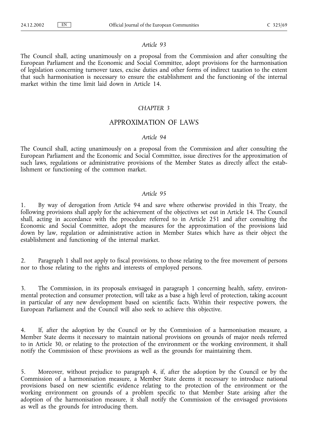The Council shall, acting unanimously on a proposal from the Commission and after consulting the European Parliament and the Economic and Social Committee, adopt provisions for the harmonisation of legislation concerning turnover taxes, excise duties and other forms of indirect taxation to the extent that such harmonisation is necessary to ensure the establishment and the functioning of the internal market within the time limit laid down in Article 14.

#### *CHAPTER 3*

# APPROXIMATION OF LAWS

#### *Article 94*

The Council shall, acting unanimously on a proposal from the Commission and after consulting the European Parliament and the Economic and Social Committee, issue directives for the approximation of such laws, regulations or administrative provisions of the Member States as directly affect the establishment or functioning of the common market.

# *Article 95*

1. By way of derogation from Article 94 and save where otherwise provided in this Treaty, the following provisions shall apply for the achievement of the objectives set out in Article 14. The Council shall, acting in accordance with the procedure referred to in Article 251 and after consulting the Economic and Social Committee, adopt the measures for the approximation of the provisions laid down by law, regulation or administrative action in Member States which have as their object the establishment and functioning of the internal market.

2. Paragraph 1 shall not apply to fiscal provisions, to those relating to the free movement of persons nor to those relating to the rights and interests of employed persons.

3. The Commission, in its proposals envisaged in paragraph 1 concerning health, safety, environmental protection and consumer protection, will take as a base a high level of protection, taking account in particular of any new development based on scientific facts. Within their respective powers, the European Parliament and the Council will also seek to achieve this objective.

4. If, after the adoption by the Council or by the Commission of a harmonisation measure, a Member State deems it necessary to maintain national provisions on grounds of major needs referred to in Article 30, or relating to the protection of the environment or the working environment, it shall notify the Commission of these provisions as well as the grounds for maintaining them.

5. Moreover, without prejudice to paragraph 4, if, after the adoption by the Council or by the Commission of a harmonisation measure, a Member State deems it necessary to introduce national provisions based on new scientific evidence relating to the protection of the environment or the working environment on grounds of a problem specific to that Member State arising after the adoption of the harmonisation measure, it shall notify the Commission of the envisaged provisions as well as the grounds for introducing them.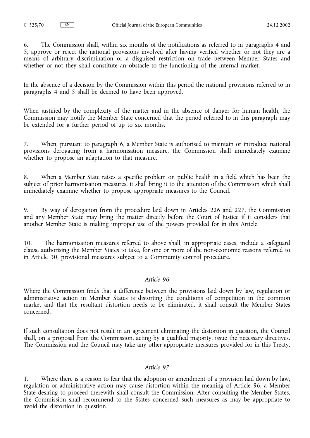6. The Commission shall, within six months of the notifications as referred to in paragraphs 4 and 5, approve or reject the national provisions involved after having verified whether or not they are a means of arbitrary discrimination or a disguised restriction on trade between Member States and whether or not they shall constitute an obstacle to the functioning of the internal market.

In the absence of a decision by the Commission within this period the national provisions referred to in paragraphs 4 and 5 shall be deemed to have been approved.

When justified by the complexity of the matter and in the absence of danger for human health, the Commission may notify the Member State concerned that the period referred to in this paragraph may be extended for a further period of up to six months.

7. When, pursuant to paragraph 6, a Member State is authorised to maintain or introduce national provisions derogating from a harmonisation measure, the Commission shall immediately examine whether to propose an adaptation to that measure.

8. When a Member State raises a specific problem on public health in a field which has been the subject of prior harmonisation measures, it shall bring it to the attention of the Commission which shall immediately examine whether to propose appropriate measures to the Council.

9. By way of derogation from the procedure laid down in Articles 226 and 227, the Commission and any Member State may bring the matter directly before the Court of Justice if it considers that another Member State is making improper use of the powers provided for in this Article.

10. The harmonisation measures referred to above shall, in appropriate cases, include a safeguard clause authorising the Member States to take, for one or more of the non-economic reasons referred to in Article 30, provisional measures subject to a Community control procedure.

## *Article 96*

Where the Commission finds that a difference between the provisions laid down by law, regulation or administrative action in Member States is distorting the conditions of competition in the common market and that the resultant distortion needs to be eliminated, it shall consult the Member States concerned.

If such consultation does not result in an agreement eliminating the distortion in question, the Council shall, on a proposal from the Commission, acting by a qualified majority, issue the necessary directives. The Commission and the Council may take any other appropriate measures provided for in this Treaty.

## *Article 97*

1. Where there is a reason to fear that the adoption or amendment of a provision laid down by law, regulation or administrative action may cause distortion within the meaning of Article 96, a Member State desiring to proceed therewith shall consult the Commission. After consulting the Member States, the Commission shall recommend to the States concerned such measures as may be appropriate to avoid the distortion in question.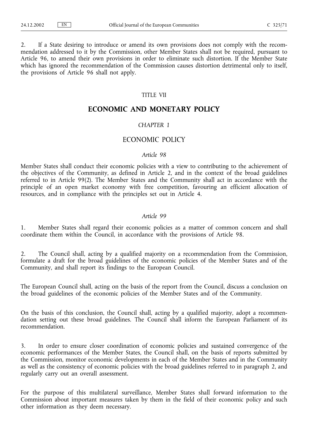2. If a State desiring to introduce or amend its own provisions does not comply with the recommendation addressed to it by the Commission, other Member States shall not be required, pursuant to Article 96, to amend their own provisions in order to eliminate such distortion. If the Member State which has ignored the recommendation of the Commission causes distortion detrimental only to itself, the provisions of Article 96 shall not apply.

## TITLE VII

# **ECONOMIC AND MONETARY POLICY**

#### *CHAPTER 1*

# ECONOMIC POLICY

#### *Article 98*

Member States shall conduct their economic policies with a view to contributing to the achievement of the objectives of the Community, as defined in Article 2, and in the context of the broad guidelines referred to in Article 99(2). The Member States and the Community shall act in accordance with the principle of an open market economy with free competition, favouring an efficient allocation of resources, and in compliance with the principles set out in Article 4.

## *Article 99*

1. Member States shall regard their economic policies as a matter of common concern and shall coordinate them within the Council, in accordance with the provisions of Article 98.

2. The Council shall, acting by a qualified majority on a recommendation from the Commission, formulate a draft for the broad guidelines of the economic policies of the Member States and of the Community, and shall report its findings to the European Council.

The European Council shall, acting on the basis of the report from the Council, discuss a conclusion on the broad guidelines of the economic policies of the Member States and of the Community.

On the basis of this conclusion, the Council shall, acting by a qualified majority, adopt a recommendation setting out these broad guidelines. The Council shall inform the European Parliament of its recommendation.

3. In order to ensure closer coordination of economic policies and sustained convergence of the economic performances of the Member States, the Council shall, on the basis of reports submitted by the Commission, monitor economic developments in each of the Member States and in the Community as well as the consistency of economic policies with the broad guidelines referred to in paragraph 2, and regularly carry out an overall assessment.

For the purpose of this multilateral surveillance, Member States shall forward information to the Commission about important measures taken by them in the field of their economic policy and such other information as they deem necessary.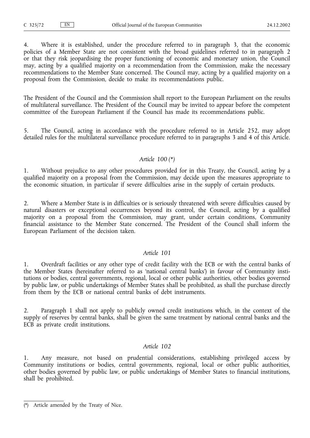4. Where it is established, under the procedure referred to in paragraph 3, that the economic policies of a Member State are not consistent with the broad guidelines referred to in paragraph 2 or that they risk jeopardising the proper functioning of economic and monetary union, the Council may, acting by a qualified majority on a recommendation from the Commission, make the necessary recommendations to the Member State concerned. The Council may, acting by a qualified majority on a proposal from the Commission, decide to make its recommendations public.

The President of the Council and the Commission shall report to the European Parliament on the results of multilateral surveillance. The President of the Council may be invited to appear before the competent committee of the European Parliament if the Council has made its recommendations public.

5. The Council, acting in accordance with the procedure referred to in Article 252, may adopt detailed rules for the multilateral surveillance procedure referred to in paragraphs 3 and 4 of this Article.

## *Article 100 (\*)*

1. Without prejudice to any other procedures provided for in this Treaty, the Council, acting by a qualified majority on a proposal from the Commission, may decide upon the measures appropriate to the economic situation, in particular if severe difficulties arise in the supply of certain products.

2. Where a Member State is in difficulties or is seriously threatened with severe difficulties caused by natural disasters or exceptional occurrences beyond its control, the Council, acting by a qualified majority on a proposal from the Commission, may grant, under certain conditions, Community financial assistance to the Member State concerned. The President of the Council shall inform the European Parliament of the decision taken.

## *Article 101*

1. Overdraft facilities or any other type of credit facility with the ECB or with the central banks of the Member States (hereinafter referred to as 'national central banks') in favour of Community institutions or bodies, central governments, regional, local or other public authorities, other bodies governed by public law, or public undertakings of Member States shall be prohibited, as shall the purchase directly from them by the ECB or national central banks of debt instruments.

2. Paragraph 1 shall not apply to publicly owned credit institutions which, in the context of the supply of reserves by central banks, shall be given the same treatment by national central banks and the ECB as private credit institutions.

# *Article 102*

1. Any measure, not based on prudential considerations, establishing privileged access by Community institutions or bodies, central governments, regional, local or other public authorities, other bodies governed by public law, or public undertakings of Member States to financial institutions, shall be prohibited.

<sup>(\*)</sup> Article amended by the Treaty of Nice.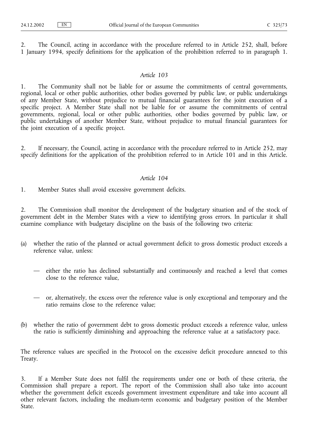2. The Council, acting in accordance with the procedure referred to in Article 252, shall, before 1 January 1994, specify definitions for the application of the prohibition referred to in paragraph 1.

#### *Article 103*

1. The Community shall not be liable for or assume the commitments of central governments, regional, local or other public authorities, other bodies governed by public law, or public undertakings of any Member State, without prejudice to mutual financial guarantees for the joint execution of a specific project. A Member State shall not be liable for or assume the commitments of central governments, regional, local or other public authorities, other bodies governed by public law, or public undertakings of another Member State, without prejudice to mutual financial guarantees for the joint execution of a specific project.

2. If necessary, the Council, acting in accordance with the procedure referred to in Article 252, may specify definitions for the application of the prohibition referred to in Article 101 and in this Article.

#### *Article 104*

1. Member States shall avoid excessive government deficits.

2. The Commission shall monitor the development of the budgetary situation and of the stock of government debt in the Member States with a view to identifying gross errors. In particular it shall examine compliance with budgetary discipline on the basis of the following two criteria:

- (a) whether the ratio of the planned or actual government deficit to gross domestic product exceeds a reference value, unless:
	- either the ratio has declined substantially and continuously and reached a level that comes close to the reference value,
	- or, alternatively, the excess over the reference value is only exceptional and temporary and the ratio remains close to the reference value;
- (b) whether the ratio of government debt to gross domestic product exceeds a reference value, unless the ratio is sufficiently diminishing and approaching the reference value at a satisfactory pace.

The reference values are specified in the Protocol on the excessive deficit procedure annexed to this Treaty.

3. If a Member State does not fulfil the requirements under one or both of these criteria, the Commission shall prepare a report. The report of the Commission shall also take into account whether the government deficit exceeds government investment expenditure and take into account all other relevant factors, including the medium-term economic and budgetary position of the Member State.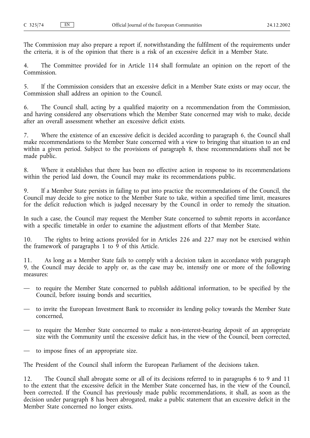The Commission may also prepare a report if, notwithstanding the fulfilment of the requirements under the criteria, it is of the opinion that there is a risk of an excessive deficit in a Member State.

4. The Committee provided for in Article 114 shall formulate an opinion on the report of the Commission.

5. If the Commission considers that an excessive deficit in a Member State exists or may occur, the Commission shall address an opinion to the Council.

6. The Council shall, acting by a qualified majority on a recommendation from the Commission, and having considered any observations which the Member State concerned may wish to make, decide after an overall assessment whether an excessive deficit exists.

7. Where the existence of an excessive deficit is decided according to paragraph 6, the Council shall make recommendations to the Member State concerned with a view to bringing that situation to an end within a given period. Subject to the provisions of paragraph 8, these recommendations shall not be made public.

8. Where it establishes that there has been no effective action in response to its recommendations within the period laid down, the Council may make its recommendations public.

9. If a Member State persists in failing to put into practice the recommendations of the Council, the Council may decide to give notice to the Member State to take, within a specified time limit, measures for the deficit reduction which is judged necessary by the Council in order to remedy the situation.

In such a case, the Council may request the Member State concerned to submit reports in accordance with a specific timetable in order to examine the adjustment efforts of that Member State.

10. The rights to bring actions provided for in Articles 226 and 227 may not be exercised within the framework of paragraphs 1 to 9 of this Article.

11. As long as a Member State fails to comply with a decision taken in accordance with paragraph 9, the Council may decide to apply or, as the case may be, intensify one or more of the following measures:

- to require the Member State concerned to publish additional information, to be specified by the Council, before issuing bonds and securities,
- to invite the European Investment Bank to reconsider its lending policy towards the Member State concerned,
- to require the Member State concerned to make a non-interest-bearing deposit of an appropriate size with the Community until the excessive deficit has, in the view of the Council, been corrected,
- to impose fines of an appropriate size.

The President of the Council shall inform the European Parliament of the decisions taken.

12. The Council shall abrogate some or all of its decisions referred to in paragraphs 6 to 9 and 11 to the extent that the excessive deficit in the Member State concerned has, in the view of the Council, been corrected. If the Council has previously made public recommendations, it shall, as soon as the decision under paragraph 8 has been abrogated, make a public statement that an excessive deficit in the Member State concerned no longer exists.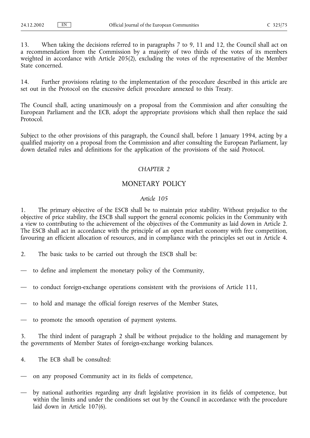13. When taking the decisions referred to in paragraphs 7 to 9, 11 and 12, the Council shall act on a recommendation from the Commission by a majority of two thirds of the votes of its members weighted in accordance with Article 205(2), excluding the votes of the representative of the Member State concerned.

14. Further provisions relating to the implementation of the procedure described in this article are set out in the Protocol on the excessive deficit procedure annexed to this Treaty.

The Council shall, acting unanimously on a proposal from the Commission and after consulting the European Parliament and the ECB, adopt the appropriate provisions which shall then replace the said Protocol.

Subject to the other provisions of this paragraph, the Council shall, before 1 January 1994, acting by a qualified majority on a proposal from the Commission and after consulting the European Parliament, lay down detailed rules and definitions for the application of the provisions of the said Protocol.

# *CHAPTER 2*

# MONETARY POLICY

#### *Article 105*

1. The primary objective of the ESCB shall be to maintain price stability. Without prejudice to the objective of price stability, the ESCB shall support the general economic policies in the Community with a view to contributing to the achievement of the objectives of the Community as laid down in Article 2. The ESCB shall act in accordance with the principle of an open market economy with free competition, favouring an efficient allocation of resources, and in compliance with the principles set out in Article 4.

- 2. The basic tasks to be carried out through the ESCB shall be:
- to define and implement the monetary policy of the Community,
- to conduct foreign-exchange operations consistent with the provisions of Article 111,
- to hold and manage the official foreign reserves of the Member States,
- to promote the smooth operation of payment systems.

3. The third indent of paragraph 2 shall be without prejudice to the holding and management by the governments of Member States of foreign-exchange working balances.

- 4. The ECB shall be consulted:
- on any proposed Community act in its fields of competence,
- by national authorities regarding any draft legislative provision in its fields of competence, but within the limits and under the conditions set out by the Council in accordance with the procedure laid down in Article 107(6).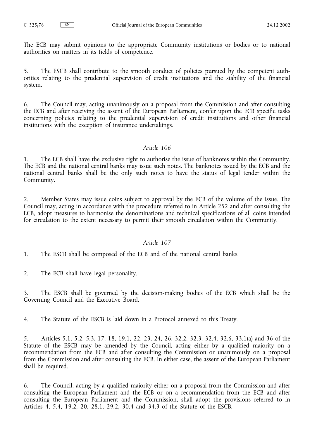The ECB may submit opinions to the appropriate Community institutions or bodies or to national authorities on matters in its fields of competence.

5. The ESCB shall contribute to the smooth conduct of policies pursued by the competent authorities relating to the prudential supervision of credit institutions and the stability of the financial system.

6. The Council may, acting unanimously on a proposal from the Commission and after consulting the ECB and after receiving the assent of the European Parliament, confer upon the ECB specific tasks concerning policies relating to the prudential supervision of credit institutions and other financial institutions with the exception of insurance undertakings.

#### *Article 106*

1. The ECB shall have the exclusive right to authorise the issue of banknotes within the Community. The ECB and the national central banks may issue such notes. The banknotes issued by the ECB and the national central banks shall be the only such notes to have the status of legal tender within the Community.

2. Member States may issue coins subject to approval by the ECB of the volume of the issue. The Council may, acting in accordance with the procedure referred to in Article 252 and after consulting the ECB, adopt measures to harmonise the denominations and technical specifications of all coins intended for circulation to the extent necessary to permit their smooth circulation within the Community.

## *Article 107*

1. The ESCB shall be composed of the ECB and of the national central banks.

2. The ECB shall have legal personality.

3. The ESCB shall be governed by the decision-making bodies of the ECB which shall be the Governing Council and the Executive Board.

4. The Statute of the ESCB is laid down in a Protocol annexed to this Treaty.

5. Articles 5.1, 5.2, 5.3, 17, 18, 19.1, 22, 23, 24, 26, 32.2, 32.3, 32.4, 32.6, 33.1(a) and 36 of the Statute of the ESCB may be amended by the Council, acting either by a qualified majority on a recommendation from the ECB and after consulting the Commission or unanimously on a proposal from the Commission and after consulting the ECB. In either case, the assent of the European Parliament shall be required.

6. The Council, acting by a qualified majority either on a proposal from the Commission and after consulting the European Parliament and the ECB or on a recommendation from the ECB and after consulting the European Parliament and the Commission, shall adopt the provisions referred to in Articles 4, 5.4, 19.2, 20, 28.1, 29.2, 30.4 and 34.3 of the Statute of the ESCB.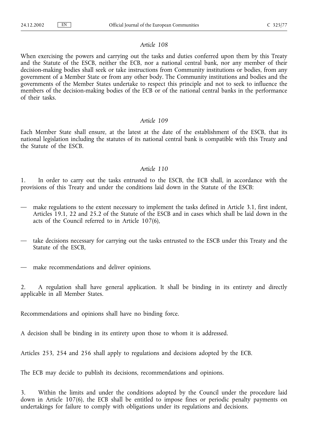When exercising the powers and carrying out the tasks and duties conferred upon them by this Treaty and the Statute of the ESCB, neither the ECB, nor a national central bank, nor any member of their decision-making bodies shall seek or take instructions from Community institutions or bodies, from any government of a Member State or from any other body. The Community institutions and bodies and the governments of the Member States undertake to respect this principle and not to seek to influence the members of the decision-making bodies of the ECB or of the national central banks in the performance of their tasks.

## *Article 109*

Each Member State shall ensure, at the latest at the date of the establishment of the ESCB, that its national legislation including the statutes of its national central bank is compatible with this Treaty and the Statute of the ESCB.

# *Article 110*

1. In order to carry out the tasks entrusted to the ESCB, the ECB shall, in accordance with the provisions of this Treaty and under the conditions laid down in the Statute of the ESCB:

- make regulations to the extent necessary to implement the tasks defined in Article 3.1, first indent, Articles 19.1, 22 and 25.2 of the Statute of the ESCB and in cases which shall be laid down in the acts of the Council referred to in Article 107(6),
- take decisions necessary for carrying out the tasks entrusted to the ESCB under this Treaty and the Statute of the ESCB,

— make recommendations and deliver opinions.

2. A regulation shall have general application. It shall be binding in its entirety and directly applicable in all Member States.

Recommendations and opinions shall have no binding force.

A decision shall be binding in its entirety upon those to whom it is addressed.

Articles 253, 254 and 256 shall apply to regulations and decisions adopted by the ECB.

The ECB may decide to publish its decisions, recommendations and opinions.

3. Within the limits and under the conditions adopted by the Council under the procedure laid down in Article 107(6), the ECB shall be entitled to impose fines or periodic penalty payments on undertakings for failure to comply with obligations under its regulations and decisions.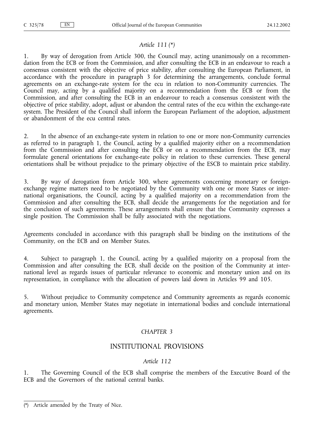#### *Article 111 (\*)*

1. By way of derogation from Article 300, the Council may, acting unanimously on a recommendation from the ECB or from the Commission, and after consulting the ECB in an endeavour to reach a consensus consistent with the objective of price stability, after consulting the European Parliament, in accordance with the procedure in paragraph 3 for determining the arrangements, conclude formal agreements on an exchange-rate system for the ecu in relation to non-Community currencies. The Council may, acting by a qualified majority on a recommendation from the ECB or from the Commission, and after consulting the ECB in an endeavour to reach a consensus consistent with the objective of price stability, adopt, adjust or abandon the central rates of the ecu within the exchange-rate system. The President of the Council shall inform the European Parliament of the adoption, adjustment or abandonment of the ecu central rates.

2. In the absence of an exchange-rate system in relation to one or more non-Community currencies as referred to in paragraph 1, the Council, acting by a qualified majority either on a recommendation from the Commission and after consulting the ECB or on a recommendation from the ECB, may formulate general orientations for exchange-rate policy in relation to these currencies. These general orientations shall be without prejudice to the primary objective of the ESCB to maintain price stability.

3. By way of derogation from Article 300, where agreements concerning monetary or foreignexchange regime matters need to be negotiated by the Community with one or more States or international organisations, the Council, acting by a qualified majority on a recommendation from the Commission and after consulting the ECB, shall decide the arrangements for the negotiation and for the conclusion of such agreements. These arrangements shall ensure that the Community expresses a single position. The Commission shall be fully associated with the negotiations.

Agreements concluded in accordance with this paragraph shall be binding on the institutions of the Community, on the ECB and on Member States.

4. Subject to paragraph 1, the Council, acting by a qualified majority on a proposal from the Commission and after consulting the ECB, shall decide on the position of the Community at international level as regards issues of particular relevance to economic and monetary union and on its representation, in compliance with the allocation of powers laid down in Articles 99 and 105.

5. Without prejudice to Community competence and Community agreements as regards economic and monetary union, Member States may negotiate in international bodies and conclude international agreements.

### *CHAPTER 3*

## INSTITUTIONAL PROVISIONS

### *Article 112*

1. The Governing Council of the ECB shall comprise the members of the Executive Board of the ECB and the Governors of the national central banks.

<sup>(\*)</sup> Article amended by the Treaty of Nice.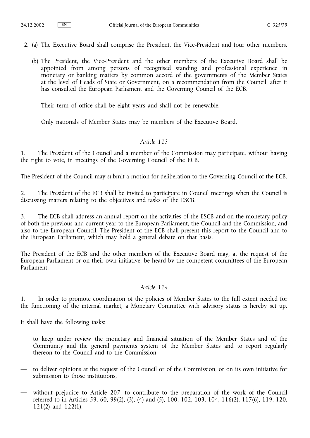- 2. (a) The Executive Board shall comprise the President, the Vice-President and four other members.
	- (b) The President, the Vice-President and the other members of the Executive Board shall be appointed from among persons of recognised standing and professional experience in monetary or banking matters by common accord of the governments of the Member States at the level of Heads of State or Government, on a recommendation from the Council, after it has consulted the European Parliament and the Governing Council of the ECB.

Their term of office shall be eight years and shall not be renewable.

Only nationals of Member States may be members of the Executive Board.

### *Article 113*

1. The President of the Council and a member of the Commission may participate, without having the right to vote, in meetings of the Governing Council of the ECB.

The President of the Council may submit a motion for deliberation to the Governing Council of the ECB.

2. The President of the ECB shall be invited to participate in Council meetings when the Council is discussing matters relating to the objectives and tasks of the ESCB.

3. The ECB shall address an annual report on the activities of the ESCB and on the monetary policy of both the previous and current year to the European Parliament, the Council and the Commission, and also to the European Council. The President of the ECB shall present this report to the Council and to the European Parliament, which may hold a general debate on that basis.

The President of the ECB and the other members of the Executive Board may, at the request of the European Parliament or on their own initiative, be heard by the competent committees of the European Parliament.

## *Article 114*

1. In order to promote coordination of the policies of Member States to the full extent needed for the functioning of the internal market, a Monetary Committee with advisory status is hereby set up.

It shall have the following tasks:

- to keep under review the monetary and financial situation of the Member States and of the Community and the general payments system of the Member States and to report regularly thereon to the Council and to the Commission,
- to deliver opinions at the request of the Council or of the Commission, or on its own initiative for submission to those institutions,
- without prejudice to Article 207, to contribute to the preparation of the work of the Council referred to in Articles 59, 60, 99(2), (3), (4) and (5), 100, 102, 103, 104, 116(2), 117(6), 119, 120, 121(2) and 122(1),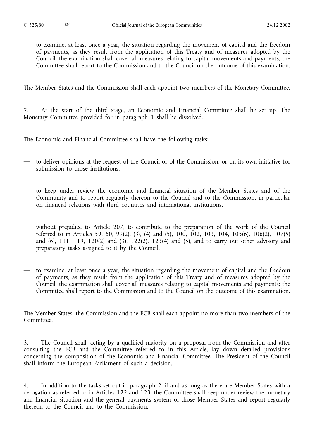to examine, at least once a year, the situation regarding the movement of capital and the freedom of payments, as they result from the application of this Treaty and of measures adopted by the Council; the examination shall cover all measures relating to capital movements and payments; the Committee shall report to the Commission and to the Council on the outcome of this examination.

The Member States and the Commission shall each appoint two members of the Monetary Committee.

2. At the start of the third stage, an Economic and Financial Committee shall be set up. The Monetary Committee provided for in paragraph 1 shall be dissolved.

The Economic and Financial Committee shall have the following tasks:

- to deliver opinions at the request of the Council or of the Commission, or on its own initiative for submission to those institutions,
- to keep under review the economic and financial situation of the Member States and of the Community and to report regularly thereon to the Council and to the Commission, in particular on financial relations with third countries and international institutions,
- without prejudice to Article 207, to contribute to the preparation of the work of the Council referred to in Articles 59, 60, 99(2), (3), (4) and (5), 100, 102, 103, 104, 105(6), 106(2), 107(5) and (6), 111, 119, 120(2) and (3), 122(2), 123(4) and (5), and to carry out other advisory and preparatory tasks assigned to it by the Council,
- to examine, at least once a year, the situation regarding the movement of capital and the freedom of payments, as they result from the application of this Treaty and of measures adopted by the Council; the examination shall cover all measures relating to capital movements and payments; the Committee shall report to the Commission and to the Council on the outcome of this examination.

The Member States, the Commission and the ECB shall each appoint no more than two members of the Committee.

3. The Council shall, acting by a qualified majority on a proposal from the Commission and after consulting the ECB and the Committee referred to in this Article, lay down detailed provisions concerning the composition of the Economic and Financial Committee. The President of the Council shall inform the European Parliament of such a decision.

4. In addition to the tasks set out in paragraph 2, if and as long as there are Member States with a derogation as referred to in Articles 122 and  $123$ , the Committee shall keep under review the monetary and financial situation and the general payments system of those Member States and report regularly thereon to the Council and to the Commission.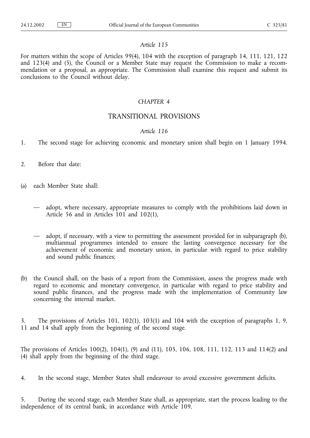For matters within the scope of Articles 99(4), 104 with the exception of paragraph 14, 111, 121, 122 and 123(4) and (5), the Council or a Member State may request the Commission to make a recommendation or a proposal, as appropriate. The Commission shall examine this request and submit its conclusions to the Council without delay.

## *CHAPTER 4*

### TRANSITIONAL PROVISIONS

### *Article 116*

- 1. The second stage for achieving economic and monetary union shall begin on 1 January 1994.
- 2. Before that date:
- (a) each Member State shall:
	- adopt, where necessary, appropriate measures to comply with the prohibitions laid down in Article 56 and in Articles 101 and 102(1),
	- adopt, if necessary, with a view to permitting the assessment provided for in subparagraph (b), multiannual programmes intended to ensure the lasting convergence necessary for the achievement of economic and monetary union, in particular with regard to price stability and sound public finances;
- (b) the Council shall, on the basis of a report from the Commission, assess the progress made with regard to economic and monetary convergence, in particular with regard to price stability and sound public finances, and the progress made with the implementation of Community law concerning the internal market.

3. The provisions of Articles 101, 102(1), 103(1) and 104 with the exception of paragraphs 1, 9, 11 and 14 shall apply from the beginning of the second stage.

The provisions of Articles 100(2), 104(1), (9) and (11), 105, 106, 108, 111, 112, 113 and 114(2) and (4) shall apply from the beginning of the third stage.

4. In the second stage, Member States shall endeavour to avoid excessive government deficits.

5. During the second stage, each Member State shall, as appropriate, start the process leading to the independence of its central bank, in accordance with Article 109.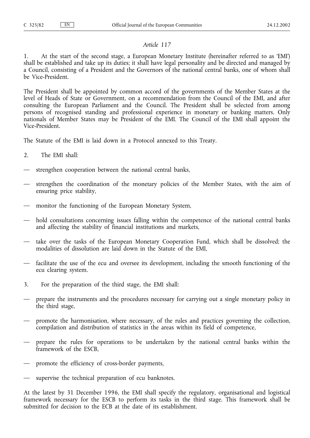1. At the start of the second stage, a European Monetary Institute (hereinafter referred to as 'EMI') shall be established and take up its duties; it shall have legal personality and be directed and managed by a Council, consisting of a President and the Governors of the national central banks, one of whom shall be Vice-President.

The President shall be appointed by common accord of the governments of the Member States at the level of Heads of State or Government, on a recommendation from the Council of the EMI, and after consulting the European Parliament and the Council. The President shall be selected from among persons of recognised standing and professional experience in monetary or banking matters. Only nationals of Member States may be President of the EMI. The Council of the EMI shall appoint the Vice-President.

The Statute of the EMI is laid down in a Protocol annexed to this Treaty.

- 2. The EMI shall:
- strengthen cooperation between the national central banks,
- strengthen the coordination of the monetary policies of the Member States, with the aim of ensuring price stability,
- monitor the functioning of the European Monetary System,
- hold consultations concerning issues falling within the competence of the national central banks and affecting the stability of financial institutions and markets,
- take over the tasks of the European Monetary Cooperation Fund, which shall be dissolved; the modalities of dissolution are laid down in the Statute of the EMI,
- facilitate the use of the ecu and oversee its development, including the smooth functioning of the ecu clearing system.
- 3. For the preparation of the third stage, the EMI shall:
- prepare the instruments and the procedures necessary for carrying out a single monetary policy in the third stage,
- promote the harmonisation, where necessary, of the rules and practices governing the collection, compilation and distribution of statistics in the areas within its field of competence,
- prepare the rules for operations to be undertaken by the national central banks within the framework of the ESCB,
- promote the efficiency of cross-border payments,
- supervise the technical preparation of ecu banknotes.

At the latest by 31 December 1996, the EMI shall specify the regulatory, organisational and logistical framework necessary for the ESCB to perform its tasks in the third stage. This framework shall be submitted for decision to the ECB at the date of its establishment.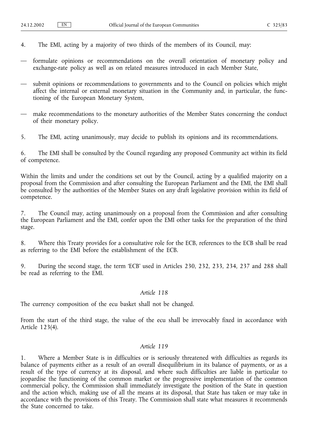- 4. The EMI, acting by a majority of two thirds of the members of its Council, may:
- formulate opinions or recommendations on the overall orientation of monetary policy and exchange-rate policy as well as on related measures introduced in each Member State,
- submit opinions or recommendations to governments and to the Council on policies which might affect the internal or external monetary situation in the Community and, in particular, the functioning of the European Monetary System,
- make recommendations to the monetary authorities of the Member States concerning the conduct of their monetary policy.
- 5. The EMI, acting unanimously, may decide to publish its opinions and its recommendations.

6. The EMI shall be consulted by the Council regarding any proposed Community act within its field of competence.

Within the limits and under the conditions set out by the Council, acting by a qualified majority on a proposal from the Commission and after consulting the European Parliament and the EMI, the EMI shall be consulted by the authorities of the Member States on any draft legislative provision within its field of competence.

7. The Council may, acting unanimously on a proposal from the Commission and after consulting the European Parliament and the EMI, confer upon the EMI other tasks for the preparation of the third stage.

8. Where this Treaty provides for a consultative role for the ECB, references to the ECB shall be read as referring to the EMI before the establishment of the ECB.

9. During the second stage, the term 'ECB' used in Articles 230, 232, 233, 234, 237 and 288 shall be read as referring to the EMI.

### *Article 118*

The currency composition of the ecu basket shall not be changed.

From the start of the third stage, the value of the ecu shall be irrevocably fixed in accordance with Article 123(4).

# *Article 119*

1. Where a Member State is in difficulties or is seriously threatened with difficulties as regards its balance of payments either as a result of an overall disequilibrium in its balance of payments, or as a result of the type of currency at its disposal, and where such difficulties are liable in particular to jeopardise the functioning of the common market or the progressive implementation of the common commercial policy, the Commission shall immediately investigate the position of the State in question and the action which, making use of all the means at its disposal, that State has taken or may take in accordance with the provisions of this Treaty. The Commission shall state what measures it recommends the State concerned to take.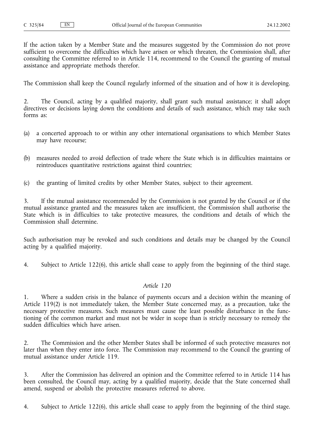If the action taken by a Member State and the measures suggested by the Commission do not prove sufficient to overcome the difficulties which have arisen or which threaten, the Commission shall, after consulting the Committee referred to in Article 114, recommend to the Council the granting of mutual assistance and appropriate methods therefor.

The Commission shall keep the Council regularly informed of the situation and of how it is developing.

2. The Council, acting by a qualified majority, shall grant such mutual assistance; it shall adopt directives or decisions laying down the conditions and details of such assistance, which may take such forms as:

- (a) a concerted approach to or within any other international organisations to which Member States may have recourse;
- (b) measures needed to avoid deflection of trade where the State which is in difficulties maintains or reintroduces quantitative restrictions against third countries;
- (c) the granting of limited credits by other Member States, subject to their agreement.

3. If the mutual assistance recommended by the Commission is not granted by the Council or if the mutual assistance granted and the measures taken are insufficient, the Commission shall authorise the State which is in difficulties to take protective measures, the conditions and details of which the Commission shall determine.

Such authorisation may be revoked and such conditions and details may be changed by the Council acting by a qualified majority.

4. Subject to Article 122(6), this article shall cease to apply from the beginning of the third stage.

### *Article 120*

1. Where a sudden crisis in the balance of payments occurs and a decision within the meaning of Article 119(2) is not immediately taken, the Member State concerned may, as a precaution, take the necessary protective measures. Such measures must cause the least possible disturbance in the functioning of the common market and must not be wider in scope than is strictly necessary to remedy the sudden difficulties which have arisen.

2. The Commission and the other Member States shall be informed of such protective measures not later than when they enter into force. The Commission may recommend to the Council the granting of mutual assistance under Article 119.

3. After the Commission has delivered an opinion and the Committee referred to in Article 114 has been consulted, the Council may, acting by a qualified majority, decide that the State concerned shall amend, suspend or abolish the protective measures referred to above.

4. Subject to Article 122(6), this article shall cease to apply from the beginning of the third stage.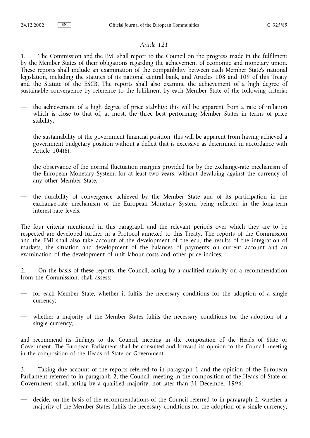1. The Commission and the EMI shall report to the Council on the progress made in the fulfilment by the Member States of their obligations regarding the achievement of economic and monetary union. These reports shall include an examination of the compatibility between each Member State's national legislation, including the statutes of its national central bank, and Articles 108 and 109 of this Treaty and the Statute of the ESCB. The reports shall also examine the achievement of a high degree of sustainable convergence by reference to the fulfilment by each Member State of the following criteria:

- the achievement of a high degree of price stability; this will be apparent from a rate of inflation which is close to that of, at most, the three best performing Member States in terms of price stability,
- the sustainability of the government financial position; this will be apparent from having achieved a government budgetary position without a deficit that is excessive as determined in accordance with Article 104(6),
- the observance of the normal fluctuation margins provided for by the exchange-rate mechanism of the European Monetary System, for at least two years, without devaluing against the currency of any other Member State,
- the durability of convergence achieved by the Member State and of its participation in the exchange-rate mechanism of the European Monetary System being reflected in the long-term interest-rate levels.

The four criteria mentioned in this paragraph and the relevant periods over which they are to be respected are developed further in a Protocol annexed to this Treaty. The reports of the Commission and the EMI shall also take account of the development of the ecu, the results of the integration of markets, the situation and development of the balances of payments on current account and an examination of the development of unit labour costs and other price indices.

2. On the basis of these reports, the Council, acting by a qualified majority on a recommendation from the Commission, shall assess:

- for each Member State, whether it fulfils the necessary conditions for the adoption of a single currency;
- whether a majority of the Member States fulfils the necessary conditions for the adoption of a single currency,

and recommend its findings to the Council, meeting in the composition of the Heads of State or Government. The European Parliament shall be consulted and forward its opinion to the Council, meeting in the composition of the Heads of State or Government.

3. Taking due account of the reports referred to in paragraph 1 and the opinion of the European Parliament referred to in paragraph 2, the Council, meeting in the composition of the Heads of State or Government, shall, acting by a qualified majority, not later than 31 December 1996:

decide, on the basis of the recommendations of the Council referred to in paragraph 2, whether a majority of the Member States fulfils the necessary conditions for the adoption of a single currency,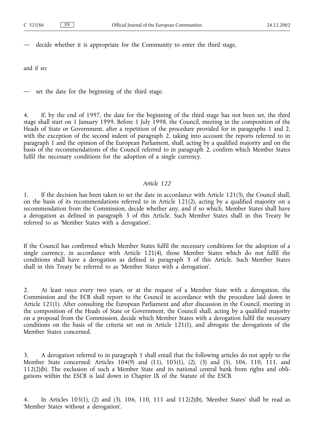decide whether it is appropriate for the Community to enter the third stage,

and if so:

set the date for the beginning of the third stage.

4. If, by the end of 1997, the date for the beginning of the third stage has not been set, the third stage shall start on 1 January 1999. Before 1 July 1998, the Council, meeting in the composition of the Heads of State or Government, after a repetition of the procedure provided for in paragraphs 1 and 2, with the exception of the second indent of paragraph 2, taking into account the reports referred to in paragraph 1 and the opinion of the European Parliament, shall, acting by a qualified majority and on the basis of the recommendations of the Council referred to in paragraph 2, confirm which Member States fulfil the necessary conditions for the adoption of a single currency.

### *Article 122*

1. If the decision has been taken to set the date in accordance with Article 121(3), the Council shall, on the basis of its recommendations referred to in Article 121(2), acting by a qualified majority on a recommendation from the Commission, decide whether any, and if so which, Member States shall have a derogation as defined in paragraph 3 of this Article. Such Member States shall in this Treaty be referred to as 'Member States with a derogation'.

If the Council has confirmed which Member States fulfil the necessary conditions for the adoption of a single currency, in accordance with Article 121(4), those Member States which do not fulfil the conditions shall have a derogation as defined in paragraph 3 of this Article. Such Member States shall in this Treaty be referred to as 'Member States with a derogation'.

2. At least once every two years, or at the request of a Member State with a derogation, the Commission and the ECB shall report to the Council in accordance with the procedure laid down in Article 121(1). After consulting the European Parliament and after discussion in the Council, meeting in the composition of the Heads of State or Government, the Council shall, acting by a qualified majority on a proposal from the Commission, decide which Member States with a derogation fulfil the necessary conditions on the basis of the criteria set out in Article 121(1), and abrogate the derogations of the Member States concerned.

3. A derogation referred to in paragraph 1 shall entail that the following articles do not apply to the Member State concerned: Articles 104(9) and (11), 105(1), (2), (3) and (5), 106, 110, 111, and 112(2)(b). The exclusion of such a Member State and its national central bank from rights and obligations within the ESCB is laid down in Chapter IX of the Statute of the ESCB.

4. In Articles 105(1), (2) and (3), 106, 110, 111 and 112(2)(b), 'Member States' shall be read as 'Member States without a derogation'.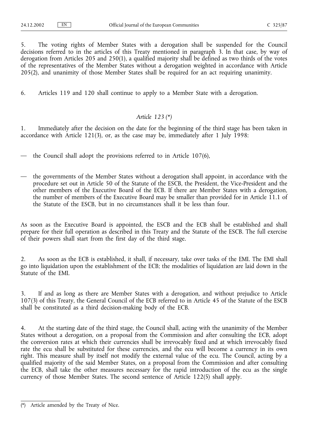5. The voting rights of Member States with a derogation shall be suspended for the Council decisions referred to in the articles of this Treaty mentioned in paragraph 3. In that case, by way of derogation from Articles 205 and 250(1), a qualified majority shall be defined as two thirds of the votes of the representatives of the Member States without a derogation weighted in accordance with Article 205(2), and unanimity of those Member States shall be required for an act requiring unanimity.

6. Articles 119 and 120 shall continue to apply to a Member State with a derogation.

## *Article 123 (\*)*

1. Immediately after the decision on the date for the beginning of the third stage has been taken in accordance with Article 121(3), or, as the case may be, immediately after 1 July 1998:

- the Council shall adopt the provisions referred to in Article 107(6),
- the governments of the Member States without a derogation shall appoint, in accordance with the procedure set out in Article 50 of the Statute of the ESCB, the President, the Vice-President and the other members of the Executive Board of the ECB. If there are Member States with a derogation, the number of members of the Executive Board may be smaller than provided for in Article 11.1 of the Statute of the ESCB, but in no circumstances shall it be less than four.

As soon as the Executive Board is appointed, the ESCB and the ECB shall be established and shall prepare for their full operation as described in this Treaty and the Statute of the ESCB. The full exercise of their powers shall start from the first day of the third stage.

2. As soon as the ECB is established, it shall, if necessary, take over tasks of the EMI. The EMI shall go into liquidation upon the establishment of the ECB; the modalities of liquidation are laid down in the Statute of the EMI.

3. If and as long as there are Member States with a derogation, and without prejudice to Article 107(3) of this Treaty, the General Council of the ECB referred to in Article 45 of the Statute of the ESCB shall be constituted as a third decision-making body of the ECB.

4. At the starting date of the third stage, the Council shall, acting with the unanimity of the Member States without a derogation, on a proposal from the Commission and after consulting the ECB, adopt the conversion rates at which their currencies shall be irrevocably fixed and at which irrevocably fixed rate the ecu shall be substituted for these currencies, and the ecu will become a currency in its own right. This measure shall by itself not modify the external value of the ecu. The Council, acting by a qualified majority of the said Member States, on a proposal from the Commission and after consulting the ECB, shall take the other measures necessary for the rapid introduction of the ecu as the single currency of those Member States. The second sentence of Article 122(5) shall apply.

<sup>(\*)</sup> Article amended by the Treaty of Nice.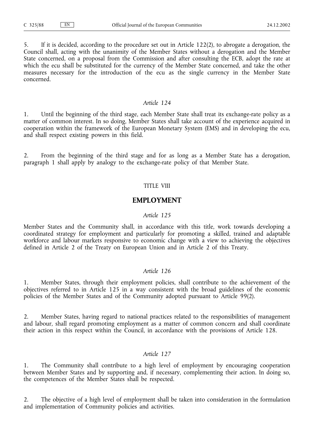5. If it is decided, according to the procedure set out in Article 122(2), to abrogate a derogation, the Council shall, acting with the unanimity of the Member States without a derogation and the Member State concerned, on a proposal from the Commission and after consulting the ECB, adopt the rate at which the ecu shall be substituted for the currency of the Member State concerned, and take the other measures necessary for the introduction of the ecu as the single currency in the Member State concerned.

# *Article 124*

1. Until the beginning of the third stage, each Member State shall treat its exchange-rate policy as a matter of common interest. In so doing, Member States shall take account of the experience acquired in cooperation within the framework of the European Monetary System (EMS) and in developing the ecu, and shall respect existing powers in this field.

2. From the beginning of the third stage and for as long as a Member State has a derogation, paragraph 1 shall apply by analogy to the exchange-rate policy of that Member State.

# TITLE VIII

#### **EMPLOYMENT**

### *Article 125*

Member States and the Community shall, in accordance with this title, work towards developing a coordinated strategy for employment and particularly for promoting a skilled, trained and adaptable workforce and labour markets responsive to economic change with a view to achieving the objectives defined in Article 2 of the Treaty on European Union and in Article 2 of this Treaty.

### *Article 126*

1. Member States, through their employment policies, shall contribute to the achievement of the objectives referred to in Article 125 in a way consistent with the broad guidelines of the economic policies of the Member States and of the Community adopted pursuant to Article 99(2).

2. Member States, having regard to national practices related to the responsibilities of management and labour, shall regard promoting employment as a matter of common concern and shall coordinate their action in this respect within the Council, in accordance with the provisions of Article 128.

#### *Article 127*

1. The Community shall contribute to a high level of employment by encouraging cooperation between Member States and by supporting and, if necessary, complementing their action. In doing so, the competences of the Member States shall be respected.

2. The objective of a high level of employment shall be taken into consideration in the formulation and implementation of Community policies and activities.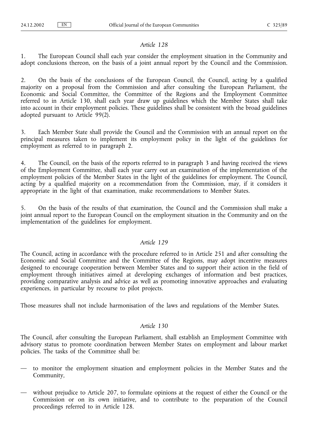1. The European Council shall each year consider the employment situation in the Community and adopt conclusions thereon, on the basis of a joint annual report by the Council and the Commission.

2. On the basis of the conclusions of the European Council, the Council, acting by a qualified majority on a proposal from the Commission and after consulting the European Parliament, the Economic and Social Committee, the Committee of the Regions and the Employment Committee referred to in Article 130, shall each year draw up guidelines which the Member States shall take into account in their employment policies. These guidelines shall be consistent with the broad guidelines adopted pursuant to Article 99(2).

3. Each Member State shall provide the Council and the Commission with an annual report on the principal measures taken to implement its employment policy in the light of the guidelines for employment as referred to in paragraph 2.

4. The Council, on the basis of the reports referred to in paragraph 3 and having received the views of the Employment Committee, shall each year carry out an examination of the implementation of the employment policies of the Member States in the light of the guidelines for employment. The Council, acting by a qualified majority on a recommendation from the Commission, may, if it considers it appropriate in the light of that examination, make recommendations to Member States.

5. On the basis of the results of that examination, the Council and the Commission shall make a joint annual report to the European Council on the employment situation in the Community and on the implementation of the guidelines for employment.

# *Article 129*

The Council, acting in accordance with the procedure referred to in Article 251 and after consulting the Economic and Social Committee and the Committee of the Regions, may adopt incentive measures designed to encourage cooperation between Member States and to support their action in the field of employment through initiatives aimed at developing exchanges of information and best practices, providing comparative analysis and advice as well as promoting innovative approaches and evaluating experiences, in particular by recourse to pilot projects.

Those measures shall not include harmonisation of the laws and regulations of the Member States.

### *Article 130*

The Council, after consulting the European Parliament, shall establish an Employment Committee with advisory status to promote coordination between Member States on employment and labour market policies. The tasks of the Committee shall be:

- to monitor the employment situation and employment policies in the Member States and the Community,
- without prejudice to Article 207, to formulate opinions at the request of either the Council or the Commission or on its own initiative, and to contribute to the preparation of the Council proceedings referred to in Article 128.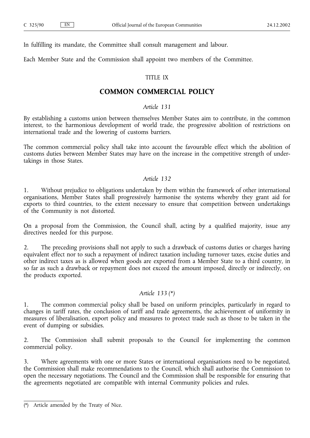In fulfilling its mandate, the Committee shall consult management and labour.

Each Member State and the Commission shall appoint two members of the Committee.

### TITLE IX

# **COMMON COMMERCIAL POLICY**

#### *Article 131*

By establishing a customs union between themselves Member States aim to contribute, in the common interest, to the harmonious development of world trade, the progressive abolition of restrictions on international trade and the lowering of customs barriers.

The common commercial policy shall take into account the favourable effect which the abolition of customs duties between Member States may have on the increase in the competitive strength of undertakings in those States.

#### *Article 132*

1. Without prejudice to obligations undertaken by them within the framework of other international organisations, Member States shall progressively harmonise the systems whereby they grant aid for exports to third countries, to the extent necessary to ensure that competition between undertakings of the Community is not distorted.

On a proposal from the Commission, the Council shall, acting by a qualified majority, issue any directives needed for this purpose.

2. The preceding provisions shall not apply to such a drawback of customs duties or charges having equivalent effect nor to such a repayment of indirect taxation including turnover taxes, excise duties and other indirect taxes as is allowed when goods are exported from a Member State to a third country, in so far as such a drawback or repayment does not exceed the amount imposed, directly or indirectly, on the products exported.

# *Article 133 (\*)*

1. The common commercial policy shall be based on uniform principles, particularly in regard to changes in tariff rates, the conclusion of tariff and trade agreements, the achievement of uniformity in measures of liberalisation, export policy and measures to protect trade such as those to be taken in the event of dumping or subsidies.

2. The Commission shall submit proposals to the Council for implementing the common commercial policy.

3. Where agreements with one or more States or international organisations need to be negotiated, the Commission shall make recommendations to the Council, which shall authorise the Commission to open the necessary negotiations. The Council and the Commission shall be responsible for ensuring that the agreements negotiated are compatible with internal Community policies and rules.

<sup>(\*)</sup> Article amended by the Treaty of Nice.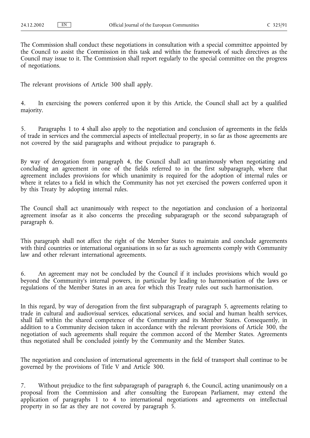The Commission shall conduct these negotiations in consultation with a special committee appointed by the Council to assist the Commission in this task and within the framework of such directives as the Council may issue to it. The Commission shall report regularly to the special committee on the progress of negotiations.

The relevant provisions of Article 300 shall apply.

4. In exercising the powers conferred upon it by this Article, the Council shall act by a qualified majority.

5. Paragraphs 1 to 4 shall also apply to the negotiation and conclusion of agreements in the fields of trade in services and the commercial aspects of intellectual property, in so far as those agreements are not covered by the said paragraphs and without prejudice to paragraph 6.

By way of derogation from paragraph 4, the Council shall act unanimously when negotiating and concluding an agreement in one of the fields referred to in the first subparagraph, where that agreement includes provisions for which unanimity is required for the adoption of internal rules or where it relates to a field in which the Community has not yet exercised the powers conferred upon it by this Treaty by adopting internal rules.

The Council shall act unanimously with respect to the negotiation and conclusion of a horizontal agreement insofar as it also concerns the preceding subparagraph or the second subparagraph of paragraph 6.

This paragraph shall not affect the right of the Member States to maintain and conclude agreements with third countries or international organisations in so far as such agreements comply with Community law and other relevant international agreements.

6. An agreement may not be concluded by the Council if it includes provisions which would go beyond the Community's internal powers, in particular by leading to harmonisation of the laws or regulations of the Member States in an area for which this Treaty rules out such harmonisation.

In this regard, by way of derogation from the first subparagraph of paragraph 5, agreements relating to trade in cultural and audiovisual services, educational services, and social and human health services, shall fall within the shared competence of the Community and its Member States. Consequently, in addition to a Community decision taken in accordance with the relevant provisions of Article 300, the negotiation of such agreements shall require the common accord of the Member States. Agreements thus negotiated shall be concluded jointly by the Community and the Member States.

The negotiation and conclusion of international agreements in the field of transport shall continue to be governed by the provisions of Title V and Article 300.

7. Without prejudice to the first subparagraph of paragraph 6, the Council, acting unanimously on a proposal from the Commission and after consulting the European Parliament, may extend the application of paragraphs 1 to 4 to international negotiations and agreements on intellectual property in so far as they are not covered by paragraph 5.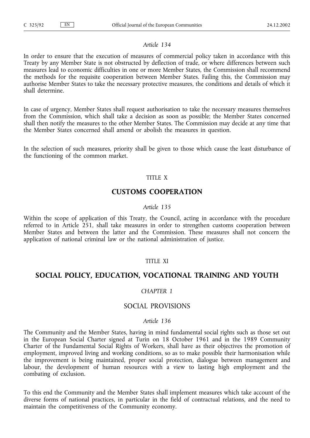In order to ensure that the execution of measures of commercial policy taken in accordance with this Treaty by any Member State is not obstructed by deflection of trade, or where differences between such measures lead to economic difficulties in one or more Member States, the Commission shall recommend the methods for the requisite cooperation between Member States. Failing this, the Commission may authorise Member States to take the necessary protective measures, the conditions and details of which it shall determine.

In case of urgency, Member States shall request authorisation to take the necessary measures themselves from the Commission, which shall take a decision as soon as possible; the Member States concerned shall then notify the measures to the other Member States. The Commission may decide at any time that the Member States concerned shall amend or abolish the measures in question.

In the selection of such measures, priority shall be given to those which cause the least disturbance of the functioning of the common market.

### TITLE X

# **CUSTOMS COOPERATION**

#### *Article 135*

Within the scope of application of this Treaty, the Council, acting in accordance with the procedure referred to in Article 251, shall take measures in order to strengthen customs cooperation between Member States and between the latter and the Commission. These measures shall not concern the application of national criminal law or the national administration of justice.

### TITLE XI

## **SOCIAL POLICY, EDUCATION, VOCATIONAL TRAINING AND YOUTH**

#### *CHAPTER 1*

# SOCIAL PROVISIONS

#### *Article 136*

The Community and the Member States, having in mind fundamental social rights such as those set out in the European Social Charter signed at Turin on 18 October 1961 and in the 1989 Community Charter of the Fundamental Social Rights of Workers, shall have as their objectives the promotion of employment, improved living and working conditions, so as to make possible their harmonisation while the improvement is being maintained, proper social protection, dialogue between management and labour, the development of human resources with a view to lasting high employment and the combating of exclusion.

To this end the Community and the Member States shall implement measures which take account of the diverse forms of national practices, in particular in the field of contractual relations, and the need to maintain the competitiveness of the Community economy.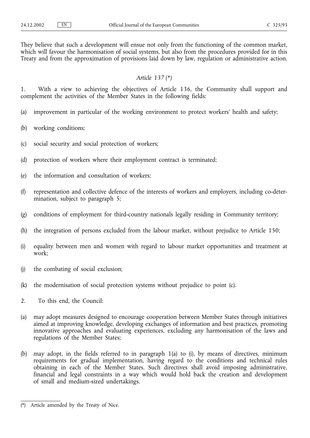They believe that such a development will ensue not only from the functioning of the common market, which will favour the harmonisation of social systems, but also from the procedures provided for in this Treaty and from the approximation of provisions laid down by law, regulation or administrative action.

### *Article 137 (\*)*

1. With a view to achieving the objectives of Article 136, the Community shall support and complement the activities of the Member States in the following fields:

- (a) improvement in particular of the working environment to protect workers' health and safety;
- (b) working conditions;
- (c) social security and social protection of workers;
- (d) protection of workers where their employment contract is terminated;
- (e) the information and consultation of workers;
- (f) representation and collective defence of the interests of workers and employers, including co-determination, subject to paragraph 5;
- (g) conditions of employment for third-country nationals legally residing in Community territory;
- (h) the integration of persons excluded from the labour market, without prejudice to Article 150;
- (i) equality between men and women with regard to labour market opportunities and treatment at work;
- (j) the combating of social exclusion;
- (k) the modernisation of social protection systems without prejudice to point (c).
- 2. To this end, the Council:
- (a) may adopt measures designed to encourage cooperation between Member States through initiatives aimed at improving knowledge, developing exchanges of information and best practices, promoting innovative approaches and evaluating experiences, excluding any harmonisation of the laws and regulations of the Member States;
- (b) may adopt, in the fields referred to in paragraph 1(a) to (i), by means of directives, minimum requirements for gradual implementation, having regard to the conditions and technical rules obtaining in each of the Member States. Such directives shall avoid imposing administrative, financial and legal constraints in a way which would hold back the creation and development of small and medium-sized undertakings.

<sup>(\*)</sup> Article amended by the Treaty of Nice.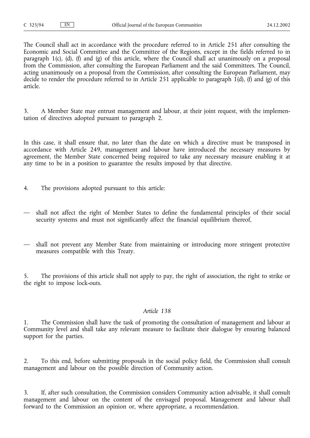The Council shall act in accordance with the procedure referred to in Article 251 after consulting the Economic and Social Committee and the Committee of the Regions, except in the fields referred to in paragraph 1(c), (d), (f) and (g) of this article, where the Council shall act unanimously on a proposal from the Commission, after consulting the European Parliament and the said Committees. The Council, acting unanimously on a proposal from the Commission, after consulting the European Parliament, may decide to render the procedure referred to in Article 251 applicable to paragraph 1(d), (f) and (g) of this article.

3. A Member State may entrust management and labour, at their joint request, with the implementation of directives adopted pursuant to paragraph 2.

In this case, it shall ensure that, no later than the date on which a directive must be transposed in accordance with Article 249, management and labour have introduced the necessary measures by agreement, the Member State concerned being required to take any necessary measure enabling it at any time to be in a position to guarantee the results imposed by that directive.

- 4. The provisions adopted pursuant to this article:
- shall not affect the right of Member States to define the fundamental principles of their social security systems and must not significantly affect the financial equilibrium thereof,
- shall not prevent any Member State from maintaining or introducing more stringent protective measures compatible with this Treaty.

5. The provisions of this article shall not apply to pay, the right of association, the right to strike or the right to impose lock-outs.

### *Article 138*

1. The Commission shall have the task of promoting the consultation of management and labour at Community level and shall take any relevant measure to facilitate their dialogue by ensuring balanced support for the parties.

2. To this end, before submitting proposals in the social policy field, the Commission shall consult management and labour on the possible direction of Community action.

3. If, after such consultation, the Commission considers Community action advisable, it shall consult management and labour on the content of the envisaged proposal. Management and labour shall forward to the Commission an opinion or, where appropriate, a recommendation.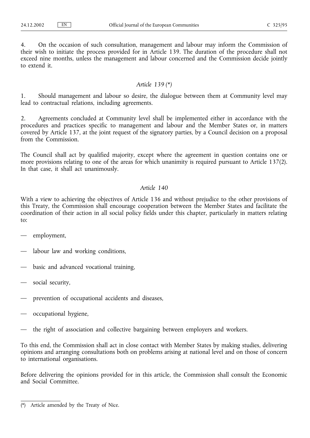4. On the occasion of such consultation, management and labour may inform the Commission of their wish to initiate the process provided for in Article 139. The duration of the procedure shall not exceed nine months, unless the management and labour concerned and the Commission decide jointly to extend it.

## *Article 139 (\*)*

1. Should management and labour so desire, the dialogue between them at Community level may lead to contractual relations, including agreements.

2. Agreements concluded at Community level shall be implemented either in accordance with the procedures and practices specific to management and labour and the Member States or, in matters covered by Article 137, at the joint request of the signatory parties, by a Council decision on a proposal from the Commission.

The Council shall act by qualified majority, except where the agreement in question contains one or more provisions relating to one of the areas for which unanimity is required pursuant to Article 137(2). In that case, it shall act unanimously.

### *Article 140*

With a view to achieving the objectives of Article 136 and without prejudice to the other provisions of this Treaty, the Commission shall encourage cooperation between the Member States and facilitate the coordination of their action in all social policy fields under this chapter, particularly in matters relating to:

- employment,
- labour law and working conditions,
- basic and advanced vocational training,
- social security,
- prevention of occupational accidents and diseases,
- occupational hygiene,
- the right of association and collective bargaining between employers and workers.

To this end, the Commission shall act in close contact with Member States by making studies, delivering opinions and arranging consultations both on problems arising at national level and on those of concern to international organisations.

Before delivering the opinions provided for in this article, the Commission shall consult the Economic and Social Committee.

<sup>(\*)</sup> Article amended by the Treaty of Nice.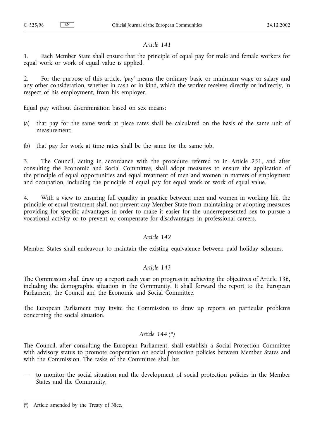1. Each Member State shall ensure that the principle of equal pay for male and female workers for equal work or work of equal value is applied.

2. For the purpose of this article, 'pay' means the ordinary basic or minimum wage or salary and any other consideration, whether in cash or in kind, which the worker receives directly or indirectly, in respect of his employment, from his employer.

Equal pay without discrimination based on sex means:

- (a) that pay for the same work at piece rates shall be calculated on the basis of the same unit of measurement;
- (b) that pay for work at time rates shall be the same for the same job.

3. The Council, acting in accordance with the procedure referred to in Article 251, and after consulting the Economic and Social Committee, shall adopt measures to ensure the application of the principle of equal opportunities and equal treatment of men and women in matters of employment and occupation, including the principle of equal pay for equal work or work of equal value.

4. With a view to ensuring full equality in practice between men and women in working life, the principle of equal treatment shall not prevent any Member State from maintaining or adopting measures providing for specific advantages in order to make it easier for the underrepresented sex to pursue a vocational activity or to prevent or compensate for disadvantages in professional careers.

### *Article 142*

Member States shall endeavour to maintain the existing equivalence between paid holiday schemes.

# *Article 143*

The Commission shall draw up a report each year on progress in achieving the objectives of Article 136, including the demographic situation in the Community. It shall forward the report to the European Parliament, the Council and the Economic and Social Committee.

The European Parliament may invite the Commission to draw up reports on particular problems concerning the social situation.

# *Article 144 (\*)*

The Council, after consulting the European Parliament, shall establish a Social Protection Committee with advisory status to promote cooperation on social protection policies between Member States and with the Commission. The tasks of the Committee shall be:

— to monitor the social situation and the development of social protection policies in the Member States and the Community,

<sup>(\*)</sup> Article amended by the Treaty of Nice.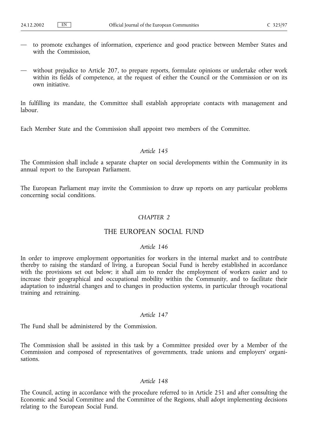- to promote exchanges of information, experience and good practice between Member States and with the Commission,
- without prejudice to Article 207, to prepare reports, formulate opinions or undertake other work within its fields of competence, at the request of either the Council or the Commission or on its own initiative.

In fulfilling its mandate, the Committee shall establish appropriate contacts with management and labour.

Each Member State and the Commission shall appoint two members of the Committee.

# *Article 145*

The Commission shall include a separate chapter on social developments within the Community in its annual report to the European Parliament.

The European Parliament may invite the Commission to draw up reports on any particular problems concerning social conditions.

#### *CHAPTER 2*

# THE EUROPEAN SOCIAL FUND

#### *Article 146*

In order to improve employment opportunities for workers in the internal market and to contribute thereby to raising the standard of living, a European Social Fund is hereby established in accordance with the provisions set out below; it shall aim to render the employment of workers easier and to increase their geographical and occupational mobility within the Community, and to facilitate their adaptation to industrial changes and to changes in production systems, in particular through vocational training and retraining.

#### *Article 147*

The Fund shall be administered by the Commission.

The Commission shall be assisted in this task by a Committee presided over by a Member of the Commission and composed of representatives of governments, trade unions and employers' organisations.

#### *Article 148*

The Council, acting in accordance with the procedure referred to in Article 251 and after consulting the Economic and Social Committee and the Committee of the Regions, shall adopt implementing decisions relating to the European Social Fund.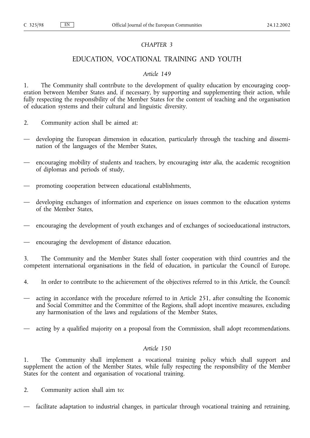#### *CHAPTER 3*

## EDUCATION, VOCATIONAL TRAINING AND YOUTH

#### *Article 149*

1. The Community shall contribute to the development of quality education by encouraging cooperation between Member States and, if necessary, by supporting and supplementing their action, while fully respecting the responsibility of the Member States for the content of teaching and the organisation of education systems and their cultural and linguistic diversity.

- 2. Community action shall be aimed at:
- developing the European dimension in education, particularly through the teaching and dissemination of the languages of the Member States,
- encouraging mobility of students and teachers, by encouraging *inter alia*, the academic recognition of diplomas and periods of study,
- promoting cooperation between educational establishments,
- developing exchanges of information and experience on issues common to the education systems of the Member States,
- encouraging the development of youth exchanges and of exchanges of socioeducational instructors,
- encouraging the development of distance education.

3. The Community and the Member States shall foster cooperation with third countries and the competent international organisations in the field of education, in particular the Council of Europe.

- 4. In order to contribute to the achievement of the objectives referred to in this Article, the Council:
- acting in accordance with the procedure referred to in Article 251, after consulting the Economic and Social Committee and the Committee of the Regions, shall adopt incentive measures, excluding any harmonisation of the laws and regulations of the Member States,
- acting by a qualified majority on a proposal from the Commission, shall adopt recommendations.

#### *Article 150*

1. The Community shall implement a vocational training policy which shall support and supplement the action of the Member States, while fully respecting the responsibility of the Member States for the content and organisation of vocational training.

- 2. Community action shall aim to:
- facilitate adaptation to industrial changes, in particular through vocational training and retraining,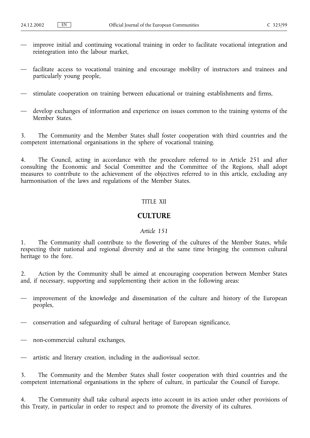- improve initial and continuing vocational training in order to facilitate vocational integration and reintegration into the labour market,
- facilitate access to vocational training and encourage mobility of instructors and trainees and particularly young people,
- stimulate cooperation on training between educational or training establishments and firms,
- develop exchanges of information and experience on issues common to the training systems of the Member States.

3. The Community and the Member States shall foster cooperation with third countries and the competent international organisations in the sphere of vocational training.

4. The Council, acting in accordance with the procedure referred to in Article 251 and after consulting the Economic and Social Committee and the Committee of the Regions, shall adopt measures to contribute to the achievement of the objectives referred to in this article, excluding any harmonisation of the laws and regulations of the Member States.

### TITLE XII

# **CULTURE**

### *Article 151*

1. The Community shall contribute to the flowering of the cultures of the Member States, while respecting their national and regional diversity and at the same time bringing the common cultural heritage to the fore.

2. Action by the Community shall be aimed at encouraging cooperation between Member States and, if necessary, supporting and supplementing their action in the following areas:

- improvement of the knowledge and dissemination of the culture and history of the European peoples,
- conservation and safeguarding of cultural heritage of European significance,
- non-commercial cultural exchanges,
- artistic and literary creation, including in the audiovisual sector.

3. The Community and the Member States shall foster cooperation with third countries and the competent international organisations in the sphere of culture, in particular the Council of Europe.

4. The Community shall take cultural aspects into account in its action under other provisions of this Treaty, in particular in order to respect and to promote the diversity of its cultures.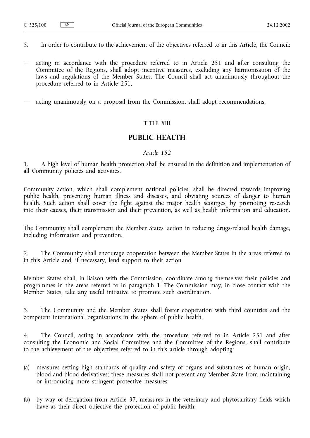- 5. In order to contribute to the achievement of the objectives referred to in this Article, the Council:
- acting in accordance with the procedure referred to in Article 251 and after consulting the Committee of the Regions, shall adopt incentive measures, excluding any harmonisation of the laws and regulations of the Member States. The Council shall act unanimously throughout the procedure referred to in Article 251,
- acting unanimously on a proposal from the Commission, shall adopt recommendations.

### TITLE XIII

# **PUBLIC HEALTH**

### *Article 152*

1. A high level of human health protection shall be ensured in the definition and implementation of all Community policies and activities.

Community action, which shall complement national policies, shall be directed towards improving public health, preventing human illness and diseases, and obviating sources of danger to human health. Such action shall cover the fight against the major health scourges, by promoting research into their causes, their transmission and their prevention, as well as health information and education.

The Community shall complement the Member States' action in reducing drugs-related health damage, including information and prevention.

2. The Community shall encourage cooperation between the Member States in the areas referred to in this Article and, if necessary, lend support to their action.

Member States shall, in liaison with the Commission, coordinate among themselves their policies and programmes in the areas referred to in paragraph 1. The Commission may, in close contact with the Member States, take any useful initiative to promote such coordination.

3. The Community and the Member States shall foster cooperation with third countries and the competent international organisations in the sphere of public health.

4. The Council, acting in accordance with the procedure referred to in Article 251 and after consulting the Economic and Social Committee and the Committee of the Regions, shall contribute to the achievement of the objectives referred to in this article through adopting:

- (a) measures setting high standards of quality and safety of organs and substances of human origin, blood and blood derivatives; these measures shall not prevent any Member State from maintaining or introducing more stringent protective measures;
- (b) by way of derogation from Article 37, measures in the veterinary and phytosanitary fields which have as their direct objective the protection of public health;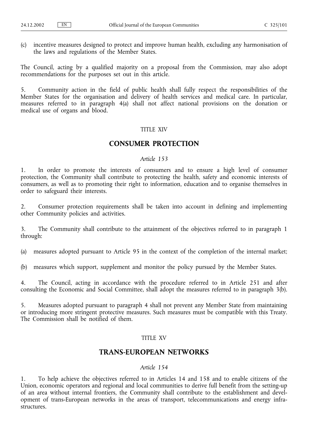(c) incentive measures designed to protect and improve human health, excluding any harmonisation of the laws and regulations of the Member States.

The Council, acting by a qualified majority on a proposal from the Commission, may also adopt recommendations for the purposes set out in this article.

5. Community action in the field of public health shall fully respect the responsibilities of the Member States for the organisation and delivery of health services and medical care. In particular, measures referred to in paragraph 4(a) shall not affect national provisions on the donation or medical use of organs and blood.

## TITLE XIV

# **CONSUMER PROTECTION**

### *Article 153*

1. In order to promote the interests of consumers and to ensure a high level of consumer protection, the Community shall contribute to protecting the health, safety and economic interests of consumers, as well as to promoting their right to information, education and to organise themselves in order to safeguard their interests.

2. Consumer protection requirements shall be taken into account in defining and implementing other Community policies and activities.

3. The Community shall contribute to the attainment of the objectives referred to in paragraph 1 through:

(a) measures adopted pursuant to Article 95 in the context of the completion of the internal market;

(b) measures which support, supplement and monitor the policy pursued by the Member States.

4. The Council, acting in accordance with the procedure referred to in Article 251 and after consulting the Economic and Social Committee, shall adopt the measures referred to in paragraph 3(b).

5. Measures adopted pursuant to paragraph 4 shall not prevent any Member State from maintaining or introducing more stringent protective measures. Such measures must be compatible with this Treaty. The Commission shall be notified of them.

#### TITLE XV

# **TRANS-EUROPEAN NETWORKS**

# *Article 154*

1. To help achieve the objectives referred to in Articles 14 and 158 and to enable citizens of the Union, economic operators and regional and local communities to derive full benefit from the setting-up of an area without internal frontiers, the Community shall contribute to the establishment and development of trans-European networks in the areas of transport, telecommunications and energy infrastructures.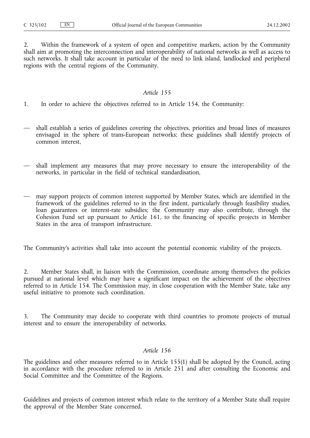2. Within the framework of a system of open and competitive markets, action by the Community shall aim at promoting the interconnection and interoperability of national networks as well as access to such networks. It shall take account in particular of the need to link island, landlocked and peripheral regions with the central regions of the Community.

### *Article 155*

1. In order to achieve the objectives referred to in Article 154, the Community:

- shall establish a series of guidelines covering the objectives, priorities and broad lines of measures envisaged in the sphere of trans-European networks; these guidelines shall identify projects of common interest,
- shall implement any measures that may prove necessary to ensure the interoperability of the networks, in particular in the field of technical standardisation,
- may support projects of common interest supported by Member States, which are identified in the framework of the guidelines referred to in the first indent, particularly through feasibility studies, loan guarantees or interest-rate subsidies; the Community may also contribute, through the Cohesion Fund set up pursuant to Article 161, to the financing of specific projects in Member States in the area of transport infrastructure.

The Community's activities shall take into account the potential economic viability of the projects.

2. Member States shall, in liaison with the Commission, coordinate among themselves the policies pursued at national level which may have a significant impact on the achievement of the objectives referred to in Article 154. The Commission may, in close cooperation with the Member State, take any useful initiative to promote such coordination.

3. The Community may decide to cooperate with third countries to promote projects of mutual interest and to ensure the interoperability of networks.

# *Article 156*

The guidelines and other measures referred to in Article 155(1) shall be adopted by the Council, acting in accordance with the procedure referred to in Article 251 and after consulting the Economic and Social Committee and the Committee of the Regions.

Guidelines and projects of common interest which relate to the territory of a Member State shall require the approval of the Member State concerned.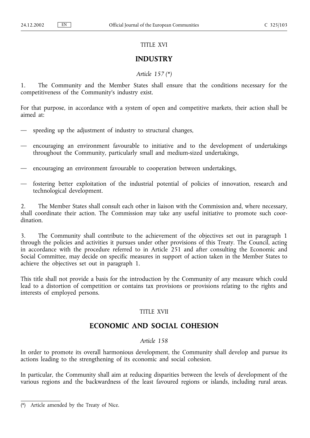### TITLE XVI

# **INDUSTRY**

### *Article 157 (\*)*

1. The Community and the Member States shall ensure that the conditions necessary for the competitiveness of the Community's industry exist.

For that purpose, in accordance with a system of open and competitive markets, their action shall be aimed at:

- speeding up the adjustment of industry to structural changes,
- encouraging an environment favourable to initiative and to the development of undertakings throughout the Community, particularly small and medium-sized undertakings,
- encouraging an environment favourable to cooperation between undertakings,
- fostering better exploitation of the industrial potential of policies of innovation, research and technological development.

2. The Member States shall consult each other in liaison with the Commission and, where necessary, shall coordinate their action. The Commission may take any useful initiative to promote such coordination.

3. The Community shall contribute to the achievement of the objectives set out in paragraph 1 through the policies and activities it pursues under other provisions of this Treaty. The Council, acting in accordance with the procedure referred to in Article 251 and after consulting the Economic and Social Committee, may decide on specific measures in support of action taken in the Member States to achieve the objectives set out in paragraph 1.

This title shall not provide a basis for the introduction by the Community of any measure which could lead to a distortion of competition or contains tax provisions or provisions relating to the rights and interests of employed persons.

# TITLE XVII

# **ECONOMIC AND SOCIAL COHESION**

# *Article 158*

In order to promote its overall harmonious development, the Community shall develop and pursue its actions leading to the strengthening of its economic and social cohesion.

In particular, the Community shall aim at reducing disparities between the levels of development of the various regions and the backwardness of the least favoured regions or islands, including rural areas.

<sup>(\*)</sup> Article amended by the Treaty of Nice.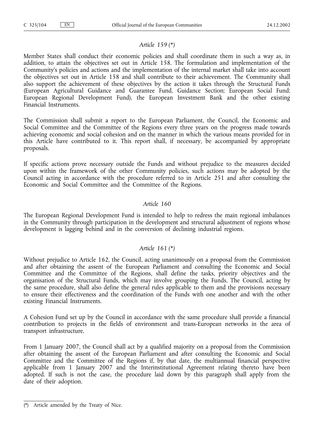## *Article 159 (\*)*

Member States shall conduct their economic policies and shall coordinate them in such a way as, in addition, to attain the objectives set out in Article 158. The formulation and implementation of the Community's policies and actions and the implementation of the internal market shall take into account the objectives set out in Article 158 and shall contribute to their achievement. The Community shall also support the achievement of these objectives by the action it takes through the Structural Funds (European Agricultural Guidance and Guarantee Fund, Guidance Section; European Social Fund; European Regional Development Fund), the European Investment Bank and the other existing Financial Instruments.

The Commission shall submit a report to the European Parliament, the Council, the Economic and Social Committee and the Committee of the Regions every three years on the progress made towards achieving economic and social cohesion and on the manner in which the various means provided for in this Article have contributed to it. This report shall, if necessary, be accompanied by appropriate proposals.

If specific actions prove necessary outside the Funds and without prejudice to the measures decided upon within the framework of the other Community policies, such actions may be adopted by the Council acting in accordance with the procedure referred to in Article 251 and after consulting the Economic and Social Committee and the Committee of the Regions.

### *Article 160*

The European Regional Development Fund is intended to help to redress the main regional imbalances in the Community through participation in the development and structural adjustment of regions whose development is lagging behind and in the conversion of declining industrial regions.

# *Article 161 (\*)*

Without prejudice to Article 162, the Council, acting unanimously on a proposal from the Commission and after obtaining the assent of the European Parliament and consulting the Economic and Social Committee and the Committee of the Regions, shall define the tasks, priority objectives and the organisation of the Structural Funds, which may involve grouping the Funds. The Council, acting by the same procedure, shall also define the general rules applicable to them and the provisions necessary to ensure their effectiveness and the coordination of the Funds with one another and with the other existing Financial Instruments.

A Cohesion Fund set up by the Council in accordance with the same procedure shall provide a financial contribution to projects in the fields of environment and trans-European networks in the area of transport infrastructure.

From 1 January 2007, the Council shall act by a qualified majority on a proposal from the Commission after obtaining the assent of the European Parliament and after consulting the Economic and Social Committee and the Committee of the Regions if, by that date, the multiannual financial perspective applicable from 1 January 2007 and the Interinstitutional Agreement relating thereto have been adopted. If such is not the case, the procedure laid down by this paragraph shall apply from the date of their adoption.

<sup>(\*)</sup> Article amended by the Treaty of Nice.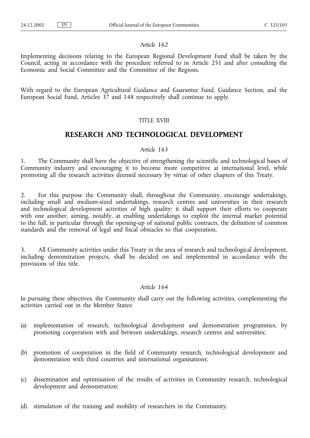Implementing decisions relating to the European Regional Development Fund shall be taken by the Council, acting in accordance with the procedure referred to in Article 251 and after consulting the Economic and Social Committee and the Committee of the Regions.

With regard to the European Agricultural Guidance and Guarantee Fund, Guidance Section, and the European Social Fund, Articles 37 and 148 respectively shall continue to apply.

## TITLE XVIII

# **RESEARCH AND TECHNOLOGICAL DEVELOPMENT**

#### *Article 163*

1. The Community shall have the objective of strengthening the scientific and technological bases of Community industry and encouraging it to become more competitive at international level, while promoting all the research activities deemed necessary by virtue of other chapters of this Treaty.

2. For this purpose the Community shall, throughout the Community, encourage undertakings, including small and medium-sized undertakings, research centres and universities in their research and technological development activities of high quality; it shall support their efforts to cooperate with one another, aiming, notably, at enabling undertakings to exploit the internal market potential to the full, in particular through the opening-up of national public contracts, the definition of common standards and the removal of legal and fiscal obstacles to that cooperation.

3. All Community activities under this Treaty in the area of research and technological development, including demonstration projects, shall be decided on and implemented in accordance with the provisions of this title.

### *Article 164*

In pursuing these objectives, the Community shall carry out the following activities, complementing the activities carried out in the Member States:

- (a) implementation of research, technological development and demonstration programmes, by promoting cooperation with and between undertakings, research centres and universities;
- (b) promotion of cooperation in the field of Community research, technological development and demonstration with third countries and international organisations;
- (c) dissemination and optimisation of the results of activities in Community research, technological development and demonstration;
- (d) stimulation of the training and mobility of researchers in the Community.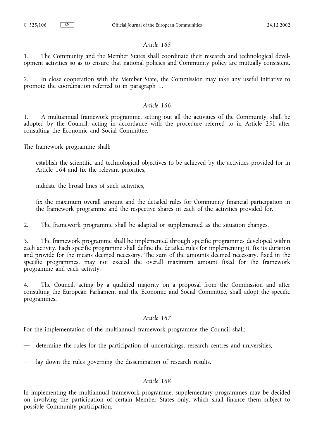1. The Community and the Member States shall coordinate their research and technological development activities so as to ensure that national policies and Community policy are mutually consistent.

2. In close cooperation with the Member State, the Commission may take any useful initiative to promote the coordination referred to in paragraph 1.

# *Article 166*

1. A multiannual framework programme, setting out all the activities of the Community, shall be adopted by the Council, acting in accordance with the procedure referred to in Article 251 after consulting the Economic and Social Committee.

The framework programme shall:

- establish the scientific and technological objectives to be achieved by the activities provided for in Article 164 and fix the relevant priorities,
- indicate the broad lines of such activities.
- fix the maximum overall amount and the detailed rules for Community financial participation in the framework programme and the respective shares in each of the activities provided for.
- 2. The framework programme shall be adapted or supplemented as the situation changes.

3. The framework programme shall be implemented through specific programmes developed within each activity. Each specific programme shall define the detailed rules for implementing it, fix its duration and provide for the means deemed necessary. The sum of the amounts deemed necessary, fixed in the specific programmes, may not exceed the overall maximum amount fixed for the framework programme and each activity.

4. The Council, acting by a qualified majority on a proposal from the Commission and after consulting the European Parliament and the Economic and Social Committee, shall adopt the specific programmes.

# *Article 167*

For the implementation of the multiannual framework programme the Council shall:

- determine the rules for the participation of undertakings, research centres and universities,
- lay down the rules governing the dissemination of research results.

# *Article 168*

In implementing the multiannual framework programme, supplementary programmes may be decided on involving the participation of certain Member States only, which shall finance them subject to possible Community participation.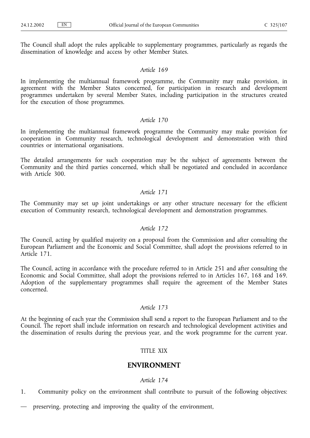The Council shall adopt the rules applicable to supplementary programmes, particularly as regards the dissemination of knowledge and access by other Member States.

### *Article 169*

In implementing the multiannual framework programme, the Community may make provision, in agreement with the Member States concerned, for participation in research and development programmes undertaken by several Member States, including participation in the structures created for the execution of those programmes.

### *Article 170*

In implementing the multiannual framework programme the Community may make provision for cooperation in Community research, technological development and demonstration with third countries or international organisations.

The detailed arrangements for such cooperation may be the subject of agreements between the Community and the third parties concerned, which shall be negotiated and concluded in accordance with Article 300.

### *Article 171*

The Community may set up joint undertakings or any other structure necessary for the efficient execution of Community research, technological development and demonstration programmes.

#### *Article 172*

The Council, acting by qualified majority on a proposal from the Commission and after consulting the European Parliament and the Economic and Social Committee, shall adopt the provisions referred to in Article 171.

The Council, acting in accordance with the procedure referred to in Article 251 and after consulting the Economic and Social Committee, shall adopt the provisions referred to in Articles 167, 168 and 169. Adoption of the supplementary programmes shall require the agreement of the Member States concerned.

## *Article 173*

At the beginning of each year the Commission shall send a report to the European Parliament and to the Council. The report shall include information on research and technological development activities and the dissemination of results during the previous year, and the work programme for the current year.

# TITLE XIX

### **ENVIRONMENT**

## *Article 174*

1. Community policy on the environment shall contribute to pursuit of the following objectives:

preserving, protecting and improving the quality of the environment,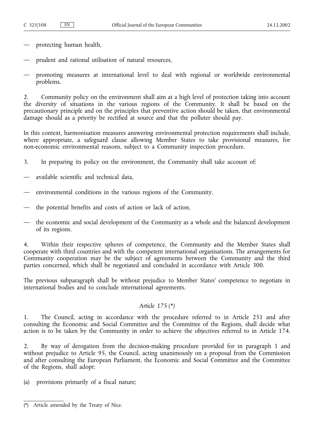- protecting human health,
- prudent and rational utilisation of natural resources,
- promoting measures at international level to deal with regional or worldwide environmental problems.

2. Community policy on the environment shall aim at a high level of protection taking into account the diversity of situations in the various regions of the Community. It shall be based on the precautionary principle and on the principles that preventive action should be taken, that environmental damage should as a priority be rectified at source and that the polluter should pay.

In this context, harmonisation measures answering environmental protection requirements shall include, where appropriate, a safeguard clause allowing Member States to take provisional measures, for non-economic environmental reasons, subject to a Community inspection procedure.

- 3. In preparing its policy on the environment, the Community shall take account of:
- available scientific and technical data,
- environmental conditions in the various regions of the Community,
- the potential benefits and costs of action or lack of action,
- the economic and social development of the Community as a whole and the balanced development of its regions.

4. Within their respective spheres of competence, the Community and the Member States shall cooperate with third countries and with the competent international organisations. The arrangements for Community cooperation may be the subject of agreements between the Community and the third parties concerned, which shall be negotiated and concluded in accordance with Article 300.

The previous subparagraph shall be without prejudice to Member States' competence to negotiate in international bodies and to conclude international agreements.

# *Article 175 (\*)*

1. The Council, acting in accordance with the procedure referred to in Article 251 and after consulting the Economic and Social Committee and the Committee of the Regions, shall decide what action is to be taken by the Community in order to achieve the objectives referred to in Article 174.

2. By way of derogation from the decision-making procedure provided for in paragraph 1 and without prejudice to Article 95, the Council, acting unanimously on a proposal from the Commission and after consulting the European Parliament, the Economic and Social Committee and the Committee of the Regions, shall adopt:

(a) provisions primarily of a fiscal nature;

<sup>(\*)</sup> Article amended by the Treaty of Nice.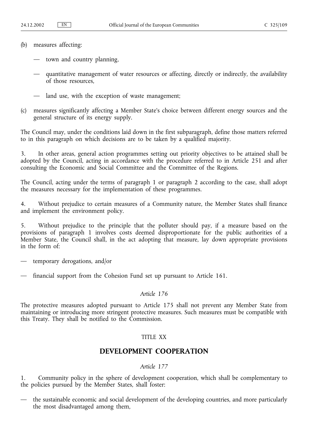- (b) measures affecting:
	- town and country planning,
	- quantitative management of water resources or affecting, directly or indirectly, the availability of those resources,
	- land use, with the exception of waste management;
- (c) measures significantly affecting a Member State's choice between different energy sources and the general structure of its energy supply.

The Council may, under the conditions laid down in the first subparagraph, define those matters referred to in this paragraph on which decisions are to be taken by a qualified majority.

3. In other areas, general action programmes setting out priority objectives to be attained shall be adopted by the Council, acting in accordance with the procedure referred to in Article 251 and after consulting the Economic and Social Committee and the Committee of the Regions.

The Council, acting under the terms of paragraph 1 or paragraph 2 according to the case, shall adopt the measures necessary for the implementation of these programmes.

4. Without prejudice to certain measures of a Community nature, the Member States shall finance and implement the environment policy.

5. Without prejudice to the principle that the polluter should pay, if a measure based on the provisions of paragraph 1 involves costs deemed disproportionate for the public authorities of a Member State, the Council shall, in the act adopting that measure, lay down appropriate provisions in the form of:

- temporary derogations, and/or
- financial support from the Cohesion Fund set up pursuant to Article 161.

## *Article 176*

The protective measures adopted pursuant to Article 175 shall not prevent any Member State from maintaining or introducing more stringent protective measures. Such measures must be compatible with this Treaty. They shall be notified to the Commission.

### TITLE XX

# **DEVELOPMENT COOPERATION**

### *Article 177*

1. Community policy in the sphere of development cooperation, which shall be complementary to the policies pursued by the Member States, shall foster:

— the sustainable economic and social development of the developing countries, and more particularly the most disadvantaged among them,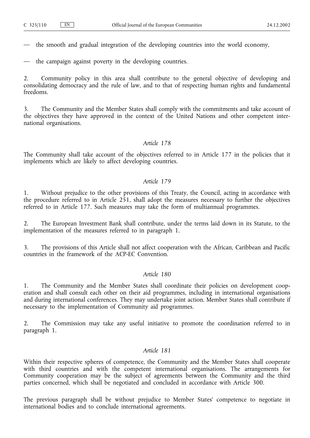the smooth and gradual integration of the developing countries into the world economy,

— the campaign against poverty in the developing countries.

2. Community policy in this area shall contribute to the general objective of developing and consolidating democracy and the rule of law, and to that of respecting human rights and fundamental freedoms.

3. The Community and the Member States shall comply with the commitments and take account of the objectives they have approved in the context of the United Nations and other competent international organisations.

### *Article 178*

The Community shall take account of the objectives referred to in Article 177 in the policies that it implements which are likely to affect developing countries.

### *Article 179*

1. Without prejudice to the other provisions of this Treaty, the Council, acting in accordance with the procedure referred to in Article 251, shall adopt the measures necessary to further the objectives referred to in Article 177. Such measures may take the form of multiannual programmes.

2. The European Investment Bank shall contribute, under the terms laid down in its Statute, to the implementation of the measures referred to in paragraph 1.

3. The provisions of this Article shall not affect cooperation with the African, Caribbean and Pacific countries in the framework of the ACP-EC Convention.

### *Article 180*

1. The Community and the Member States shall coordinate their policies on development cooperation and shall consult each other on their aid programmes, including in international organisations and during international conferences. They may undertake joint action. Member States shall contribute if necessary to the implementation of Community aid programmes.

2. The Commission may take any useful initiative to promote the coordination referred to in paragraph 1.

### *Article 181*

Within their respective spheres of competence, the Community and the Member States shall cooperate with third countries and with the competent international organisations. The arrangements for Community cooperation may be the subject of agreements between the Community and the third parties concerned, which shall be negotiated and concluded in accordance with Article 300.

The previous paragraph shall be without prejudice to Member States' competence to negotiate in international bodies and to conclude international agreements.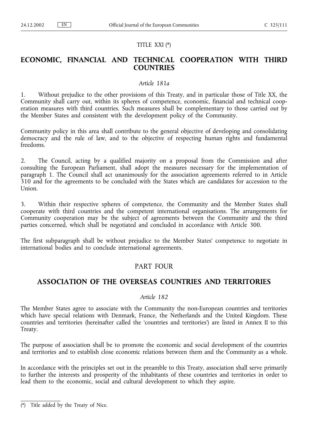## TITLE XXI (\*)

# **ECONOMIC, FINANCIAL AND TECHNICAL COOPERATION WITH THIRD COUNTRIES**

### *Article 181a*

1. Without prejudice to the other provisions of this Treaty, and in particular those of Title XX, the Community shall carry out, within its spheres of competence, economic, financial and technical cooperation measures with third countries. Such measures shall be complementary to those carried out by the Member States and consistent with the development policy of the Community.

Community policy in this area shall contribute to the general objective of developing and consolidating democracy and the rule of law, and to the objective of respecting human rights and fundamental freedoms.

2. The Council, acting by a qualified majority on a proposal from the Commission and after consulting the European Parliament, shall adopt the measures necessary for the implementation of paragraph 1. The Council shall act unanimously for the association agreements referred to in Article 310 and for the agreements to be concluded with the States which are candidates for accession to the Union.

3. Within their respective spheres of competence, the Community and the Member States shall cooperate with third countries and the competent international organisations. The arrangements for Community cooperation may be the subject of agreements between the Community and the third parties concerned, which shall be negotiated and concluded in accordance with Article 300.

The first subparagraph shall be without prejudice to the Member States' competence to negotiate in international bodies and to conclude international agreements.

# PART FOUR

# **ASSOCIATION OF THE OVERSEAS COUNTRIES AND TERRITORIES**

#### *Article 182*

The Member States agree to associate with the Community the non-European countries and territories which have special relations with Denmark, France, the Netherlands and the United Kingdom. These countries and territories (hereinafter called the 'countries and territories') are listed in Annex II to this Treaty.

The purpose of association shall be to promote the economic and social development of the countries and territories and to establish close economic relations between them and the Community as a whole.

In accordance with the principles set out in the preamble to this Treaty, association shall serve primarily to further the interests and prosperity of the inhabitants of these countries and territories in order to lead them to the economic, social and cultural development to which they aspire.

<sup>(\*)</sup> Title added by the Treaty of Nice.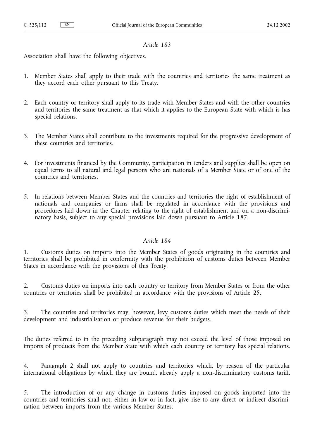Association shall have the following objectives.

- 1. Member States shall apply to their trade with the countries and territories the same treatment as they accord each other pursuant to this Treaty.
- 2. Each country or territory shall apply to its trade with Member States and with the other countries and territories the same treatment as that which it applies to the European State with which is has special relations.
- 3. The Member States shall contribute to the investments required for the progressive development of these countries and territories.
- 4. For investments financed by the Community, participation in tenders and supplies shall be open on equal terms to all natural and legal persons who are nationals of a Member State or of one of the countries and territories.
- 5. In relations between Member States and the countries and territories the right of establishment of nationals and companies or firms shall be regulated in accordance with the provisions and procedures laid down in the Chapter relating to the right of establishment and on a non-discriminatory basis, subject to any special provisions laid down pursuant to Article 187.

## *Article 184*

1. Customs duties on imports into the Member States of goods originating in the countries and territories shall be prohibited in conformity with the prohibition of customs duties between Member States in accordance with the provisions of this Treaty.

2. Customs duties on imports into each country or territory from Member States or from the other countries or territories shall be prohibited in accordance with the provisions of Article 25.

3. The countries and territories may, however, levy customs duties which meet the needs of their development and industrialisation or produce revenue for their budgets.

The duties referred to in the preceding subparagraph may not exceed the level of those imposed on imports of products from the Member State with which each country or territory has special relations.

4. Paragraph 2 shall not apply to countries and territories which, by reason of the particular international obligations by which they are bound, already apply a non-discriminatory customs tariff.

5. The introduction of or any change in customs duties imposed on goods imported into the countries and territories shall not, either in law or in fact, give rise to any direct or indirect discrimination between imports from the various Member States.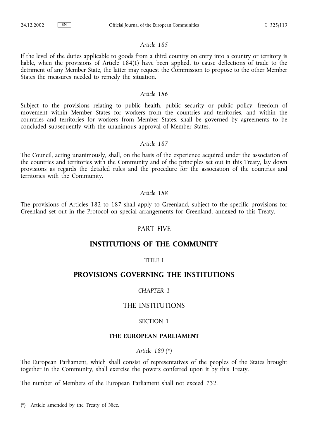If the level of the duties applicable to goods from a third country on entry into a country or territory is liable, when the provisions of Article 184(1) have been applied, to cause deflections of trade to the detriment of any Member State, the latter may request the Commission to propose to the other Member States the measures needed to remedy the situation.

## *Article 186*

Subject to the provisions relating to public health, public security or public policy, freedom of movement within Member States for workers from the countries and territories, and within the countries and territories for workers from Member States, shall be governed by agreements to be concluded subsequently with the unanimous approval of Member States.

# *Article 187*

The Council, acting unanimously, shall, on the basis of the experience acquired under the association of the countries and territories with the Community and of the principles set out in this Treaty, lay down provisions as regards the detailed rules and the procedure for the association of the countries and territories with the Community.

#### *Article 188*

The provisions of Articles 182 to 187 shall apply to Greenland, subject to the specific provisions for Greenland set out in the Protocol on special arrangements for Greenland, annexed to this Treaty.

## PART FIVE

# **INSTITUTIONS OF THE COMMUNITY**

# TITLE I

# **PROVISIONS GOVERNING THE INSTITUTIONS**

#### *CHAPTER 1*

# THE INSTITUTIONS

#### SECTION 1

#### **THE EUROPEAN PARLIAMENT**

*Article 189 (\*)*

The European Parliament, which shall consist of representatives of the peoples of the States brought together in the Community, shall exercise the powers conferred upon it by this Treaty.

The number of Members of the European Parliament shall not exceed 732.

<sup>(\*)</sup> Article amended by the Treaty of Nice.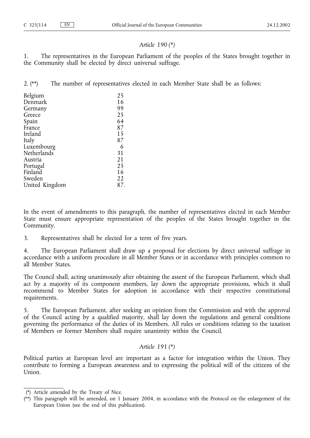# *Article 190 (\*)*

1. The representatives in the European Parliament of the peoples of the States brought together in the Community shall be elected by direct universal suffrage.

2. (\*\*) The number of representatives elected in each Member State shall be as follows:

| Belgium        | 25  |
|----------------|-----|
| Denmark        | 16  |
| Germany        | 99  |
| Greece         | 25  |
| Spain          | 64  |
| France         | 87  |
| Ireland        | 15  |
| Italy          | 87  |
| Luxembourg     | 6   |
| Netherlands    | 31  |
| Austria        | 21  |
| Portugal       | 25  |
| Finland        | 16  |
| Sweden         | 22  |
| United Kingdom | 87. |
|                |     |

In the event of amendments to this paragraph, the number of representatives elected in each Member State must ensure appropriate representation of the peoples of the States brought together in the Community.

3. Representatives shall be elected for a term of five years.

4. The European Parliament shall draw up a proposal for elections by direct universal suffrage in accordance with a uniform procedure in all Member States or in accordance with principles common to all Member States.

The Council shall, acting unanimously after obtaining the assent of the European Parliament, which shall act by a majority of its component members, lay down the appropriate provisions, which it shall recommend to Member States for adoption in accordance with their respective constitutional requirements.

5. The European Parliament, after seeking an opinion from the Commission and with the approval of the Council acting by a qualified majority, shall lay down the regulations and general conditions governing the performance of the duties of its Members. All rules or conditions relating to the taxation of Members or former Members shall require unanimity within the Council.

# *Article 191 (\*)*

Political parties at European level are important as a factor for integration within the Union. They contribute to forming a European awareness and to expressing the political will of the citizens of the Union.

<sup>(\*)</sup> Article amended by the Treaty of Nice.

<sup>(\*\*)</sup> This paragraph will be amended, on 1 January 2004, in accordance with the Protocol on the enlargement of the European Union (see the end of this publication).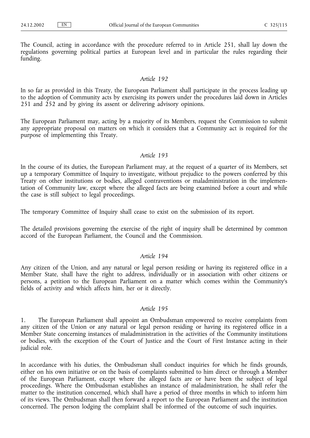The Council, acting in accordance with the procedure referred to in Article 251, shall lay down the regulations governing political parties at European level and in particular the rules regarding their funding.

#### *Article 192*

In so far as provided in this Treaty, the European Parliament shall participate in the process leading up to the adoption of Community acts by exercising its powers under the procedures laid down in Articles 251 and 252 and by giving its assent or delivering advisory opinions.

The European Parliament may, acting by a majority of its Members, request the Commission to submit any appropriate proposal on matters on which it considers that a Community act is required for the purpose of implementing this Treaty.

#### *Article 193*

In the course of its duties, the European Parliament may, at the request of a quarter of its Members, set up a temporary Committee of Inquiry to investigate, without prejudice to the powers conferred by this Treaty on other institutions or bodies, alleged contraventions or maladministration in the implementation of Community law, except where the alleged facts are being examined before a court and while the case is still subject to legal proceedings.

The temporary Committee of Inquiry shall cease to exist on the submission of its report.

The detailed provisions governing the exercise of the right of inquiry shall be determined by common accord of the European Parliament, the Council and the Commission.

## *Article 194*

Any citizen of the Union, and any natural or legal person residing or having its registered office in a Member State, shall have the right to address, individually or in association with other citizens or persons, a petition to the European Parliament on a matter which comes within the Community's fields of activity and which affects him, her or it directly.

#### *Article 195*

1. The European Parliament shall appoint an Ombudsman empowered to receive complaints from any citizen of the Union or any natural or legal person residing or having its registered office in a Member State concerning instances of maladministration in the activities of the Community institutions or bodies, with the exception of the Court of Justice and the Court of First Instance acting in their judicial role.

In accordance with his duties, the Ombudsman shall conduct inquiries for which he finds grounds, either on his own initiative or on the basis of complaints submitted to him direct or through a Member of the European Parliament, except where the alleged facts are or have been the subject of legal proceedings. Where the Ombudsman establishes an instance of maladministration, he shall refer the matter to the institution concerned, which shall have a period of three months in which to inform him of its views. The Ombudsman shall then forward a report to the European Parliament and the institution concerned. The person lodging the complaint shall be informed of the outcome of such inquiries.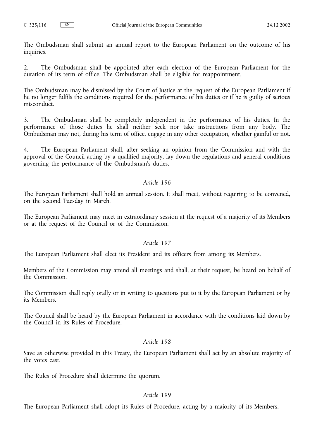The Ombudsman shall submit an annual report to the European Parliament on the outcome of his inquiries.

2. The Ombudsman shall be appointed after each election of the European Parliament for the duration of its term of office. The Ombudsman shall be eligible for reappointment.

The Ombudsman may be dismissed by the Court of Justice at the request of the European Parliament if he no longer fulfils the conditions required for the performance of his duties or if he is guilty of serious misconduct.

3. The Ombudsman shall be completely independent in the performance of his duties. In the performance of those duties he shall neither seek nor take instructions from any body. The Ombudsman may not, during his term of office, engage in any other occupation, whether gainful or not.

4. The European Parliament shall, after seeking an opinion from the Commission and with the approval of the Council acting by a qualified majority, lay down the regulations and general conditions governing the performance of the Ombudsman's duties.

#### *Article 196*

The European Parliament shall hold an annual session. It shall meet, without requiring to be convened, on the second Tuesday in March.

The European Parliament may meet in extraordinary session at the request of a majority of its Members or at the request of the Council or of the Commission.

## *Article 197*

The European Parliament shall elect its President and its officers from among its Members.

Members of the Commission may attend all meetings and shall, at their request, be heard on behalf of the Commission.

The Commission shall reply orally or in writing to questions put to it by the European Parliament or by its Members.

The Council shall be heard by the European Parliament in accordance with the conditions laid down by the Council in its Rules of Procedure.

## *Article 198*

Save as otherwise provided in this Treaty, the European Parliament shall act by an absolute majority of the votes cast.

The Rules of Procedure shall determine the quorum.

## *Article 199*

The European Parliament shall adopt its Rules of Procedure, acting by a majority of its Members.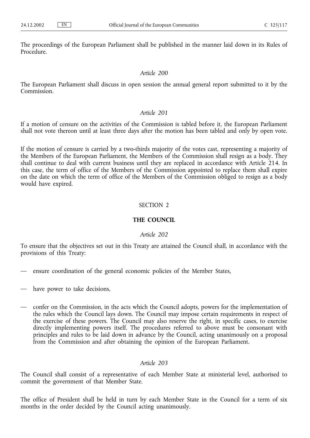The proceedings of the European Parliament shall be published in the manner laid down in its Rules of Procedure.

#### *Article 200*

The European Parliament shall discuss in open session the annual general report submitted to it by the Commission.

## *Article 201*

If a motion of censure on the activities of the Commission is tabled before it, the European Parliament shall not vote thereon until at least three days after the motion has been tabled and only by open vote.

If the motion of censure is carried by a two-thirds majority of the votes cast, representing a majority of the Members of the European Parliament, the Members of the Commission shall resign as a body. They shall continue to deal with current business until they are replaced in accordance with Article 214. In this case, the term of office of the Members of the Commission appointed to replace them shall expire on the date on which the term of office of the Members of the Commission obliged to resign as a body would have expired.

#### SECTION 2

#### **THE COUNCIL**

#### *Article 202*

To ensure that the objectives set out in this Treaty are attained the Council shall, in accordance with the provisions of this Treaty:

- ensure coordination of the general economic policies of the Member States,
- have power to take decisions,
- confer on the Commission, in the acts which the Council adopts, powers for the implementation of the rules which the Council lays down. The Council may impose certain requirements in respect of the exercise of these powers. The Council may also reserve the right, in specific cases, to exercise directly implementing powers itself. The procedures referred to above must be consonant with principles and rules to be laid down in advance by the Council, acting unanimously on a proposal from the Commission and after obtaining the opinion of the European Parliament.

### *Article 203*

The Council shall consist of a representative of each Member State at ministerial level, authorised to commit the government of that Member State.

The office of President shall be held in turn by each Member State in the Council for a term of six months in the order decided by the Council acting unanimously.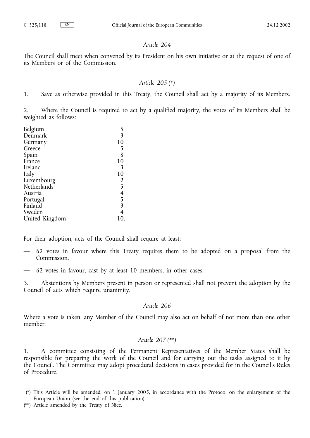The Council shall meet when convened by its President on his own initiative or at the request of one of its Members or of the Commission.

### *Article 205 (\*)*

1. Save as otherwise provided in this Treaty, the Council shall act by a majority of its Members.

2. Where the Council is required to act by a qualified majority, the votes of its Members shall be weighted as follows:

| Belgium        | $\frac{5}{3}$           |
|----------------|-------------------------|
| Denmark        |                         |
| Germany        | 10                      |
| Greece         | $\frac{5}{8}$           |
| Spain          |                         |
| France         | 10                      |
| Ireland        | $\overline{\mathbf{3}}$ |
| Italy          | 10                      |
| Luxembourg     |                         |
| Netherlands    | 2545                    |
| Austria        |                         |
| Portugal       |                         |
| Finland        |                         |
| Sweden         | $\overline{4}$          |
| United Kingdom |                         |
|                |                         |

For their adoption, acts of the Council shall require at least:

- 62 votes in favour where this Treaty requires them to be adopted on a proposal from the Commission,
- 62 votes in favour, cast by at least 10 members, in other cases.

3. Abstentions by Members present in person or represented shall not prevent the adoption by the Council of acts which require unanimity.

# *Article 206*

Where a vote is taken, any Member of the Council may also act on behalf of not more than one other member.

## *Article 207 (\*\*)*

1. A committee consisting of the Permanent Representatives of the Member States shall be responsible for preparing the work of the Council and for carrying out the tasks assigned to it by the Council. The Committee may adopt procedural decisions in cases provided for in the Council's Rules of Procedure.

<sup>(\*)</sup> This Article will be amended, on 1 January 2005, in accordance with the Protocol on the enlargement of the European Union (see the end of this publication).

<sup>(\*\*)</sup> Article amended by the Treaty of Nice.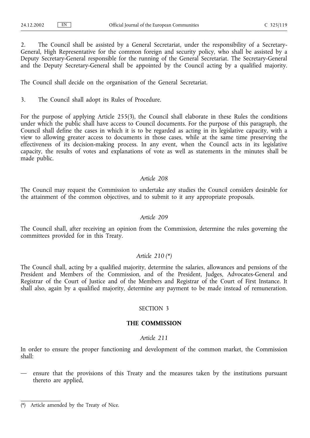2. The Council shall be assisted by a General Secretariat, under the responsibility of a Secretary-General, High Representative for the common foreign and security policy, who shall be assisted by a Deputy Secretary-General responsible for the running of the General Secretariat. The Secretary-General and the Deputy Secretary-General shall be appointed by the Council acting by a qualified majority.

The Council shall decide on the organisation of the General Secretariat.

3. The Council shall adopt its Rules of Procedure.

For the purpose of applying Article 255(3), the Council shall elaborate in these Rules the conditions under which the public shall have access to Council documents. For the purpose of this paragraph, the Council shall define the cases in which it is to be regarded as acting in its legislative capacity, with a view to allowing greater access to documents in those cases, while at the same time preserving the effectiveness of its decision-making process. In any event, when the Council acts in its legislative capacity, the results of votes and explanations of vote as well as statements in the minutes shall be made public.

#### *Article 208*

The Council may request the Commission to undertake any studies the Council considers desirable for the attainment of the common objectives, and to submit to it any appropriate proposals.

#### *Article 209*

The Council shall, after receiving an opinion from the Commission, determine the rules governing the committees provided for in this Treaty.

### *Article 210 (\*)*

The Council shall, acting by a qualified majority, determine the salaries, allowances and pensions of the President and Members of the Commission, and of the President, Judges, Advocates-General and Registrar of the Court of Justice and of the Members and Registrar of the Court of First Instance. It shall also, again by a qualified majority, determine any payment to be made instead of remuneration.

#### SECTION 3

# **THE COMMISSION**

#### *Article 211*

In order to ensure the proper functioning and development of the common market, the Commission shall:

— ensure that the provisions of this Treaty and the measures taken by the institutions pursuant thereto are applied,

<sup>(\*)</sup> Article amended by the Treaty of Nice.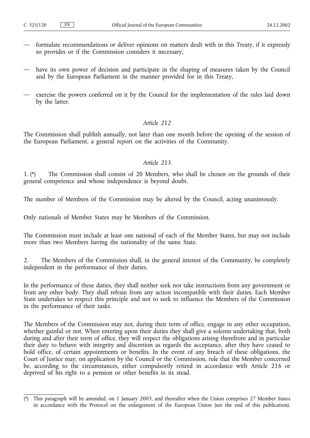- formulate recommendations or deliver opinions on matters dealt with in this Treaty, if it expressly so provides or if the Commission considers it necessary,
- have its own power of decision and participate in the shaping of measures taken by the Council and by the European Parliament in the manner provided for in this Treaty,
- exercise the powers conferred on it by the Council for the implementation of the rules laid down by the latter.

The Commission shall publish annually, not later than one month before the opening of the session of the European Parliament, a general report on the activities of the Community.

### *Article 213*

1. (\*) The Commission shall consist of 20 Members, who shall be chosen on the grounds of their general competence and whose independence is beyond doubt.

The number of Members of the Commission may be altered by the Council, acting unanimously.

Only nationals of Member States may be Members of the Commission.

The Commission must include at least one national of each of the Member States, but may not include more than two Members having the nationality of the same State.

2. The Members of the Commission shall, in the general interest of the Community, be completely independent in the performance of their duties.

In the performance of these duties, they shall neither seek nor take instructions from any government or from any other body. They shall refrain from any action incompatible with their duties. Each Member State undertakes to respect this principle and not to seek to influence the Members of the Commission in the performance of their tasks.

The Members of the Commission may not, during their term of office, engage in any other occupation, whether gainful or not. When entering upon their duties they shall give a solemn undertaking that, both during and after their term of office, they will respect the obligations arising therefrom and in particular their duty to behave with integrity and discretion as regards the acceptance, after they have ceased to hold office, of certain appointments or benefits. In the event of any breach of these obligations, the Court of Justice may, on application by the Council or the Commission, rule that the Member concerned be, according to the circumstances, either compulsorily retired in accordance with Article 216 or deprived of his right to a pension or other benefits in its stead.

<sup>(\*)</sup> This paragraph will be amended, on 1 January 2005, and thereafter when the Union comprises 27 Member States in accordance with the Protocol on the enlargement of the European Union (see the end of this publication).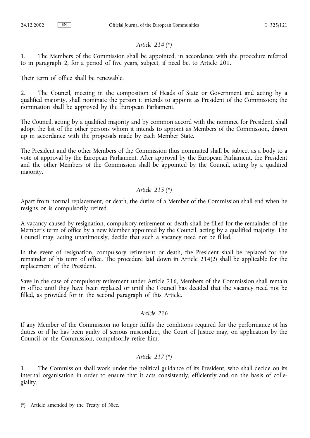# *Article 214 (\*)*

1. The Members of the Commission shall be appointed, in accordance with the procedure referred to in paragraph 2, for a period of five years, subject, if need be, to Article 201.

Their term of office shall be renewable.

2. The Council, meeting in the composition of Heads of State or Government and acting by a qualified majority, shall nominate the person it intends to appoint as President of the Commission; the nomination shall be approved by the European Parliament.

The Council, acting by a qualified majority and by common accord with the nominee for President, shall adopt the list of the other persons whom it intends to appoint as Members of the Commission, drawn up in accordance with the proposals made by each Member State.

The President and the other Members of the Commission thus nominated shall be subject as a body to a vote of approval by the European Parliament. After approval by the European Parliament, the President and the other Members of the Commission shall be appointed by the Council, acting by a qualified majority.

# *Article 215 (\*)*

Apart from normal replacement, or death, the duties of a Member of the Commission shall end when he resigns or is compulsorily retired.

A vacancy caused by resignation, compulsory retirement or death shall be filled for the remainder of the Member's term of office by a new Member appointed by the Council, acting by a qualified majority. The Council may, acting unanimously, decide that such a vacancy need not be filled.

In the event of resignation, compulsory retirement or death, the President shall be replaced for the remainder of his term of office. The procedure laid down in Article 214(2) shall be applicable for the replacement of the President.

Save in the case of compulsory retirement under Article 216, Members of the Commission shall remain in office until they have been replaced or until the Council has decided that the vacancy need not be filled, as provided for in the second paragraph of this Article.

# *Article 216*

If any Member of the Commission no longer fulfils the conditions required for the performance of his duties or if he has been guilty of serious misconduct, the Court of Justice may, on application by the Council or the Commission, compulsorily retire him.

# *Article 217 (\*)*

1. The Commission shall work under the political guidance of its President, who shall decide on its internal organisation in order to ensure that it acts consistently, efficiently and on the basis of collegiality.

<sup>(\*)</sup> Article amended by the Treaty of Nice.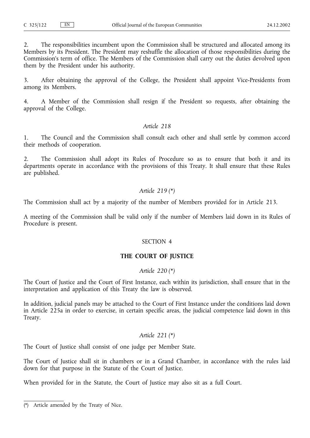2. The responsibilities incumbent upon the Commission shall be structured and allocated among its Members by its President. The President may reshuffle the allocation of those responsibilities during the Commission's term of office. The Members of the Commission shall carry out the duties devolved upon them by the President under his authority.

3. After obtaining the approval of the College, the President shall appoint Vice-Presidents from among its Members.

4. A Member of the Commission shall resign if the President so requests, after obtaining the approval of the College.

#### *Article 218*

1. The Council and the Commission shall consult each other and shall settle by common accord their methods of cooperation.

2. The Commission shall adopt its Rules of Procedure so as to ensure that both it and its departments operate in accordance with the provisions of this Treaty. It shall ensure that these Rules are published.

# *Article 219 (\*)*

The Commission shall act by a majority of the number of Members provided for in Article 213.

A meeting of the Commission shall be valid only if the number of Members laid down in its Rules of Procedure is present.

#### SECTION 4

## **THE COURT OF JUSTICE**

#### *Article 220 (\*)*

The Court of Justice and the Court of First Instance, each within its jurisdiction, shall ensure that in the interpretation and application of this Treaty the law is observed.

In addition, judicial panels may be attached to the Court of First Instance under the conditions laid down in Article 225a in order to exercise, in certain specific areas, the judicial competence laid down in this Treaty.

#### *Article 221 (\*)*

The Court of Justice shall consist of one judge per Member State.

The Court of Justice shall sit in chambers or in a Grand Chamber, in accordance with the rules laid down for that purpose in the Statute of the Court of Justice.

When provided for in the Statute, the Court of Justice may also sit as a full Court.

<sup>(\*)</sup> Article amended by the Treaty of Nice.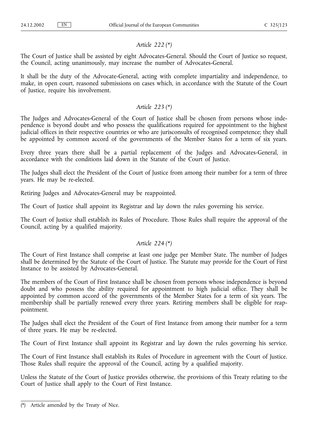# *Article 222 (\*)*

The Court of Justice shall be assisted by eight Advocates-General. Should the Court of Justice so request, the Council, acting unanimously, may increase the number of Advocates-General.

It shall be the duty of the Advocate-General, acting with complete impartiality and independence, to make, in open court, reasoned submissions on cases which, in accordance with the Statute of the Court of Justice, require his involvement.

# *Article 223 (\*)*

The Judges and Advocates-General of the Court of Justice shall be chosen from persons whose independence is beyond doubt and who possess the qualifications required for appointment to the highest judicial offices in their respective countries or who are jurisconsults of recognised competence; they shall be appointed by common accord of the governments of the Member States for a term of six years.

Every three years there shall be a partial replacement of the Judges and Advocates-General, in accordance with the conditions laid down in the Statute of the Court of Justice.

The Judges shall elect the President of the Court of Justice from among their number for a term of three years. He may be re-elected.

Retiring Judges and Advocates-General may be reappointed.

The Court of Justice shall appoint its Registrar and lay down the rules governing his service.

The Court of Justice shall establish its Rules of Procedure. Those Rules shall require the approval of the Council, acting by a qualified majority.

# *Article 224 (\*)*

The Court of First Instance shall comprise at least one judge per Member State. The number of Judges shall be determined by the Statute of the Court of Justice. The Statute may provide for the Court of First Instance to be assisted by Advocates-General.

The members of the Court of First Instance shall be chosen from persons whose independence is beyond doubt and who possess the ability required for appointment to high judicial office. They shall be appointed by common accord of the governments of the Member States for a term of six years. The membership shall be partially renewed every three years. Retiring members shall be eligible for reappointment.

The Judges shall elect the President of the Court of First Instance from among their number for a term of three years. He may be re-elected.

The Court of First Instance shall appoint its Registrar and lay down the rules governing his service.

The Court of First Instance shall establish its Rules of Procedure in agreement with the Court of Justice. Those Rules shall require the approval of the Council, acting by a qualified majority.

Unless the Statute of the Court of Justice provides otherwise, the provisions of this Treaty relating to the Court of Justice shall apply to the Court of First Instance.

<sup>(\*)</sup> Article amended by the Treaty of Nice.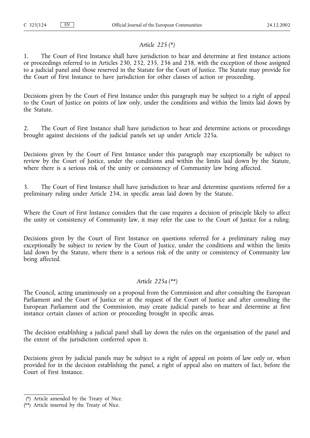## *Article 225 (\*)*

1. The Court of First Instance shall have jurisdiction to hear and determine at first instance actions or proceedings referred to in Articles 230, 232, 235, 236 and 238, with the exception of those assigned to a judicial panel and those reserved in the Statute for the Court of Justice. The Statute may provide for the Court of First Instance to have jurisdiction for other classes of action or proceeding.

Decisions given by the Court of First Instance under this paragraph may be subject to a right of appeal to the Court of Justice on points of law only, under the conditions and within the limits laid down by the Statute.

2. The Court of First Instance shall have jurisdiction to hear and determine actions or proceedings brought against decisions of the judicial panels set up under Article 225a.

Decisions given by the Court of First Instance under this paragraph may exceptionally be subject to review by the Court of Justice, under the conditions and within the limits laid down by the Statute, where there is a serious risk of the unity or consistency of Community law being affected.

3. The Court of First Instance shall have jurisdiction to hear and determine questions referred for a preliminary ruling under Article 234, in specific areas laid down by the Statute.

Where the Court of First Instance considers that the case requires a decision of principle likely to affect the unity or consistency of Community law, it may refer the case to the Court of Justice for a ruling.

Decisions given by the Court of First Instance on questions referred for a preliminary ruling may exceptionally be subject to review by the Court of Justice, under the conditions and within the limits laid down by the Statute, where there is a serious risk of the unity or consistency of Community law being affected.

# *Article 225a (\*\*)*

The Council, acting unanimously on a proposal from the Commission and after consulting the European Parliament and the Court of Justice or at the request of the Court of Justice and after consulting the European Parliament and the Commission, may create judicial panels to hear and determine at first instance certain classes of action or proceeding brought in specific areas.

The decision establishing a judicial panel shall lay down the rules on the organisation of the panel and the extent of the jurisdiction conferred upon it.

Decisions given by judicial panels may be subject to a right of appeal on points of law only or, when provided for in the decision establishing the panel, a right of appeal also on matters of fact, before the Court of First Instance.

<sup>(\*)</sup> Article amended by the Treaty of Nice.

<sup>(\*\*)</sup> Article inserted by the Treaty of Nice.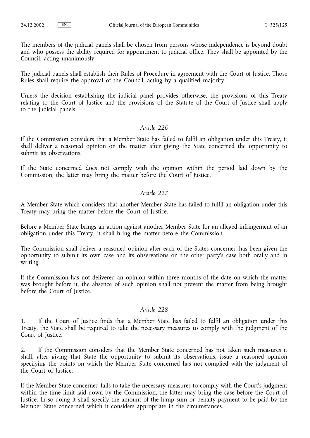The members of the judicial panels shall be chosen from persons whose independence is beyond doubt and who possess the ability required for appointment to judicial office. They shall be appointed by the Council, acting unanimously.

The judicial panels shall establish their Rules of Procedure in agreement with the Court of Justice. Those Rules shall require the approval of the Council, acting by a qualified majority.

Unless the decision establishing the judicial panel provides otherwise, the provisions of this Treaty relating to the Court of Justice and the provisions of the Statute of the Court of Justice shall apply to the judicial panels.

# *Article 226*

If the Commission considers that a Member State has failed to fulfil an obligation under this Treaty, it shall deliver a reasoned opinion on the matter after giving the State concerned the opportunity to submit its observations.

If the State concerned does not comply with the opinion within the period laid down by the Commission, the latter may bring the matter before the Court of Justice.

## *Article 227*

A Member State which considers that another Member State has failed to fulfil an obligation under this Treaty may bring the matter before the Court of Justice.

Before a Member State brings an action against another Member State for an alleged infringement of an obligation under this Treaty, it shall bring the matter before the Commission.

The Commission shall deliver a reasoned opinion after each of the States concerned has been given the opportunity to submit its own case and its observations on the other party's case both orally and in writing.

If the Commission has not delivered an opinion within three months of the date on which the matter was brought before it, the absence of such opinion shall not prevent the matter from being brought before the Court of Justice.

## *Article 228*

1. If the Court of Justice finds that a Member State has failed to fulfil an obligation under this Treaty, the State shall be required to take the necessary measures to comply with the judgment of the Court of Justice.

2. If the Commission considers that the Member State concerned has not taken such measures it shall, after giving that State the opportunity to submit its observations, issue a reasoned opinion specifying the points on which the Member State concerned has not complied with the judgment of the Court of Justice.

If the Member State concerned fails to take the necessary measures to comply with the Court's judgment within the time limit laid down by the Commission, the latter may bring the case before the Court of Justice. In so doing it shall specify the amount of the lump sum or penalty payment to be paid by the Member State concerned which it considers appropriate in the circumstances.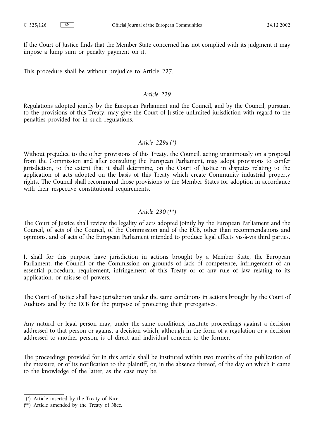If the Court of Justice finds that the Member State concerned has not complied with its judgment it may impose a lump sum or penalty payment on it.

This procedure shall be without prejudice to Article 227.

## *Article 229*

Regulations adopted jointly by the European Parliament and the Council, and by the Council, pursuant to the provisions of this Treaty, may give the Court of Justice unlimited jurisdiction with regard to the penalties provided for in such regulations.

#### *Article 229a (\*)*

Without prejudice to the other provisions of this Treaty, the Council, acting unanimously on a proposal from the Commission and after consulting the European Parliament, may adopt provisions to confer jurisdiction, to the extent that it shall determine, on the Court of Justice in disputes relating to the application of acts adopted on the basis of this Treaty which create Community industrial property rights. The Council shall recommend those provisions to the Member States for adoption in accordance with their respective constitutional requirements.

### *Article 230 (\*\*)*

The Court of Justice shall review the legality of acts adopted jointly by the European Parliament and the Council, of acts of the Council, of the Commission and of the ECB, other than recommendations and opinions, and of acts of the European Parliament intended to produce legal effects vis-à-vis third parties.

It shall for this purpose have jurisdiction in actions brought by a Member State, the European Parliament, the Council or the Commission on grounds of lack of competence, infringement of an essential procedural requirement, infringement of this Treaty or of any rule of law relating to its application, or misuse of powers.

The Court of Justice shall have jurisdiction under the same conditions in actions brought by the Court of Auditors and by the ECB for the purpose of protecting their prerogatives.

Any natural or legal person may, under the same conditions, institute proceedings against a decision addressed to that person or against a decision which, although in the form of a regulation or a decision addressed to another person, is of direct and individual concern to the former.

The proceedings provided for in this article shall be instituted within two months of the publication of the measure, or of its notification to the plaintiff, or, in the absence thereof, of the day on which it came to the knowledge of the latter, as the case may be.

<sup>(\*)</sup> Article inserted by the Treaty of Nice.

<sup>(\*\*)</sup> Article amended by the Treaty of Nice.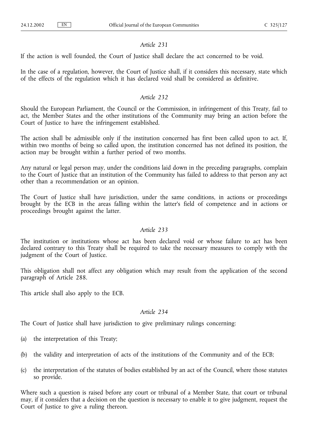If the action is well founded, the Court of Justice shall declare the act concerned to be void.

In the case of a regulation, however, the Court of Justice shall, if it considers this necessary, state which of the effects of the regulation which it has declared void shall be considered as definitive.

# *Article 232*

Should the European Parliament, the Council or the Commission, in infringement of this Treaty, fail to act, the Member States and the other institutions of the Community may bring an action before the Court of Justice to have the infringement established.

The action shall be admissible only if the institution concerned has first been called upon to act. If, within two months of being so called upon, the institution concerned has not defined its position, the action may be brought within a further period of two months.

Any natural or legal person may, under the conditions laid down in the preceding paragraphs, complain to the Court of Justice that an institution of the Community has failed to address to that person any act other than a recommendation or an opinion.

The Court of Justice shall have jurisdiction, under the same conditions, in actions or proceedings brought by the ECB in the areas falling within the latter's field of competence and in actions or proceedings brought against the latter.

#### *Article 233*

The institution or institutions whose act has been declared void or whose failure to act has been declared contrary to this Treaty shall be required to take the necessary measures to comply with the judgment of the Court of Justice.

This obligation shall not affect any obligation which may result from the application of the second paragraph of Article 288.

This article shall also apply to the ECB.

### *Article 234*

The Court of Justice shall have jurisdiction to give preliminary rulings concerning:

- (a) the interpretation of this Treaty;
- (b) the validity and interpretation of acts of the institutions of the Community and of the ECB;
- (c) the interpretation of the statutes of bodies established by an act of the Council, where those statutes so provide.

Where such a question is raised before any court or tribunal of a Member State, that court or tribunal may, if it considers that a decision on the question is necessary to enable it to give judgment, request the Court of Justice to give a ruling thereon.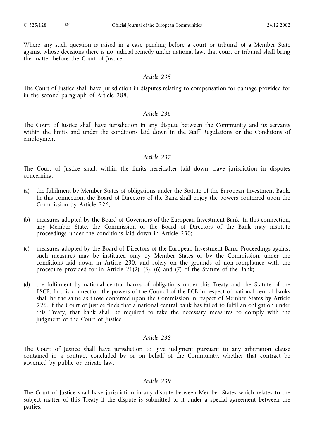Where any such question is raised in a case pending before a court or tribunal of a Member State against whose decisions there is no judicial remedy under national law, that court or tribunal shall bring the matter before the Court of Justice.

#### *Article 235*

The Court of Justice shall have jurisdiction in disputes relating to compensation for damage provided for in the second paragraph of Article 288.

# *Article 236*

The Court of Justice shall have jurisdiction in any dispute between the Community and its servants within the limits and under the conditions laid down in the Staff Regulations or the Conditions of employment.

# *Article 237*

The Court of Justice shall, within the limits hereinafter laid down, have jurisdiction in disputes concerning:

- (a) the fulfilment by Member States of obligations under the Statute of the European Investment Bank. In this connection, the Board of Directors of the Bank shall enjoy the powers conferred upon the Commission by Article 226;
- (b) measures adopted by the Board of Governors of the European Investment Bank. In this connection, any Member State, the Commission or the Board of Directors of the Bank may institute proceedings under the conditions laid down in Article 230;
- (c) measures adopted by the Board of Directors of the European Investment Bank. Proceedings against such measures may be instituted only by Member States or by the Commission, under the conditions laid down in Article 230, and solely on the grounds of non-compliance with the procedure provided for in Article 21(2), (5), (6) and (7) of the Statute of the Bank;
- (d) the fulfilment by national central banks of obligations under this Treaty and the Statute of the ESCB. In this connection the powers of the Council of the ECB in respect of national central banks shall be the same as those conferred upon the Commission in respect of Member States by Article 226. If the Court of Justice finds that a national central bank has failed to fulfil an obligation under this Treaty, that bank shall be required to take the necessary measures to comply with the judgment of the Court of Justice.

#### *Article 238*

The Court of Justice shall have jurisdiction to give judgment pursuant to any arbitration clause contained in a contract concluded by or on behalf of the Community, whether that contract be governed by public or private law.

#### *Article 239*

The Court of Justice shall have jurisdiction in any dispute between Member States which relates to the subject matter of this Treaty if the dispute is submitted to it under a special agreement between the parties.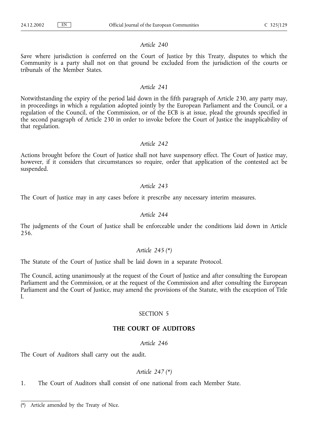Save where jurisdiction is conferred on the Court of Justice by this Treaty, disputes to which the Community is a party shall not on that ground be excluded from the jurisdiction of the courts or tribunals of the Member States.

### *Article 241*

Notwithstanding the expiry of the period laid down in the fifth paragraph of Article 230, any party may, in proceedings in which a regulation adopted jointly by the European Parliament and the Council, or a regulation of the Council, of the Commission, or of the ECB is at issue, plead the grounds specified in the second paragraph of Article 230 in order to invoke before the Court of Justice the inapplicability of that regulation.

## *Article 242*

Actions brought before the Court of Justice shall not have suspensory effect. The Court of Justice may, however, if it considers that circumstances so require, order that application of the contested act be suspended.

## *Article 243*

The Court of Justice may in any cases before it prescribe any necessary interim measures.

### *Article 244*

The judgments of the Court of Justice shall be enforceable under the conditions laid down in Article 256.

### *Article 245 (\*)*

The Statute of the Court of Justice shall be laid down in a separate Protocol.

The Council, acting unanimously at the request of the Court of Justice and after consulting the European Parliament and the Commission, or at the request of the Commission and after consulting the European Parliament and the Court of Justice, may amend the provisions of the Statute, with the exception of Title I.

#### SECTION 5

## **THE COURT OF AUDITORS**

#### *Article 246*

The Court of Auditors shall carry out the audit.

#### *Article 247 (\*)*

1. The Court of Auditors shall consist of one national from each Member State.

<sup>(\*)</sup> Article amended by the Treaty of Nice.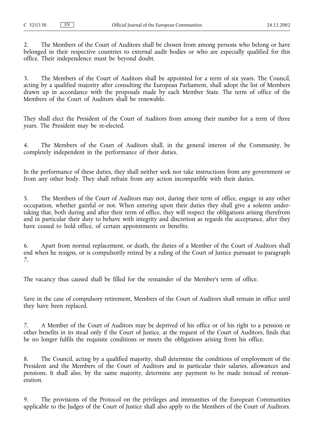2. The Members of the Court of Auditors shall be chosen from among persons who belong or have belonged in their respective countries to external audit bodies or who are especially qualified for this office. Their independence must be beyond doubt.

3. The Members of the Court of Auditors shall be appointed for a term of six years. The Council, acting by a qualified majority after consulting the European Parliament, shall adopt the list of Members drawn up in accordance with the proposals made by each Member State. The term of office of the Members of the Court of Auditors shall be renewable.

They shall elect the President of the Court of Auditors from among their number for a term of three years. The President may be re-elected.

4. The Members of the Court of Auditors shall, in the general interest of the Community, be completely independent in the performance of their duties.

In the performance of these duties, they shall neither seek nor take instructions from any government or from any other body. They shall refrain from any action incompatible with their duties.

5. The Members of the Court of Auditors may not, during their term of office, engage in any other occupation, whether gainful or not. When entering upon their duties they shall give a solemn undertaking that, both during and after their term of office, they will respect the obligations arising therefrom and in particular their duty to behave with integrity and discretion as regards the acceptance, after they have ceased to hold office, of certain appointments or benefits.

6. Apart from normal replacement, or death, the duties of a Member of the Court of Auditors shall end when he resigns, or is compulsorily retired by a ruling of the Court of Justice pursuant to paragraph 7.

The vacancy thus caused shall be filled for the remainder of the Member's term of office.

Save in the case of compulsory retirement, Members of the Court of Auditors shall remain in office until they have been replaced.

7. A Member of the Court of Auditors may be deprived of his office or of his right to a pension or other benefits in its stead only if the Court of Justice, at the request of the Court of Auditors, finds that he no longer fulfils the requisite conditions or meets the obligations arising from his office.

8. The Council, acting by a qualified majority, shall determine the conditions of employment of the President and the Members of the Court of Auditors and in particular their salaries, allowances and pensions. It shall also, by the same majority, determine any payment to be made instead of remuneration.

9. The provisions of the Protocol on the privileges and immunities of the European Communities applicable to the Judges of the Court of Justice shall also apply to the Members of the Court of Auditors.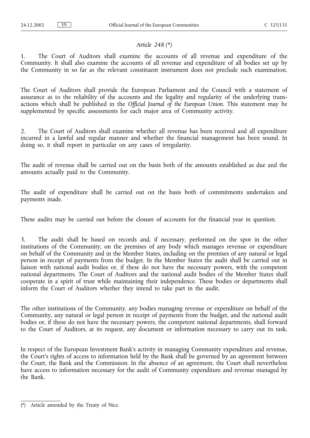# *Article 248 (\*)*

1. The Court of Auditors shall examine the accounts of all revenue and expenditure of the Community. It shall also examine the accounts of all revenue and expenditure of all bodies set up by the Community in so far as the relevant constituent instrument does not preclude such examination.

The Court of Auditors shall provide the European Parliament and the Council with a statement of assurance as to the reliability of the accounts and the legality and regularity of the underlying transactions which shall be published in the *Official Journal of the European Union*. This statement may be supplemented by specific assessments for each major area of Community activity.

2. The Court of Auditors shall examine whether all revenue has been received and all expenditure incurred in a lawful and regular manner and whether the financial management has been sound. In doing so, it shall report in particular on any cases of irregularity.

The audit of revenue shall be carried out on the basis both of the amounts established as due and the amounts actually paid to the Community.

The audit of expenditure shall be carried out on the basis both of commitments undertaken and payments made.

These audits may be carried out before the closure of accounts for the financial year in question.

3. The audit shall be based on records and, if necessary, performed on the spot in the other institutions of the Community, on the premises of any body which manages revenue or expenditure on behalf of the Community and in the Member States, including on the premises of any natural or legal person in receipt of payments from the budget. In the Member States the audit shall be carried out in liaison with national audit bodies or, if these do not have the necessary powers, with the competent national departments. The Court of Auditors and the national audit bodies of the Member States shall cooperate in a spirit of trust while maintaining their independence. These bodies or departments shall inform the Court of Auditors whether they intend to take part in the audit.

The other institutions of the Community, any bodies managing revenue or expenditure on behalf of the Community, any natural or legal person in receipt of payments from the budget, and the national audit bodies or, if these do not have the necessary powers, the competent national departments, shall forward to the Court of Auditors, at its request, any document or information necessary to carry out its task.

In respect of the European Investment Bank's activity in managing Community expenditure and revenue, the Court's rights of access to information held by the Bank shall be governed by an agreement between the Court, the Bank and the Commission. In the absence of an agreement, the Court shall nevertheless have access to information necessary for the audit of Community expenditure and revenue managed by the Bank.

<sup>(\*)</sup> Article amended by the Treaty of Nice.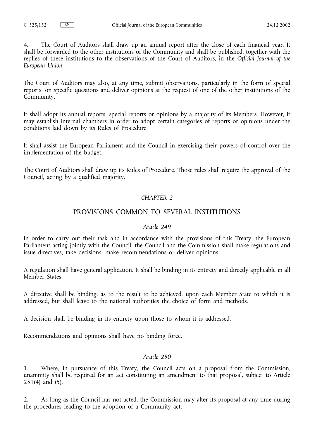4. The Court of Auditors shall draw up an annual report after the close of each financial year. It shall be forwarded to the other institutions of the Community and shall be published, together with the replies of these institutions to the observations of the Court of Auditors, in the *Official Journal of the European Union*.

The Court of Auditors may also, at any time, submit observations, particularly in the form of special reports, on specific questions and deliver opinions at the request of one of the other institutions of the Community.

It shall adopt its annual reports, special reports or opinions by a majority of its Members. However, it may establish internal chambers in order to adopt certain categories of reports or opinions under the conditions laid down by its Rules of Procedure.

It shall assist the European Parliament and the Council in exercising their powers of control over the implementation of the budget.

The Court of Auditors shall draw up its Rules of Procedure. Those rules shall require the approval of the Council, acting by a qualified majority.

## *CHAPTER 2*

# PROVISIONS COMMON TO SEVERAL INSTITUTIONS

#### *Article 249*

In order to carry out their task and in accordance with the provisions of this Treaty, the European Parliament acting jointly with the Council, the Council and the Commission shall make regulations and issue directives, take decisions, make recommendations or deliver opinions.

A regulation shall have general application. It shall be binding in its entirety and directly applicable in all Member States.

A directive shall be binding, as to the result to be achieved, upon each Member State to which it is addressed, but shall leave to the national authorities the choice of form and methods.

A decision shall be binding in its entirety upon those to whom it is addressed.

Recommendations and opinions shall have no binding force.

## *Article 250*

1. Where, in pursuance of this Treaty, the Council acts on a proposal from the Commission, unanimity shall be required for an act constituting an amendment to that proposal, subject to Article 251(4) and (5).

2. As long as the Council has not acted, the Commission may alter its proposal at any time during the procedures leading to the adoption of a Community act.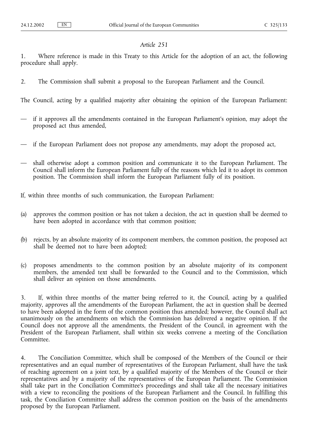1. Where reference is made in this Treaty to this Article for the adoption of an act, the following procedure shall apply.

2. The Commission shall submit a proposal to the European Parliament and the Council.

The Council, acting by a qualified majority after obtaining the opinion of the European Parliament:

- if it approves all the amendments contained in the European Parliament's opinion, may adopt the proposed act thus amended,
- if the European Parliament does not propose any amendments, may adopt the proposed act,
- shall otherwise adopt a common position and communicate it to the European Parliament. The Council shall inform the European Parliament fully of the reasons which led it to adopt its common position. The Commission shall inform the European Parliament fully of its position.

If, within three months of such communication, the European Parliament:

- (a) approves the common position or has not taken a decision, the act in question shall be deemed to have been adopted in accordance with that common position;
- (b) rejects, by an absolute majority of its component members, the common position, the proposed act shall be deemed not to have been adopted;
- (c) proposes amendments to the common position by an absolute majority of its component members, the amended text shall be forwarded to the Council and to the Commission, which shall deliver an opinion on those amendments.

3. If, within three months of the matter being referred to it, the Council, acting by a qualified majority, approves all the amendments of the European Parliament, the act in question shall be deemed to have been adopted in the form of the common position thus amended; however, the Council shall act unanimously on the amendments on which the Commission has delivered a negative opinion. If the Council does not approve all the amendments, the President of the Council, in agreement with the President of the European Parliament, shall within six weeks convene a meeting of the Conciliation Committee.

4. The Conciliation Committee, which shall be composed of the Members of the Council or their representatives and an equal number of representatives of the European Parliament, shall have the task of reaching agreement on a joint text, by a qualified majority of the Members of the Council or their representatives and by a majority of the representatives of the European Parliament. The Commission shall take part in the Conciliation Committee's proceedings and shall take all the necessary initiatives with a view to reconciling the positions of the European Parliament and the Council. In fulfilling this task, the Conciliation Committee shall address the common position on the basis of the amendments proposed by the European Parliament.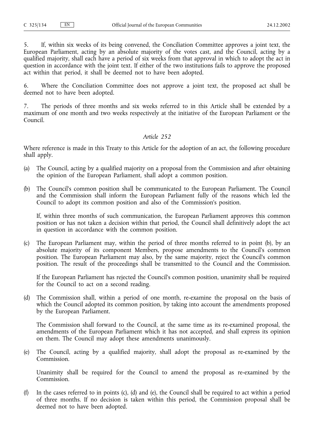5. If, within six weeks of its being convened, the Conciliation Committee approves a joint text, the European Parliament, acting by an absolute majority of the votes cast, and the Council, acting by a qualified majority, shall each have a period of six weeks from that approval in which to adopt the act in question in accordance with the joint text. If either of the two institutions fails to approve the proposed act within that period, it shall be deemed not to have been adopted.

6. Where the Conciliation Committee does not approve a joint text, the proposed act shall be deemed not to have been adopted.

7. The periods of three months and six weeks referred to in this Article shall be extended by a maximum of one month and two weeks respectively at the initiative of the European Parliament or the Council.

## *Article 252*

Where reference is made in this Treaty to this Article for the adoption of an act, the following procedure shall apply.

- (a) The Council, acting by a qualified majority on a proposal from the Commission and after obtaining the opinion of the European Parliament, shall adopt a common position.
- (b) The Council's common position shall be communicated to the European Parliament. The Council and the Commission shall inform the European Parliament fully of the reasons which led the Council to adopt its common position and also of the Commission's position.

If, within three months of such communication, the European Parliament approves this common position or has not taken a decision within that period, the Council shall definitively adopt the act in question in accordance with the common position.

(c) The European Parliament may, within the period of three months referred to in point (b), by an absolute majority of its component Members, propose amendments to the Council's common position. The European Parliament may also, by the same majority, reject the Council's common position. The result of the proceedings shall be transmitted to the Council and the Commission.

If the European Parliament has rejected the Council's common position, unanimity shall be required for the Council to act on a second reading.

(d) The Commission shall, within a period of one month, re-examine the proposal on the basis of which the Council adopted its common position, by taking into account the amendments proposed by the European Parliament.

The Commission shall forward to the Council, at the same time as its re-examined proposal, the amendments of the European Parliament which it has not accepted, and shall express its opinion on them. The Council may adopt these amendments unanimously.

(e) The Council, acting by a qualified majority, shall adopt the proposal as re-examined by the Commission.

Unanimity shall be required for the Council to amend the proposal as re-examined by the Commission.

(f) In the cases referred to in points (c), (d) and (e), the Council shall be required to act within a period of three months. If no decision is taken within this period, the Commission proposal shall be deemed not to have been adopted.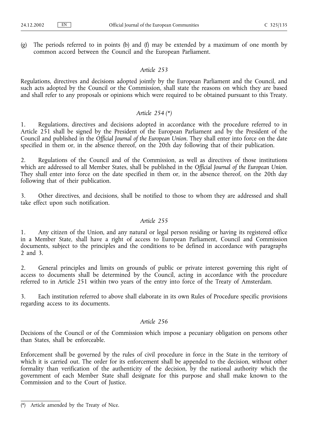(g) The periods referred to in points (b) and (f) may be extended by a maximum of one month by common accord between the Council and the European Parliament.

### *Article 253*

Regulations, directives and decisions adopted jointly by the European Parliament and the Council, and such acts adopted by the Council or the Commission, shall state the reasons on which they are based and shall refer to any proposals or opinions which were required to be obtained pursuant to this Treaty.

# *Article 254 (\*)*

1. Regulations, directives and decisions adopted in accordance with the procedure referred to in Article 251 shall be signed by the President of the European Parliament and by the President of the Council and published in the *Official Journal of the European Union*. They shall enter into force on the date specified in them or, in the absence thereof, on the 20th day following that of their publication.

2. Regulations of the Council and of the Commission, as well as directives of those institutions which are addressed to all Member States, shall be published in the *Official Journal of the European Union*. They shall enter into force on the date specified in them or, in the absence thereof, on the 20th day following that of their publication.

3. Other directives, and decisions, shall be notified to those to whom they are addressed and shall take effect upon such notification.

## *Article 255*

1. Any citizen of the Union, and any natural or legal person residing or having its registered office in a Member State, shall have a right of access to European Parliament, Council and Commission documents, subject to the principles and the conditions to be defined in accordance with paragraphs 2 and 3.

2. General principles and limits on grounds of public or private interest governing this right of access to documents shall be determined by the Council, acting in accordance with the procedure referred to in Article 251 within two years of the entry into force of the Treaty of Amsterdam.

3. Each institution referred to above shall elaborate in its own Rules of Procedure specific provisions regarding access to its documents.

# *Article 256*

Decisions of the Council or of the Commission which impose a pecuniary obligation on persons other than States, shall be enforceable.

Enforcement shall be governed by the rules of civil procedure in force in the State in the territory of which it is carried out. The order for its enforcement shall be appended to the decision, without other formality than verification of the authenticity of the decision, by the national authority which the government of each Member State shall designate for this purpose and shall make known to the Commission and to the Court of Justice.

<sup>(\*)</sup> Article amended by the Treaty of Nice.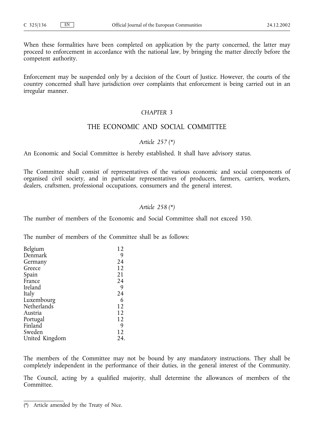When these formalities have been completed on application by the party concerned, the latter may proceed to enforcement in accordance with the national law, by bringing the matter directly before the competent authority.

Enforcement may be suspended only by a decision of the Court of Justice. However, the courts of the country concerned shall have jurisdiction over complaints that enforcement is being carried out in an irregular manner.

#### *CHAPTER 3*

# THE ECONOMIC AND SOCIAL COMMITTEE

#### *Article 257 (\*)*

An Economic and Social Committee is hereby established. It shall have advisory status.

The Committee shall consist of representatives of the various economic and social components of organised civil society, and in particular representatives of producers, farmers, carriers, workers, dealers, craftsmen, professional occupations, consumers and the general interest.

#### *Article 258 (\*)*

The number of members of the Economic and Social Committee shall not exceed 350.

The number of members of the Committee shall be as follows:

| Belgium        | 12  |
|----------------|-----|
| Denmark        | 9   |
| Germany        | 24  |
| Greece         | 12  |
| Spain          | 21  |
| France         | 24  |
| Ireland        | 9   |
| Italy          | 24  |
| Luxembourg     | 6   |
| Netherlands    | 12  |
| Austria        | 12  |
| Portugal       | 12  |
| Finland        | 9   |
| Sweden         | 12  |
| United Kingdom | 24. |

The members of the Committee may not be bound by any mandatory instructions. They shall be completely independent in the performance of their duties, in the general interest of the Community.

The Council, acting by a qualified majority, shall determine the allowances of members of the Committee.

<sup>(\*)</sup> Article amended by the Treaty of Nice.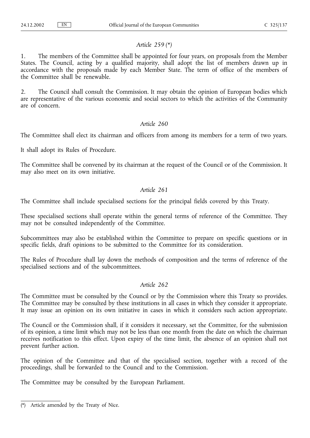## *Article 259 (\*)*

1. The members of the Committee shall be appointed for four years, on proposals from the Member States. The Council, acting by a qualified majority, shall adopt the list of members drawn up in accordance with the proposals made by each Member State. The term of office of the members of the Committee shall be renewable.

2. The Council shall consult the Commission. It may obtain the opinion of European bodies which are representative of the various economic and social sectors to which the activities of the Community are of concern.

## *Article 260*

The Committee shall elect its chairman and officers from among its members for a term of two years.

It shall adopt its Rules of Procedure.

The Committee shall be convened by its chairman at the request of the Council or of the Commission. It may also meet on its own initiative.

## *Article 261*

The Committee shall include specialised sections for the principal fields covered by this Treaty.

These specialised sections shall operate within the general terms of reference of the Committee. They may not be consulted independently of the Committee.

Subcommittees may also be established within the Committee to prepare on specific questions or in specific fields, draft opinions to be submitted to the Committee for its consideration.

The Rules of Procedure shall lay down the methods of composition and the terms of reference of the specialised sections and of the subcommittees.

# *Article 262*

The Committee must be consulted by the Council or by the Commission where this Treaty so provides. The Committee may be consulted by these institutions in all cases in which they consider it appropriate. It may issue an opinion on its own initiative in cases in which it considers such action appropriate.

The Council or the Commission shall, if it considers it necessary, set the Committee, for the submission of its opinion, a time limit which may not be less than one month from the date on which the chairman receives notification to this effect. Upon expiry of the time limit, the absence of an opinion shall not prevent further action.

The opinion of the Committee and that of the specialised section, together with a record of the proceedings, shall be forwarded to the Council and to the Commission.

The Committee may be consulted by the European Parliament.

<sup>(\*)</sup> Article amended by the Treaty of Nice.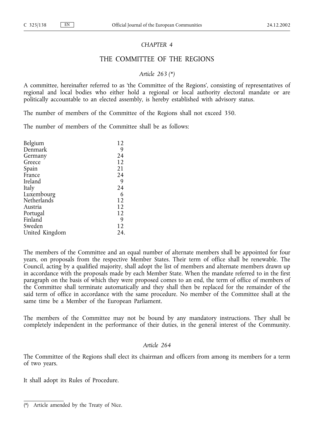#### *CHAPTER 4*

## THE COMMITTEE OF THE REGIONS

*Article 263 (\*)*

A committee, hereinafter referred to as 'the Committee of the Regions', consisting of representatives of regional and local bodies who either hold a regional or local authority electoral mandate or are politically accountable to an elected assembly, is hereby established with advisory status.

The number of members of the Committee of the Regions shall not exceed 350.

The number of members of the Committee shall be as follows:

| Belgium        | 12  |
|----------------|-----|
| Denmark        | 9   |
| Germany        | 24  |
| Greece         | 12  |
| Spain          | 21  |
| France         | 24  |
| Ireland        | 9   |
| Italy          | 24  |
| Luxembourg     | 6   |
| Netherlands    | 12  |
| Austria        | 12  |
| Portugal       | 12  |
| Finland        | 9   |
| Sweden         | 12  |
| United Kingdom | 24. |
|                |     |

The members of the Committee and an equal number of alternate members shall be appointed for four years, on proposals from the respective Member States. Their term of office shall be renewable. The Council, acting by a qualified majority, shall adopt the list of members and alternate members drawn up in accordance with the proposals made by each Member State. When the mandate referred to in the first paragraph on the basis of which they were proposed comes to an end, the term of office of members of the Committee shall terminate automatically and they shall then be replaced for the remainder of the said term of office in accordance with the same procedure. No member of the Committee shall at the same time be a Member of the European Parliament.

The members of the Committee may not be bound by any mandatory instructions. They shall be completely independent in the performance of their duties, in the general interest of the Community.

#### *Article 264*

The Committee of the Regions shall elect its chairman and officers from among its members for a term of two years.

It shall adopt its Rules of Procedure.

<sup>(\*)</sup> Article amended by the Treaty of Nice.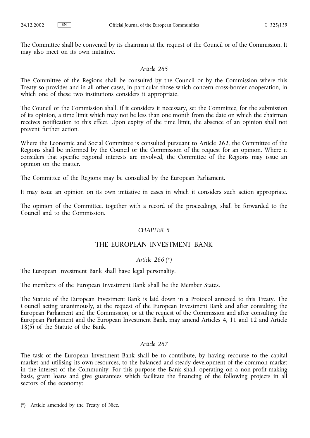The Committee shall be convened by its chairman at the request of the Council or of the Commission. It may also meet on its own initiative.

### *Article 265*

The Committee of the Regions shall be consulted by the Council or by the Commission where this Treaty so provides and in all other cases, in particular those which concern cross-border cooperation, in which one of these two institutions considers it appropriate.

The Council or the Commission shall, if it considers it necessary, set the Committee, for the submission of its opinion, a time limit which may not be less than one month from the date on which the chairman receives notification to this effect. Upon expiry of the time limit, the absence of an opinion shall not prevent further action.

Where the Economic and Social Committee is consulted pursuant to Article 262, the Committee of the Regions shall be informed by the Council or the Commission of the request for an opinion. Where it considers that specific regional interests are involved, the Committee of the Regions may issue an opinion on the matter.

The Committee of the Regions may be consulted by the European Parliament.

It may issue an opinion on its own initiative in cases in which it considers such action appropriate.

The opinion of the Committee, together with a record of the proceedings, shall be forwarded to the Council and to the Commission.

# *CHAPTER 5*

# THE EUROPEAN INVESTMENT BANK

# *Article 266 (\*)*

The European Investment Bank shall have legal personality.

The members of the European Investment Bank shall be the Member States.

The Statute of the European Investment Bank is laid down in a Protocol annexed to this Treaty. The Council acting unanimously, at the request of the European Investment Bank and after consulting the European Parliament and the Commission, or at the request of the Commission and after consulting the European Parliament and the European Investment Bank, may amend Articles 4, 11 and 12 and Article 18(5) of the Statute of the Bank.

## *Article 267*

The task of the European Investment Bank shall be to contribute, by having recourse to the capital market and utilising its own resources, to the balanced and steady development of the common market in the interest of the Community. For this purpose the Bank shall, operating on a non-profit-making basis, grant loans and give guarantees which facilitate the financing of the following projects in all sectors of the economy:

<sup>(\*)</sup> Article amended by the Treaty of Nice.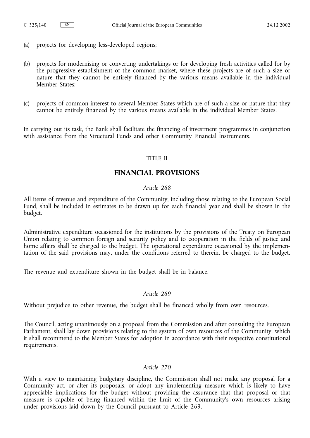- (a) projects for developing less-developed regions;
- (b) projects for modernising or converting undertakings or for developing fresh activities called for by the progressive establishment of the common market, where these projects are of such a size or nature that they cannot be entirely financed by the various means available in the individual Member States;
- (c) projects of common interest to several Member States which are of such a size or nature that they cannot be entirely financed by the various means available in the individual Member States.

In carrying out its task, the Bank shall facilitate the financing of investment programmes in conjunction with assistance from the Structural Funds and other Community Financial Instruments.

#### TITLE II

# **FINANCIAL PROVISIONS**

#### *Article 268*

All items of revenue and expenditure of the Community, including those relating to the European Social Fund, shall be included in estimates to be drawn up for each financial year and shall be shown in the budget.

Administrative expenditure occasioned for the institutions by the provisions of the Treaty on European Union relating to common foreign and security policy and to cooperation in the fields of justice and home affairs shall be charged to the budget. The operational expenditure occasioned by the implementation of the said provisions may, under the conditions referred to therein, be charged to the budget.

The revenue and expenditure shown in the budget shall be in balance.

## *Article 269*

Without prejudice to other revenue, the budget shall be financed wholly from own resources.

The Council, acting unanimously on a proposal from the Commission and after consulting the European Parliament, shall lay down provisions relating to the system of own resources of the Community, which it shall recommend to the Member States for adoption in accordance with their respective constitutional requirements.

# *Article 270*

With a view to maintaining budgetary discipline, the Commission shall not make any proposal for a Community act, or alter its proposals, or adopt any implementing measure which is likely to have appreciable implications for the budget without providing the assurance that that proposal or that measure is capable of being financed within the limit of the Community's own resources arising under provisions laid down by the Council pursuant to Article 269.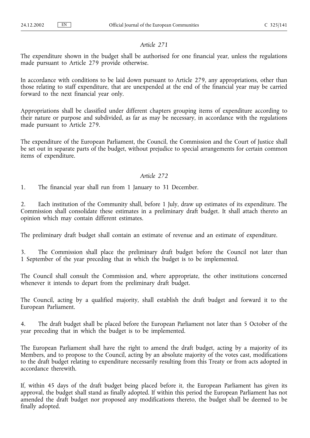The expenditure shown in the budget shall be authorised for one financial year, unless the regulations made pursuant to Article 279 provide otherwise.

In accordance with conditions to be laid down pursuant to Article 279, any appropriations, other than those relating to staff expenditure, that are unexpended at the end of the financial year may be carried forward to the next financial year only.

Appropriations shall be classified under different chapters grouping items of expenditure according to their nature or purpose and subdivided, as far as may be necessary, in accordance with the regulations made pursuant to Article 279.

The expenditure of the European Parliament, the Council, the Commission and the Court of Justice shall be set out in separate parts of the budget, without prejudice to special arrangements for certain common items of expenditure.

# *Article 272*

1. The financial year shall run from 1 January to 31 December.

2. Each institution of the Community shall, before 1 July, draw up estimates of its expenditure. The Commission shall consolidate these estimates in a preliminary draft budget. It shall attach thereto an opinion which may contain different estimates.

The preliminary draft budget shall contain an estimate of revenue and an estimate of expenditure.

3. The Commission shall place the preliminary draft budget before the Council not later than 1 September of the year preceding that in which the budget is to be implemented.

The Council shall consult the Commission and, where appropriate, the other institutions concerned whenever it intends to depart from the preliminary draft budget.

The Council, acting by a qualified majority, shall establish the draft budget and forward it to the European Parliament.

4. The draft budget shall be placed before the European Parliament not later than 5 October of the year preceding that in which the budget is to be implemented.

The European Parliament shall have the right to amend the draft budget, acting by a majority of its Members, and to propose to the Council, acting by an absolute majority of the votes cast, modifications to the draft budget relating to expenditure necessarily resulting from this Treaty or from acts adopted in accordance therewith.

If, within 45 days of the draft budget being placed before it, the European Parliament has given its approval, the budget shall stand as finally adopted. If within this period the European Parliament has not amended the draft budget nor proposed any modifications thereto, the budget shall be deemed to be finally adopted.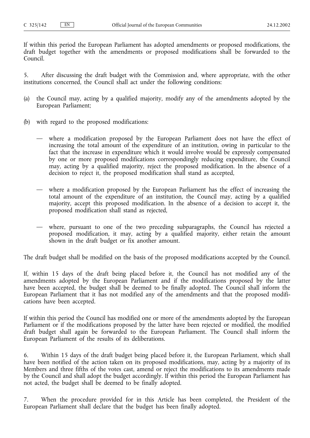If within this period the European Parliament has adopted amendments or proposed modifications, the draft budget together with the amendments or proposed modifications shall be forwarded to the Council.

5. After discussing the draft budget with the Commission and, where appropriate, with the other institutions concerned, the Council shall act under the following conditions:

- (a) the Council may, acting by a qualified majority, modify any of the amendments adopted by the European Parliament;
- (b) with regard to the proposed modifications:
	- where a modification proposed by the European Parliament does not have the effect of increasing the total amount of the expenditure of an institution, owing in particular to the fact that the increase in expenditure which it would involve would be expressly compensated by one or more proposed modifications correspondingly reducing expenditure, the Council may, acting by a qualified majority, reject the proposed modification. In the absence of a decision to reject it, the proposed modification shall stand as accepted,
	- where a modification proposed by the European Parliament has the effect of increasing the total amount of the expenditure of an institution, the Council may, acting by a qualified majority, accept this proposed modification. In the absence of a decision to accept it, the proposed modification shall stand as rejected,
	- where, pursuant to one of the two preceding subparagraphs, the Council has rejected a proposed modification, it may, acting by a qualified majority, either retain the amount shown in the draft budget or fix another amount.

The draft budget shall be modified on the basis of the proposed modifications accepted by the Council.

If, within 15 days of the draft being placed before it, the Council has not modified any of the amendments adopted by the European Parliament and if the modifications proposed by the latter have been accepted, the budget shall be deemed to be finally adopted. The Council shall inform the European Parliament that it has not modified any of the amendments and that the proposed modifications have been accepted.

If within this period the Council has modified one or more of the amendments adopted by the European Parliament or if the modifications proposed by the latter have been rejected or modified, the modified draft budget shall again be forwarded to the European Parliament. The Council shall inform the European Parliament of the results of its deliberations.

6. Within 15 days of the draft budget being placed before it, the European Parliament, which shall have been notified of the action taken on its proposed modifications, may, acting by a majority of its Members and three fifths of the votes cast, amend or reject the modifications to its amendments made by the Council and shall adopt the budget accordingly. If within this period the European Parliament has not acted, the budget shall be deemed to be finally adopted.

7. When the procedure provided for in this Article has been completed, the President of the European Parliament shall declare that the budget has been finally adopted.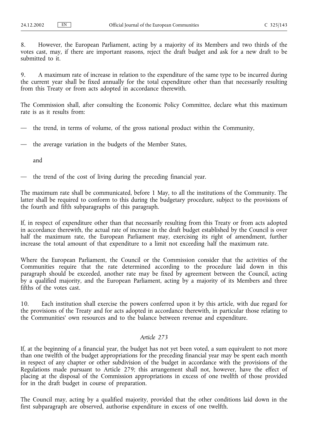8. However, the European Parliament, acting by a majority of its Members and two thirds of the votes cast, may, if there are important reasons, reject the draft budget and ask for a new draft to be submitted to it.

9. A maximum rate of increase in relation to the expenditure of the same type to be incurred during the current year shall be fixed annually for the total expenditure other than that necessarily resulting from this Treaty or from acts adopted in accordance therewith.

The Commission shall, after consulting the Economic Policy Committee, declare what this maximum rate is as it results from:

- the trend, in terms of volume, of the gross national product within the Community,
- the average variation in the budgets of the Member States,

and

the trend of the cost of living during the preceding financial year.

The maximum rate shall be communicated, before 1 May, to all the institutions of the Community. The latter shall be required to conform to this during the budgetary procedure, subject to the provisions of the fourth and fifth subparagraphs of this paragraph.

If, in respect of expenditure other than that necessarily resulting from this Treaty or from acts adopted in accordance therewith, the actual rate of increase in the draft budget established by the Council is over half the maximum rate, the European Parliament may, exercising its right of amendment, further increase the total amount of that expenditure to a limit not exceeding half the maximum rate.

Where the European Parliament, the Council or the Commission consider that the activities of the Communities require that the rate determined according to the procedure laid down in this paragraph should be exceeded, another rate may be fixed by agreement between the Council, acting by a qualified majority, and the European Parliament, acting by a majority of its Members and three fifths of the votes cast.

10. Each institution shall exercise the powers conferred upon it by this article, with due regard for the provisions of the Treaty and for acts adopted in accordance therewith, in particular those relating to the Communities' own resources and to the balance between revenue and expenditure.

#### *Article 273*

If, at the beginning of a financial year, the budget has not yet been voted, a sum equivalent to not more than one twelfth of the budget appropriations for the preceding financial year may be spent each month in respect of any chapter or other subdivision of the budget in accordance with the provisions of the Regulations made pursuant to Article 279; this arrangement shall not, however, have the effect of placing at the disposal of the Commission appropriations in excess of one twelfth of those provided for in the draft budget in course of preparation.

The Council may, acting by a qualified majority, provided that the other conditions laid down in the first subparagraph are observed, authorise expenditure in excess of one twelfth.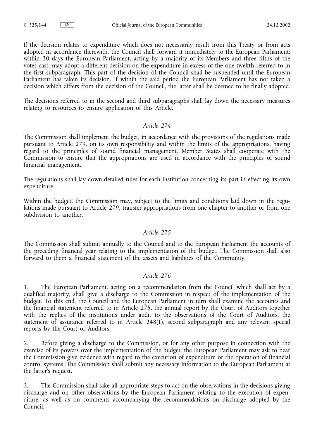If the decision relates to expenditure which does not necessarily result from this Treaty or from acts adopted in accordance therewith, the Council shall forward it immediately to the European Parliament; within 30 days the European Parliament, acting by a majority of its Members and three fifths of the votes cast, may adopt a different decision on the expenditure in excess of the one twelfth referred to in the first subparagraph. This part of the decision of the Council shall be suspended until the European Parliament has taken its decision. If within the said period the European Parliament has not taken a decision which differs from the decision of the Council, the latter shall be deemed to be finally adopted.

The decisions referred to in the second and third subparagraphs shall lay down the necessary measures relating to resources to ensure application of this Article.

#### *Article 274*

The Commission shall implement the budget, in accordance with the provisions of the regulations made pursuant to Article 279, on its own responsibility and within the limits of the appropriations, having regard to the principles of sound financial management. Member States shall cooperate with the Commission to ensure that the appropriations are used in accordance with the principles of sound financial management.

The regulations shall lay down detailed rules for each institution concerning its part in effecting its own expenditure.

Within the budget, the Commission may, subject to the limits and conditions laid down in the regulations made pursuant to Article 279, transfer appropriations from one chapter to another or from one subdivision to another.

# *Article 275*

The Commission shall submit annually to the Council and to the European Parliament the accounts of the preceding financial year relating to the implementation of the budget. The Commission shall also forward to them a financial statement of the assets and liabilities of the Community.

#### *Article 276*

1. The European Parliament, acting on a recommendation from the Council which shall act by a qualified majority, shall give a discharge to the Commission in respect of the implementation of the budget. To this end, the Council and the European Parliament in turn shall examine the accounts and the financial statement referred to in Article 275, the annual report by the Court of Auditors together with the replies of the institutions under audit to the observations of the Court of Auditors, the statement of assurance referred to in Article 248(1), second subparagraph and any relevant special reports by the Court of Auditors.

2. Before giving a discharge to the Commission, or for any other purpose in connection with the exercise of its powers over the implementation of the budget, the European Parliament may ask to hear the Commission give evidence with regard to the execution of expenditure or the operation of financial control systems. The Commission shall submit any necessary information to the European Parliament at the latter's request.

3. The Commission shall take all appropriate steps to act on the observations in the decisions giving discharge and on other observations by the European Parliament relating to the execution of expenditure, as well as on comments accompanying the recommendations on discharge adopted by the Council.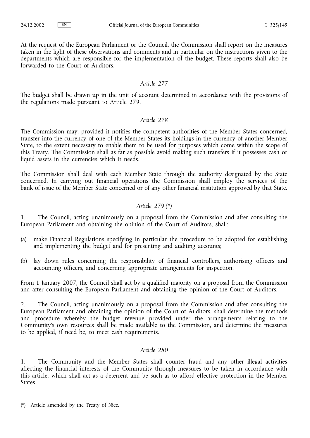At the request of the European Parliament or the Council, the Commission shall report on the measures taken in the light of these observations and comments and in particular on the instructions given to the departments which are responsible for the implementation of the budget. These reports shall also be forwarded to the Court of Auditors.

### *Article 277*

The budget shall be drawn up in the unit of account determined in accordance with the provisions of the regulations made pursuant to Article 279.

# *Article 278*

The Commission may, provided it notifies the competent authorities of the Member States concerned, transfer into the currency of one of the Member States its holdings in the currency of another Member State, to the extent necessary to enable them to be used for purposes which come within the scope of this Treaty. The Commission shall as far as possible avoid making such transfers if it possesses cash or liquid assets in the currencies which it needs.

The Commission shall deal with each Member State through the authority designated by the State concerned. In carrying out financial operations the Commission shall employ the services of the bank of issue of the Member State concerned or of any other financial institution approved by that State.

### *Article 279 (\*)*

1. The Council, acting unanimously on a proposal from the Commission and after consulting the European Parliament and obtaining the opinion of the Court of Auditors, shall:

- (a) make Financial Regulations specifying in particular the procedure to be adopted for establishing and implementing the budget and for presenting and auditing accounts;
- (b) lay down rules concerning the responsibility of financial controllers, authorising officers and accounting officers, and concerning appropriate arrangements for inspection.

From 1 January 2007, the Council shall act by a qualified majority on a proposal from the Commission and after consulting the European Parliament and obtaining the opinion of the Court of Auditors.

2. The Council, acting unanimously on a proposal from the Commission and after consulting the European Parliament and obtaining the opinion of the Court of Auditors, shall determine the methods and procedure whereby the budget revenue provided under the arrangements relating to the Community's own resources shall be made available to the Commission, and determine the measures to be applied, if need be, to meet cash requirements.

#### *Article 280*

1. The Community and the Member States shall counter fraud and any other illegal activities affecting the financial interests of the Community through measures to be taken in accordance with this article, which shall act as a deterrent and be such as to afford effective protection in the Member States.

<sup>(\*)</sup> Article amended by the Treaty of Nice.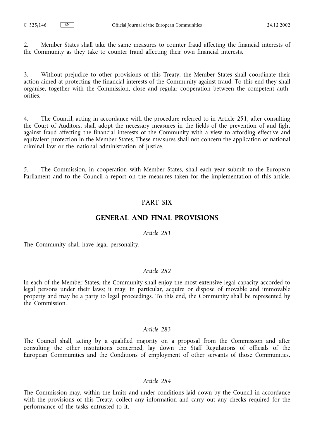2. Member States shall take the same measures to counter fraud affecting the financial interests of the Community as they take to counter fraud affecting their own financial interests.

3. Without prejudice to other provisions of this Treaty, the Member States shall coordinate their action aimed at protecting the financial interests of the Community against fraud. To this end they shall organise, together with the Commission, close and regular cooperation between the competent authorities.

4. The Council, acting in accordance with the procedure referred to in Article 251, after consulting the Court of Auditors, shall adopt the necessary measures in the fields of the prevention of and fight against fraud affecting the financial interests of the Community with a view to affording effective and equivalent protection in the Member States. These measures shall not concern the application of national criminal law or the national administration of justice.

5. The Commission, in cooperation with Member States, shall each year submit to the European Parliament and to the Council a report on the measures taken for the implementation of this article.

# PART SIX

# **GENERAL AND FINAL PROVISIONS**

## *Article 281*

The Community shall have legal personality.

## *Article 282*

In each of the Member States, the Community shall enjoy the most extensive legal capacity accorded to legal persons under their laws; it may, in particular, acquire or dispose of movable and immovable property and may be a party to legal proceedings. To this end, the Community shall be represented by the Commission.

### *Article 283*

The Council shall, acting by a qualified majority on a proposal from the Commission and after consulting the other institutions concerned, lay down the Staff Regulations of officials of the European Communities and the Conditions of employment of other servants of those Communities.

#### *Article 284*

The Commission may, within the limits and under conditions laid down by the Council in accordance with the provisions of this Treaty, collect any information and carry out any checks required for the performance of the tasks entrusted to it.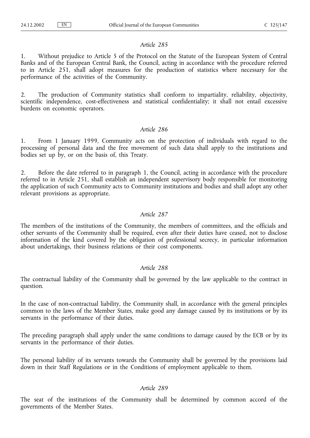1. Without prejudice to Article 5 of the Protocol on the Statute of the European System of Central Banks and of the European Central Bank, the Council, acting in accordance with the procedure referred to in Article 251, shall adopt measures for the production of statistics where necessary for the performance of the activities of the Community.

2. The production of Community statistics shall conform to impartiality, reliability, objectivity, scientific independence, cost-effectiveness and statistical confidentiality; it shall not entail excessive burdens on economic operators.

### *Article 286*

1. From 1 January 1999, Community acts on the protection of individuals with regard to the processing of personal data and the free movement of such data shall apply to the institutions and bodies set up by, or on the basis of, this Treaty.

2. Before the date referred to in paragraph 1, the Council, acting in accordance with the procedure referred to in Article 251, shall establish an independent supervisory body responsible for monitoring the application of such Community acts to Community institutions and bodies and shall adopt any other relevant provisions as appropriate.

# *Article 287*

The members of the institutions of the Community, the members of committees, and the officials and other servants of the Community shall be required, even after their duties have ceased, not to disclose information of the kind covered by the obligation of professional secrecy, in particular information about undertakings, their business relations or their cost components.

#### *Article 288*

The contractual liability of the Community shall be governed by the law applicable to the contract in question.

In the case of non-contractual liability, the Community shall, in accordance with the general principles common to the laws of the Member States, make good any damage caused by its institutions or by its servants in the performance of their duties.

The preceding paragraph shall apply under the same conditions to damage caused by the ECB or by its servants in the performance of their duties.

The personal liability of its servants towards the Community shall be governed by the provisions laid down in their Staff Regulations or in the Conditions of employment applicable to them.

# *Article 289*

The seat of the institutions of the Community shall be determined by common accord of the governments of the Member States.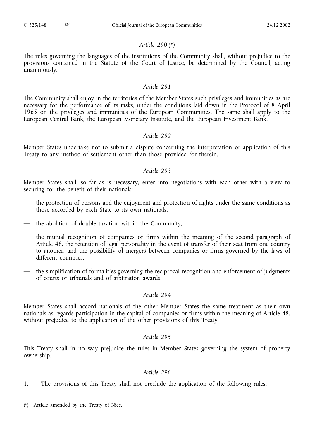## *Article 290 (\*)*

The rules governing the languages of the institutions of the Community shall, without prejudice to the provisions contained in the Statute of the Court of Justice, be determined by the Council, acting unanimously.

## *Article 291*

The Community shall enjoy in the territories of the Member States such privileges and immunities as are necessary for the performance of its tasks, under the conditions laid down in the Protocol of 8 April 1965 on the privileges and immunities of the European Communities. The same shall apply to the European Central Bank, the European Monetary Institute, and the European Investment Bank.

#### *Article 292*

Member States undertake not to submit a dispute concerning the interpretation or application of this Treaty to any method of settlement other than those provided for therein.

## *Article 293*

Member States shall, so far as is necessary, enter into negotiations with each other with a view to securing for the benefit of their nationals:

- the protection of persons and the enjoyment and protection of rights under the same conditions as those accorded by each State to its own nationals,
- the abolition of double taxation within the Community,
- the mutual recognition of companies or firms within the meaning of the second paragraph of Article 48, the retention of legal personality in the event of transfer of their seat from one country to another, and the possibility of mergers between companies or firms governed by the laws of different countries,
- the simplification of formalities governing the reciprocal recognition and enforcement of judgments of courts or tribunals and of arbitration awards.

## *Article 294*

Member States shall accord nationals of the other Member States the same treatment as their own nationals as regards participation in the capital of companies or firms within the meaning of Article 48, without prejudice to the application of the other provisions of this Treaty.

#### *Article 295*

This Treaty shall in no way prejudice the rules in Member States governing the system of property ownership.

#### *Article 296*

1. The provisions of this Treaty shall not preclude the application of the following rules:

<sup>(\*)</sup> Article amended by the Treaty of Nice.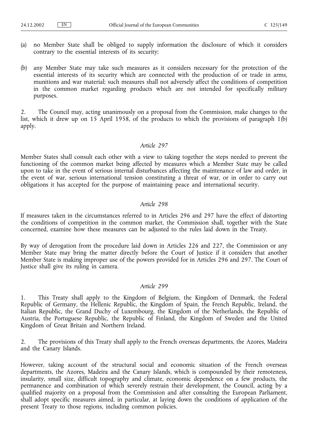- (a) no Member State shall be obliged to supply information the disclosure of which it considers contrary to the essential interests of its security;
- (b) any Member State may take such measures as it considers necessary for the protection of the essential interests of its security which are connected with the production of or trade in arms, munitions and war material; such measures shall not adversely affect the conditions of competition in the common market regarding products which are not intended for specifically military purposes.

2. The Council may, acting unanimously on a proposal from the Commission, make changes to the list, which it drew up on 15 April 1958, of the products to which the provisions of paragraph 1(b) apply.

### *Article 297*

Member States shall consult each other with a view to taking together the steps needed to prevent the functioning of the common market being affected by measures which a Member State may be called upon to take in the event of serious internal disturbances affecting the maintenance of law and order, in the event of war, serious international tension constituting a threat of war, or in order to carry out obligations it has accepted for the purpose of maintaining peace and international security.

#### *Article 298*

If measures taken in the circumstances referred to in Articles 296 and 297 have the effect of distorting the conditions of competition in the common market, the Commission shall, together with the State concerned, examine how these measures can be adjusted to the rules laid down in the Treaty.

By way of derogation from the procedure laid down in Articles 226 and 227, the Commission or any Member State may bring the matter directly before the Court of Justice if it considers that another Member State is making improper use of the powers provided for in Articles 296 and 297. The Court of Justice shall give its ruling in camera.

#### *Article 299*

1. This Treaty shall apply to the Kingdom of Belgium, the Kingdom of Denmark, the Federal Republic of Germany, the Hellenic Republic, the Kingdom of Spain, the French Republic, Ireland, the Italian Republic, the Grand Duchy of Luxembourg, the Kingdom of the Netherlands, the Republic of Austria, the Portuguese Republic, the Republic of Finland, the Kingdom of Sweden and the United Kingdom of Great Britain and Northern Ireland.

2. The provisions of this Treaty shall apply to the French overseas departments, the Azores, Madeira and the Canary Islands.

However, taking account of the structural social and economic situation of the French overseas departments, the Azores, Madeira and the Canary Islands, which is compounded by their remoteness, insularity, small size, difficult topography and climate, economic dependence on a few products, the permanence and combination of which severely restrain their development, the Council, acting by a qualified majority on a proposal from the Commission and after consulting the European Parliament, shall adopt specific measures aimed, in particular, at laying down the conditions of application of the present Treaty to those regions, including common policies.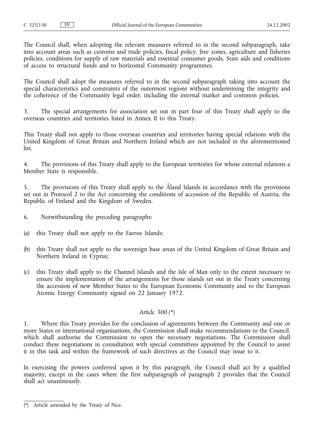The Council shall, when adopting the relevant measures referred to in the second subparagraph, take into account areas such as customs and trade policies, fiscal policy, free zones, agriculture and fisheries policies, conditions for supply of raw materials and essential consumer goods, State aids and conditions of access to structural funds and to horizontal Community programmes.

The Council shall adopt the measures referred to in the second subparagraph taking into account the special characteristics and constraints of the outermost regions without undermining the integrity and the coherence of the Community legal order, including the internal market and common policies.

3. The special arrangements for association set out in part four of this Treaty shall apply to the overseas countries and territories listed in Annex II to this Treaty.

This Treaty shall not apply to those overseas countries and territories having special relations with the United Kingdom of Great Britain and Northern Ireland which are not included in the aforementioned list.

4. The provisions of this Treaty shall apply to the European territories for whose external relations a Member State is responsible.

5. The provisions of this Treaty shall apply to the Åland Islands in accordance with the provisions set out in Protocol 2 to the Act concerning the conditions of accession of the Republic of Austria, the Republic of Finland and the Kingdom of Sweden.

- 6. Notwithstanding the preceding paragraphs:
- (a) this Treaty shall not apply to the Faeroe Islands;
- (b) this Treaty shall not apply to the sovereign base areas of the United Kingdom of Great Britain and Northern Ireland in Cyprus;
- (c) this Treaty shall apply to the Channel Islands and the Isle of Man only to the extent necessary to ensure the implementation of the arrangements for those islands set out in the Treaty concerning the accession of new Member States to the European Economic Community and to the European Atomic Energy Community signed on 22 January 1972.

## *Article 300 (\*)*

1. Where this Treaty provides for the conclusion of agreements between the Community and one or more States or international organisations, the Commission shall make recommendations to the Council, which shall authorise the Commission to open the necessary negotiations. The Commission shall conduct these negotiations in consultation with special committees appointed by the Council to assist it in this task and within the framework of such directives as the Council may issue to it.

In exercising the powers conferred upon it by this paragraph, the Council shall act by a qualified majority, except in the cases where the first subparagraph of paragraph 2 provides that the Council shall act unanimously.

<sup>(\*)</sup> Article amended by the Treaty of Nice.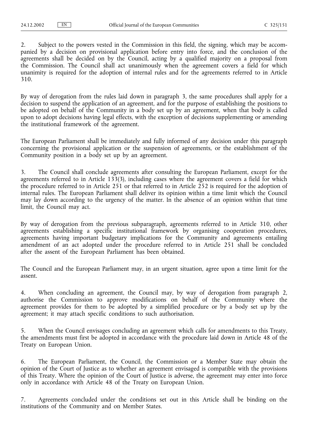2. Subject to the powers vested in the Commission in this field, the signing, which may be accompanied by a decision on provisional application before entry into force, and the conclusion of the agreements shall be decided on by the Council, acting by a qualified majority on a proposal from the Commission. The Council shall act unanimously when the agreement covers a field for which unanimity is required for the adoption of internal rules and for the agreements referred to in Article 310.

By way of derogation from the rules laid down in paragraph 3, the same procedures shall apply for a decision to suspend the application of an agreement, and for the purpose of establishing the positions to be adopted on behalf of the Community in a body set up by an agreement, when that body is called upon to adopt decisions having legal effects, with the exception of decisions supplementing or amending the institutional framework of the agreement.

The European Parliament shall be immediately and fully informed of any decision under this paragraph concerning the provisional application or the suspension of agreements, or the establishment of the Community position in a body set up by an agreement.

3. The Council shall conclude agreements after consulting the European Parliament, except for the agreements referred to in Article 133(3), including cases where the agreement covers a field for which the procedure referred to in Article 251 or that referred to in Article 252 is required for the adoption of internal rules. The European Parliament shall deliver its opinion within a time limit which the Council may lay down according to the urgency of the matter. In the absence of an opinion within that time limit, the Council may act.

By way of derogation from the previous subparagraph, agreements referred to in Article 310, other agreements establishing a specific institutional framework by organising cooperation procedures, agreements having important budgetary implications for the Community and agreements entailing amendment of an act adopted under the procedure referred to in Article 251 shall be concluded after the assent of the European Parliament has been obtained.

The Council and the European Parliament may, in an urgent situation, agree upon a time limit for the assent.

4. When concluding an agreement, the Council may, by way of derogation from paragraph 2, authorise the Commission to approve modifications on behalf of the Community where the agreement provides for them to be adopted by a simplified procedure or by a body set up by the agreement; it may attach specific conditions to such authorisation.

5. When the Council envisages concluding an agreement which calls for amendments to this Treaty, the amendments must first be adopted in accordance with the procedure laid down in Article 48 of the Treaty on European Union.

6. The European Parliament, the Council, the Commission or a Member State may obtain the opinion of the Court of Justice as to whether an agreement envisaged is compatible with the provisions of this Treaty. Where the opinion of the Court of Justice is adverse, the agreement may enter into force only in accordance with Article 48 of the Treaty on European Union.

7. Agreements concluded under the conditions set out in this Article shall be binding on the institutions of the Community and on Member States.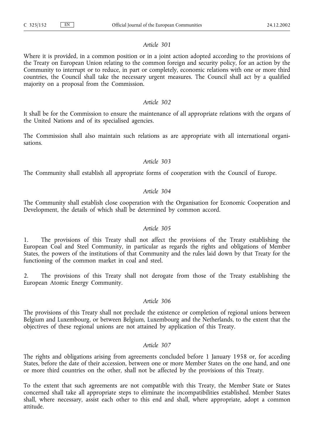Where it is provided, in a common position or in a joint action adopted according to the provisions of the Treaty on European Union relating to the common foreign and security policy, for an action by the Community to interrupt or to reduce, in part or completely, economic relations with one or more third countries, the Council shall take the necessary urgent measures. The Council shall act by a qualified majority on a proposal from the Commission.

#### *Article 302*

It shall be for the Commission to ensure the maintenance of all appropriate relations with the organs of the United Nations and of its specialised agencies.

The Commission shall also maintain such relations as are appropriate with all international organisations.

#### *Article 303*

The Community shall establish all appropriate forms of cooperation with the Council of Europe.

## *Article 304*

The Community shall establish close cooperation with the Organisation for Economic Cooperation and Development, the details of which shall be determined by common accord.

#### *Article 305*

1. The provisions of this Treaty shall not affect the provisions of the Treaty establishing the European Coal and Steel Community, in particular as regards the rights and obligations of Member States, the powers of the institutions of that Community and the rules laid down by that Treaty for the functioning of the common market in coal and steel.

2. The provisions of this Treaty shall not derogate from those of the Treaty establishing the European Atomic Energy Community.

## *Article 306*

The provisions of this Treaty shall not preclude the existence or completion of regional unions between Belgium and Luxembourg, or between Belgium, Luxembourg and the Netherlands, to the extent that the objectives of these regional unions are not attained by application of this Treaty.

## *Article 307*

The rights and obligations arising from agreements concluded before 1 January 1958 or, for acceding States, before the date of their accession, between one or more Member States on the one hand, and one or more third countries on the other, shall not be affected by the provisions of this Treaty.

To the extent that such agreements are not compatible with this Treaty, the Member State or States concerned shall take all appropriate steps to eliminate the incompatibilities established. Member States shall, where necessary, assist each other to this end and shall, where appropriate, adopt a common attitude.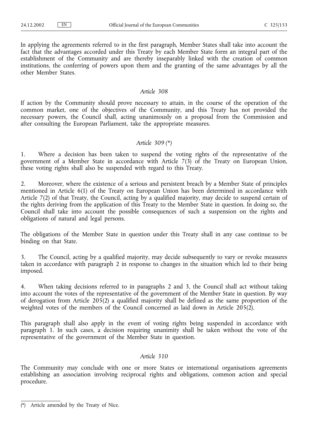In applying the agreements referred to in the first paragraph, Member States shall take into account the fact that the advantages accorded under this Treaty by each Member State form an integral part of the establishment of the Community and are thereby inseparably linked with the creation of common institutions, the conferring of powers upon them and the granting of the same advantages by all the other Member States.

#### *Article 308*

If action by the Community should prove necessary to attain, in the course of the operation of the common market, one of the objectives of the Community, and this Treaty has not provided the necessary powers, the Council shall, acting unanimously on a proposal from the Commission and after consulting the European Parliament, take the appropriate measures.

## *Article 309 (\*)*

1. Where a decision has been taken to suspend the voting rights of the representative of the government of a Member State in accordance with Article 7(3) of the Treaty on European Union, these voting rights shall also be suspended with regard to this Treaty.

2. Moreover, where the existence of a serious and persistent breach by a Member State of principles mentioned in Article 6(1) of the Treaty on European Union has been determined in accordance with Article 7(2) of that Treaty, the Council, acting by a qualified majority, may decide to suspend certain of the rights deriving from the application of this Treaty to the Member State in question. In doing so, the Council shall take into account the possible consequences of such a suspension on the rights and obligations of natural and legal persons.

The obligations of the Member State in question under this Treaty shall in any case continue to be binding on that State.

3. The Council, acting by a qualified majority, may decide subsequently to vary or revoke measures taken in accordance with paragraph 2 in response to changes in the situation which led to their being imposed.

4. When taking decisions referred to in paragraphs 2 and 3, the Council shall act without taking into account the votes of the representative of the government of the Member State in question. By way of derogation from Article 205(2) a qualified majority shall be defined as the same proportion of the weighted votes of the members of the Council concerned as laid down in Article 205(2).

This paragraph shall also apply in the event of voting rights being suspended in accordance with paragraph 1. In such cases, a decision requiring unanimity shall be taken without the vote of the representative of the government of the Member State in question.

## *Article 310*

The Community may conclude with one or more States or international organisations agreements establishing an association involving reciprocal rights and obligations, common action and special procedure.

<sup>(\*)</sup> Article amended by the Treaty of Nice.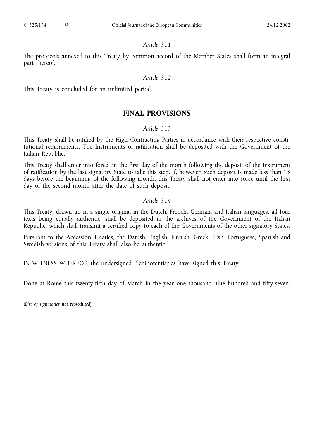The protocols annexed to this Treaty by common accord of the Member States shall form an integral part thereof.

#### *Article 312*

This Treaty is concluded for an unlimited period.

## **FINAL PROVISIONS**

#### *Article 313*

This Treaty shall be ratified by the High Contracting Parties in accordance with their respective constitutional requirements. The Instruments of ratification shall be deposited with the Government of the Italian Republic.

This Treaty shall enter into force on the first day of the month following the deposit of the Instrument of ratification by the last signatory State to take this step. If, however, such deposit is made less than 15 days before the beginning of the following month, this Treaty shall not enter into force until the first day of the second month after the date of such deposit.

#### *Article 314*

This Treaty, drawn up in a single original in the Dutch, French, German, and Italian languages, all four texts being equally authentic, shall be deposited in the archives of the Government of the Italian Republic, which shall transmit a certified copy to each of the Governments of the other signatory States.

Pursuant to the Accession Treaties, the Danish, English, Finnish, Greek, Irish, Portuguese, Spanish and Swedish versions of this Treaty shall also be authentic.

IN WITNESS WHEREOF, the undersigned Plenipotentiaries have signed this Treaty.

Done at Rome this twenty-fifth day of March in the year one thousand nine hundred and fifty-seven.

(*List of signatories not reproduced*)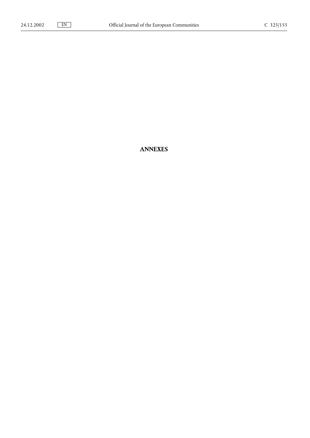## **ANNEXES**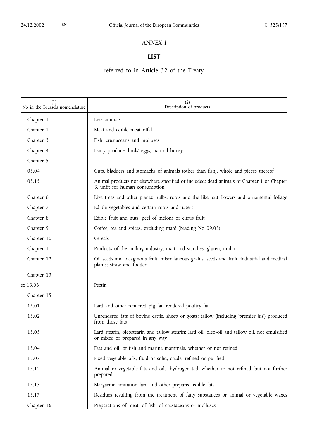## *ANNEX I*

# **LIST**

# referred to in Article 32 of the Treaty

| (1)<br>No in the Brussels nomenclature | (2)<br>Description of products                                                                                                     |
|----------------------------------------|------------------------------------------------------------------------------------------------------------------------------------|
| Chapter 1                              | Live animals                                                                                                                       |
| Chapter 2                              | Meat and edible meat offal                                                                                                         |
| Chapter 3                              | Fish, crustaceans and molluscs                                                                                                     |
| Chapter 4                              | Dairy produce; birds' eggs; natural honey                                                                                          |
| Chapter 5                              |                                                                                                                                    |
| 05.04                                  | Guts, bladders and stomachs of animals (other than fish), whole and pieces thereof                                                 |
| 05.15                                  | Animal products not elsewhere specified or included; dead animals of Chapter 1 or Chapter<br>3, unfit for human consumption        |
| Chapter 6                              | Live trees and other plants; bulbs, roots and the like; cut flowers and ornamental foliage                                         |
| Chapter 7                              | Edible vegetables and certain roots and tubers                                                                                     |
| Chapter 8                              | Edible fruit and nuts; peel of melons or citrus fruit                                                                              |
| Chapter 9                              | Coffee, tea and spices, excluding maté (heading No 09.03)                                                                          |
| Chapter 10                             | Cereals                                                                                                                            |
| Chapter 11                             | Products of the milling industry; malt and starches; gluten; inulin                                                                |
| Chapter 12                             | Oil seeds and oleaginous fruit; miscellaneous grains, seeds and fruit; industrial and medical<br>plants; straw and fodder          |
| Chapter 13                             |                                                                                                                                    |
| ex 13.03                               | Pectin                                                                                                                             |
| Chapter 15                             |                                                                                                                                    |
| 15.01                                  | Lard and other rendered pig fat; rendered poultry fat                                                                              |
| 15.02                                  | Unrendered fats of bovine cattle, sheep or goats; tallow (including 'premier jus') produced<br>from those fats                     |
| 15.03                                  | Lard stearin, oleostearin and tallow stearin; lard oil, oleo-oil and tallow oil, not emulsified<br>or mixed or prepared in any way |
| 15.04                                  | Fats and oil, of fish and marine mammals, whether or not refined                                                                   |
| 15.07                                  | Fixed vegetable oils, fluid or solid, crude, refined or purified                                                                   |
| 15.12                                  | Animal or vegetable fats and oils, hydrogenated, whether or not refined, but not further<br>prepared                               |
| 15.13                                  | Margarine, imitation lard and other prepared edible fats                                                                           |
| 15.17                                  | Residues resulting from the treatment of fatty substances or animal or vegetable waxes                                             |
| Chapter 16                             | Preparations of meat, of fish, of crustaceans or molluscs                                                                          |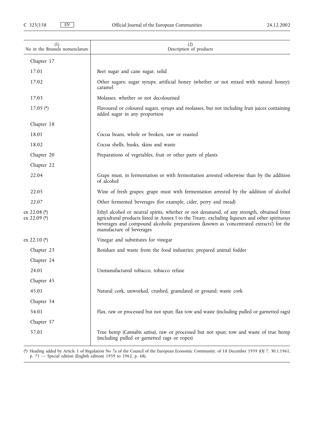| (1)<br>No in the Brussels nomenclature | (2)<br>Description of products                                                                                                                                                                                                                                                                                       |
|----------------------------------------|----------------------------------------------------------------------------------------------------------------------------------------------------------------------------------------------------------------------------------------------------------------------------------------------------------------------|
| Chapter 17                             |                                                                                                                                                                                                                                                                                                                      |
| 17.01                                  | Beet sugar and cane sugar, solid                                                                                                                                                                                                                                                                                     |
| 17.02                                  | Other sugars; sugar syrups; artificial honey (whether or not mixed with natural honey);<br>caramel                                                                                                                                                                                                                   |
| 17.03                                  | Molasses, whether or not decolourised                                                                                                                                                                                                                                                                                |
| $17.05$ (*)                            | Flavoured or coloured sugars, syrups and molasses, but not including fruit juices containing<br>added sugar in any proportion                                                                                                                                                                                        |
| Chapter 18                             |                                                                                                                                                                                                                                                                                                                      |
| 18.01                                  | Cocoa beans, whole or broken, raw or roasted                                                                                                                                                                                                                                                                         |
| 18.02                                  | Cocoa shells, husks, skins and waste                                                                                                                                                                                                                                                                                 |
| Chapter 20                             | Preparations of vegetables, fruit or other parts of plants                                                                                                                                                                                                                                                           |
| Chapter 22                             |                                                                                                                                                                                                                                                                                                                      |
| 22.04                                  | Grape must, in fermentation or with fermentation arrested otherwise than by the addition<br>of alcohol                                                                                                                                                                                                               |
| 22.05                                  | Wine of fresh grapes; grape must with fermentation arrested by the addition of alcohol                                                                                                                                                                                                                               |
| 22.07                                  | Other fermented beverages (for example, cider, perry and mead)                                                                                                                                                                                                                                                       |
| ex 22.08 (*)<br>ex 22.09 (*)           | Ethyl alcohol or neutral spirits, whether or not denatured, of any strength, obtained from<br>agricultural products listed in Annex I to the Treaty, excluding liqueurs and other spirituous<br>beverages and compound alcoholic preparations (known as 'concentrated extracts') for the<br>manufacture of beverages |
| ex 22.10 (*)                           | Vinegar and substitutes for vinegar                                                                                                                                                                                                                                                                                  |
| Chapter 23                             | Residues and waste from the food industries; prepared animal fodder                                                                                                                                                                                                                                                  |
| Chapter 24                             |                                                                                                                                                                                                                                                                                                                      |
| 24.01                                  | Unmanufactured tobacco, tobacco refuse                                                                                                                                                                                                                                                                               |
| Chapter 45                             |                                                                                                                                                                                                                                                                                                                      |
| 45.01                                  | Natural cork, unworked, crushed, granulated or ground; waste cork                                                                                                                                                                                                                                                    |
| Chapter 54                             |                                                                                                                                                                                                                                                                                                                      |
| 54.01                                  | Flax, raw or processed but not spun; flax tow and waste (including pulled or garnetted rags)                                                                                                                                                                                                                         |
| Chapter 57                             |                                                                                                                                                                                                                                                                                                                      |
| 57.01                                  | True hemp (Cannabis sativa), raw or processed but not spun; tow and waste of true hemp<br>(including pulled or garnetted rags or ropes)                                                                                                                                                                              |

(\*) Heading added by Article 1 of Regulation No 7a of the Council of the European Economic Community, of 18 December 1959 (OJ 7, 30.1.1961, p. 71 — Special edition (English edition) 1959 to 1962, p. 68).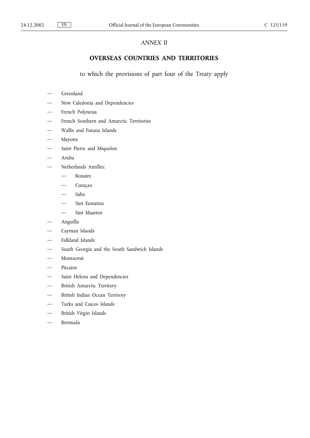## *ANNEX II*

## **OVERSEAS COUNTRIES AND TERRITORIES**

to which the provisions of part four of the Treaty apply

- Greenland
- New Caledonia and Dependencies
- French Polynesia
- French Southern and Antarctic Territories
- Wallis and Futuna Islands
- Mayotte
- Saint Pierre and Miquelon
- Aruba
- Netherlands Antilles:
	- Bonaire
	- Curaçao
	- Saba
	- Sint Eustatius
	- Sint Maarten
- Anguilla
- Cayman Islands
- Falkland Islands
- South Georgia and the South Sandwich Islands
- Montserrat
- Pitcairn
- Saint Helena and Dependencies
- British Antarctic Territory
- British Indian Ocean Territory
- Turks and Caicos Islands
- British Virgin Islands
- Bermuda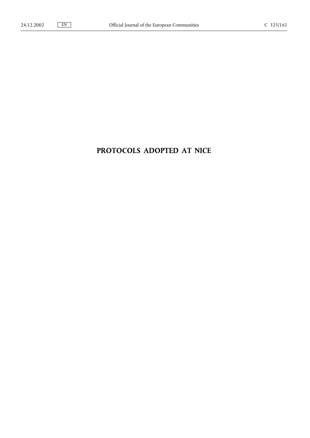# **PROTOCOLS ADOPTED AT NICE**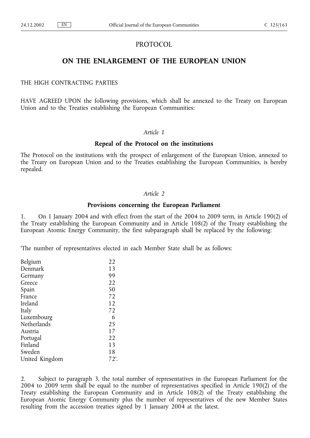## PROTOCOL

## **ON THE ENLARGEMENT OF THE EUROPEAN UNION**

## THE HIGH CONTRACTING PARTIES

HAVE AGREED UPON the following provisions, which shall be annexed to the Treaty on European Union and to the Treaties establishing the European Communities:

## *Article 1*

### **Repeal of the Protocol on the institutions**

The Protocol on the institutions with the prospect of enlargement of the European Union, annexed to the Treaty on European Union and to the Treaties establishing the European Communities, is hereby repealed.

#### *Article 2*

#### **Provisions concerning the European Parliament**

1. On 1 January 2004 and with effect from the start of the 2004 to 2009 term, in Article 190(2) of the Treaty establishing the European Community and in Article 108(2) of the Treaty establishing the European Atomic Energy Community, the first subparagraph shall be replaced by the following:

'The number of representatives elected in each Member State shall be as follows:

| Belgium        | 22   |
|----------------|------|
| Denmark        | 13   |
| Germany        | 99   |
| Greece         | 22   |
| Spain          | 50   |
| France         | 72   |
| Ireland        | 12   |
| Italy          | 72   |
| Luxembourg     | 6    |
| Netherlands    | 25   |
| Austria        | 17   |
| Portugal       | 22   |
| Finland        | 13   |
| Sweden         | 18   |
| United Kingdom | 72'. |
|                |      |

2. Subject to paragraph 3, the total number of representatives in the European Parliament for the 2004 to 2009 term shall be equal to the number of representatives specified in Article 190(2) of the Treaty establishing the European Community and in Article 108(2) of the Treaty establishing the European Atomic Energy Community plus the number of representatives of the new Member States resulting from the accession treaties signed by 1 January 2004 at the latest.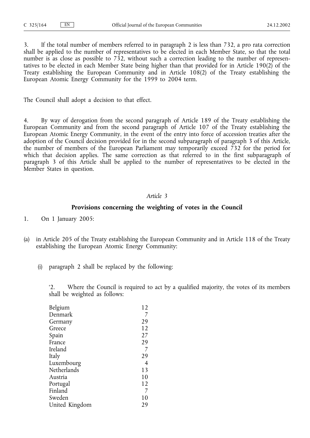3. If the total number of members referred to in paragraph 2 is less than 732, a pro rata correction shall be applied to the number of representatives to be elected in each Member State, so that the total number is as close as possible to 732, without such a correction leading to the number of representatives to be elected in each Member State being higher than that provided for in Article 190(2) of the Treaty establishing the European Community and in Article 108(2) of the Treaty establishing the European Atomic Energy Community for the 1999 to 2004 term.

The Council shall adopt a decision to that effect.

4. By way of derogation from the second paragraph of Article 189 of the Treaty establishing the European Community and from the second paragraph of Article 107 of the Treaty establishing the European Atomic Energy Community, in the event of the entry into force of accession treaties after the adoption of the Council decision provided for in the second subparagraph of paragraph 3 of this Article, the number of members of the European Parliament may temporarily exceed 732 for the period for which that decision applies. The same correction as that referred to in the first subparagraph of paragraph 3 of this Article shall be applied to the number of representatives to be elected in the Member States in question.

## *Article 3*

#### **Provisions concerning the weighting of votes in the Council**

- 1. On 1 January 2005:
- (a) in Article 205 of the Treaty establishing the European Community and in Article 118 of the Treaty establishing the European Atomic Energy Community:
	- (i) paragraph 2 shall be replaced by the following:

'2. Where the Council is required to act by a qualified majority, the votes of its members shall be weighted as follows:

| Belgium        | 12 |
|----------------|----|
| Denmark        | 7  |
| Germany        | 29 |
| Greece         | 12 |
| Spain          | 27 |
| France         | 29 |
| Ireland        | 7  |
| Italy          | 29 |
| Luxembourg     | 4  |
| Netherlands    | 13 |
| Austria        | 10 |
| Portugal       | 12 |
| Finland        |    |
| Sweden         | 10 |
| United Kingdom | 29 |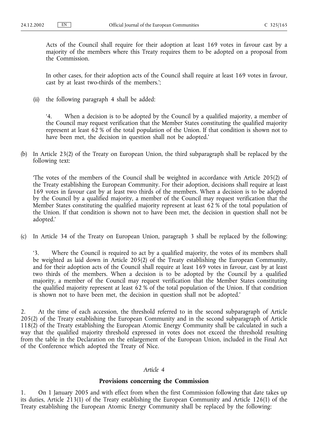Acts of the Council shall require for their adoption at least 169 votes in favour cast by a majority of the members where this Treaty requires them to be adopted on a proposal from the Commission.

In other cases, for their adoption acts of the Council shall require at least 169 votes in favour, cast by at least two-thirds of the members.';

(ii) the following paragraph 4 shall be added:

'4. When a decision is to be adopted by the Council by a qualified majority, a member of the Council may request verification that the Member States constituting the qualified majority represent at least 62 % of the total population of the Union. If that condition is shown not to have been met, the decision in question shall not be adopted.'

(b) In Article 23(2) of the Treaty on European Union, the third subparagraph shall be replaced by the following text:

'The votes of the members of the Council shall be weighted in accordance with Article 205(2) of the Treaty establishing the European Community. For their adoption, decisions shall require at least 169 votes in favour cast by at least two thirds of the members. When a decision is to be adopted by the Council by a qualified majority, a member of the Council may request verification that the Member States constituting the qualified majority represent at least 62 % of the total population of the Union. If that condition is shown not to have been met, the decision in question shall not be adopted.'

(c) In Article 34 of the Treaty on European Union, paragraph 3 shall be replaced by the following:

'3. Where the Council is required to act by a qualified majority, the votes of its members shall be weighted as laid down in Article 205(2) of the Treaty establishing the European Community, and for their adoption acts of the Council shall require at least 169 votes in favour, cast by at least two thirds of the members. When a decision is to be adopted by the Council by a qualified majority, a member of the Council may request verification that the Member States constituting the qualified majority represent at least 62 % of the total population of the Union. If that condition is shown not to have been met, the decision in question shall not be adopted.'

2. At the time of each accession, the threshold referred to in the second subparagraph of Article 205(2) of the Treaty establishing the European Community and in the second subparagraph of Article 118(2) of the Treaty establishing the European Atomic Energy Community shall be calculated in such a way that the qualified majority threshold expressed in votes does not exceed the threshold resulting from the table in the Declaration on the enlargement of the European Union, included in the Final Act of the Conference which adopted the Treaty of Nice.

## *Article 4*

#### **Provisions concerning the Commission**

1. On 1 January 2005 and with effect from when the first Commission following that date takes up its duties, Article 213(1) of the Treaty establishing the European Community and Article 126(1) of the Treaty establishing the European Atomic Energy Community shall be replaced by the following: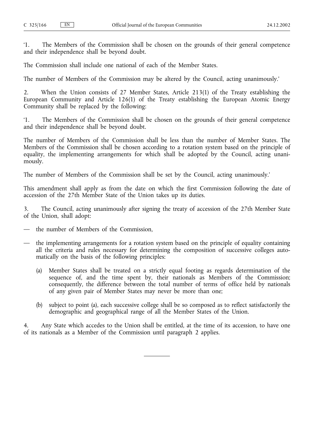'1. The Members of the Commission shall be chosen on the grounds of their general competence and their independence shall be beyond doubt.

The Commission shall include one national of each of the Member States.

The number of Members of the Commission may be altered by the Council, acting unanimously.'

2. When the Union consists of 27 Member States, Article 213(1) of the Treaty establishing the European Community and Article 126(1) of the Treaty establishing the European Atomic Energy Community shall be replaced by the following:

'1. The Members of the Commission shall be chosen on the grounds of their general competence and their independence shall be beyond doubt.

The number of Members of the Commission shall be less than the number of Member States. The Members of the Commission shall be chosen according to a rotation system based on the principle of equality, the implementing arrangements for which shall be adopted by the Council, acting unanimously.

The number of Members of the Commission shall be set by the Council, acting unanimously.'

This amendment shall apply as from the date on which the first Commission following the date of accession of the 27th Member State of the Union takes up its duties.

3. The Council, acting unanimously after signing the treaty of accession of the 27th Member State of the Union, shall adopt:

- the number of Members of the Commission,
- the implementing arrangements for a rotation system based on the principle of equality containing all the criteria and rules necessary for determining the composition of successive colleges automatically on the basis of the following principles:
	- (a) Member States shall be treated on a strictly equal footing as regards determination of the sequence of, and the time spent by, their nationals as Members of the Commission; consequently, the difference between the total number of terms of office held by nationals of any given pair of Member States may never be more than one;
	- (b) subject to point (a), each successive college shall be so composed as to reflect satisfactorily the demographic and geographical range of all the Member States of the Union.

Any State which accedes to the Union shall be entitled, at the time of its accession, to have one of its nationals as a Member of the Commission until paragraph 2 applies.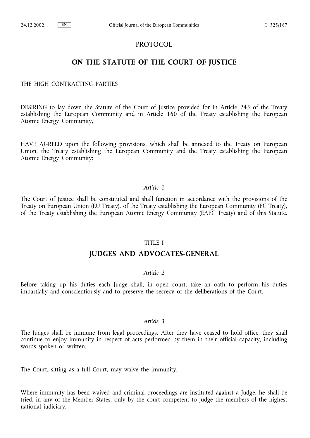## PROTOCOL

# **ON THE STATUTE OF THE COURT OF JUSTICE**

## THE HIGH CONTRACTING PARTIES

DESIRING to lay down the Statute of the Court of Justice provided for in Article 245 of the Treaty establishing the European Community and in Article 160 of the Treaty establishing the European Atomic Energy Community,

HAVE AGREED upon the following provisions, which shall be annexed to the Treaty on European Union, the Treaty establishing the European Community and the Treaty establishing the European Atomic Energy Community:

#### *Article 1*

The Court of Justice shall be constituted and shall function in accordance with the provisions of the Treaty on European Union (EU Treaty), of the Treaty establishing the European Community (EC Treaty), of the Treaty establishing the European Atomic Energy Community (EAEC Treaty) and of this Statute.

## TITLE I

## **JUDGES AND ADVOCATES-GENERAL**

#### *Article 2*

Before taking up his duties each Judge shall, in open court, take an oath to perform his duties impartially and conscientiously and to preserve the secrecy of the deliberations of the Court.

## *Article 3*

The Judges shall be immune from legal proceedings. After they have ceased to hold office, they shall continue to enjoy immunity in respect of acts performed by them in their official capacity, including words spoken or written.

The Court, sitting as a full Court, may waive the immunity.

Where immunity has been waived and criminal proceedings are instituted against a Judge, he shall be tried, in any of the Member States, only by the court competent to judge the members of the highest national judiciary.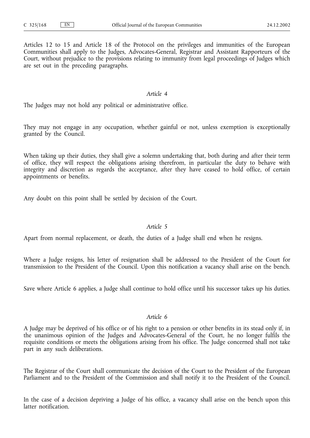Articles 12 to 15 and Article 18 of the Protocol on the privileges and immunities of the European Communities shall apply to the Judges, Advocates-General, Registrar and Assistant Rapporteurs of the Court, without prejudice to the provisions relating to immunity from legal proceedings of Judges which are set out in the preceding paragraphs.

## *Article 4*

The Judges may not hold any political or administrative office.

They may not engage in any occupation, whether gainful or not, unless exemption is exceptionally granted by the Council.

When taking up their duties, they shall give a solemn undertaking that, both during and after their term of office, they will respect the obligations arising therefrom, in particular the duty to behave with integrity and discretion as regards the acceptance, after they have ceased to hold office, of certain appointments or benefits.

Any doubt on this point shall be settled by decision of the Court.

## *Article 5*

Apart from normal replacement, or death, the duties of a Judge shall end when he resigns.

Where a Judge resigns, his letter of resignation shall be addressed to the President of the Court for transmission to the President of the Council. Upon this notification a vacancy shall arise on the bench.

Save where Article 6 applies, a Judge shall continue to hold office until his successor takes up his duties.

## *Article 6*

A Judge may be deprived of his office or of his right to a pension or other benefits in its stead only if, in the unanimous opinion of the Judges and Advocates-General of the Court, he no longer fulfils the requisite conditions or meets the obligations arising from his office. The Judge concerned shall not take part in any such deliberations.

The Registrar of the Court shall communicate the decision of the Court to the President of the European Parliament and to the President of the Commission and shall notify it to the President of the Council.

In the case of a decision depriving a Judge of his office, a vacancy shall arise on the bench upon this latter notification.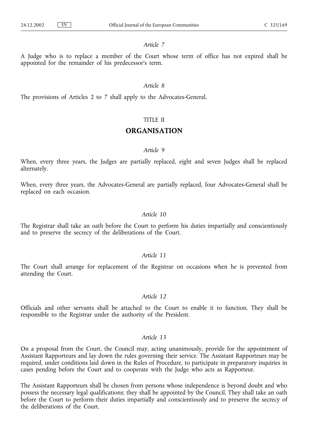A Judge who is to replace a member of the Court whose term of office has not expired shall be appointed for the remainder of his predecessor's term.

## *Article 8*

The provisions of Articles 2 to 7 shall apply to the Advocates-General.

## TITLE II

## **ORGANISATION**

## *Article 9*

When, every three years, the Judges are partially replaced, eight and seven Judges shall be replaced alternately.

When, every three years, the Advocates-General are partially replaced, four Advocates-General shall be replaced on each occasion.

#### *Article 10*

The Registrar shall take an oath before the Court to perform his duties impartially and conscientiously and to preserve the secrecy of the deliberations of the Court.

#### *Article 11*

The Court shall arrange for replacement of the Registrar on occasions when he is prevented from attending the Court.

## *Article 12*

Officials and other servants shall be attached to the Court to enable it to function. They shall be responsible to the Registrar under the authority of the President.

#### *Article 13*

On a proposal from the Court, the Council may, acting unanimously, provide for the appointment of Assistant Rapporteurs and lay down the rules governing their service. The Assistant Rapporteurs may be required, under conditions laid down in the Rules of Procedure, to participate in preparatory inquiries in cases pending before the Court and to cooperate with the Judge who acts as Rapporteur.

The Assistant Rapporteurs shall be chosen from persons whose independence is beyond doubt and who possess the necessary legal qualifications; they shall be appointed by the Council. They shall take an oath before the Court to perform their duties impartially and conscientiously and to preserve the secrecy of the deliberations of the Court.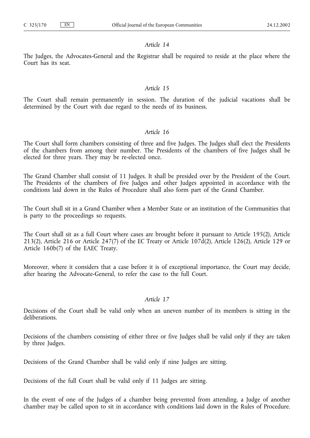The Judges, the Advocates-General and the Registrar shall be required to reside at the place where the Court has its seat.

## *Article 15*

The Court shall remain permanently in session. The duration of the judicial vacations shall be determined by the Court with due regard to the needs of its business.

## *Article 16*

The Court shall form chambers consisting of three and five Judges. The Judges shall elect the Presidents of the chambers from among their number. The Presidents of the chambers of five Judges shall be elected for three years. They may be re-elected once.

The Grand Chamber shall consist of 11 Judges. It shall be presided over by the President of the Court. The Presidents of the chambers of five Judges and other Judges appointed in accordance with the conditions laid down in the Rules of Procedure shall also form part of the Grand Chamber.

The Court shall sit in a Grand Chamber when a Member State or an institution of the Communities that is party to the proceedings so requests.

The Court shall sit as a full Court where cases are brought before it pursuant to Article 195(2), Article 213(2), Article 216 or Article 247(7) of the EC Treaty or Article 107d(2), Article 126(2), Article 129 or Article 160b(7) of the EAEC Treaty.

Moreover, where it considers that a case before it is of exceptional importance, the Court may decide, after hearing the Advocate-General, to refer the case to the full Court.

#### *Article 17*

Decisions of the Court shall be valid only when an uneven number of its members is sitting in the deliberations.

Decisions of the chambers consisting of either three or five Judges shall be valid only if they are taken by three Judges.

Decisions of the Grand Chamber shall be valid only if nine Judges are sitting.

Decisions of the full Court shall be valid only if 11 Judges are sitting.

In the event of one of the Judges of a chamber being prevented from attending, a Judge of another chamber may be called upon to sit in accordance with conditions laid down in the Rules of Procedure.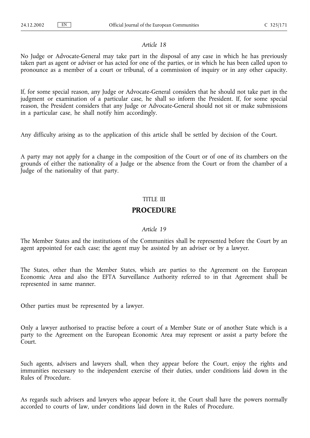No Judge or Advocate-General may take part in the disposal of any case in which he has previously taken part as agent or adviser or has acted for one of the parties, or in which he has been called upon to pronounce as a member of a court or tribunal, of a commission of inquiry or in any other capacity.

If, for some special reason, any Judge or Advocate-General considers that he should not take part in the judgment or examination of a particular case, he shall so inform the President. If, for some special reason, the President considers that any Judge or Advocate-General should not sit or make submissions in a particular case, he shall notify him accordingly.

Any difficulty arising as to the application of this article shall be settled by decision of the Court.

A party may not apply for a change in the composition of the Court or of one of its chambers on the grounds of either the nationality of a Judge or the absence from the Court or from the chamber of a Judge of the nationality of that party.

#### TITLE III

## **PROCEDURE**

#### *Article 19*

The Member States and the institutions of the Communities shall be represented before the Court by an agent appointed for each case; the agent may be assisted by an adviser or by a lawyer.

The States, other than the Member States, which are parties to the Agreement on the European Economic Area and also the EFTA Surveillance Authority referred to in that Agreement shall be represented in same manner.

Other parties must be represented by a lawyer.

Only a lawyer authorised to practise before a court of a Member State or of another State which is a party to the Agreement on the European Economic Area may represent or assist a party before the Court.

Such agents, advisers and lawyers shall, when they appear before the Court, enjoy the rights and immunities necessary to the independent exercise of their duties, under conditions laid down in the Rules of Procedure.

As regards such advisers and lawyers who appear before it, the Court shall have the powers normally accorded to courts of law, under conditions laid down in the Rules of Procedure.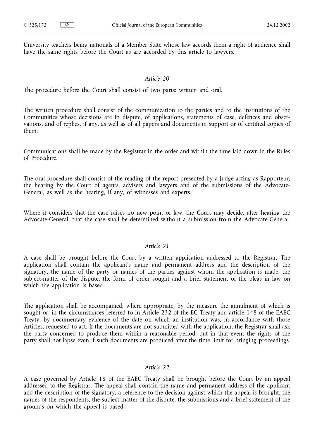University teachers being nationals of a Member State whose law accords them a right of audience shall have the same rights before the Court as are accorded by this article to lawyers.

#### *Article 20*

The procedure before the Court shall consist of two parts: written and oral.

The written procedure shall consist of the communication to the parties and to the institutions of the Communities whose decisions are in dispute, of applications, statements of case, defences and observations, and of replies, if any, as well as of all papers and documents in support or of certified copies of them.

Communications shall be made by the Registrar in the order and within the time laid down in the Rules of Procedure.

The oral procedure shall consist of the reading of the report presented by a Judge acting as Rapporteur, the hearing by the Court of agents, advisers and lawyers and of the submissions of the Advocate-General, as well as the hearing, if any, of witnesses and experts.

Where it considers that the case raises no new point of law, the Court may decide, after hearing the Advocate-General, that the case shall be determined without a submission from the Advocate-General.

#### *Article 21*

A case shall be brought before the Court by a written application addressed to the Registrar. The application shall contain the applicant's name and permanent address and the description of the signatory, the name of the party or names of the parties against whom the application is made, the subject-matter of the dispute, the form of order sought and a brief statement of the pleas in law on which the application is based.

The application shall be accompanied, where appropriate, by the measure the annulment of which is sought or, in the circumstances referred to in Article 232 of the EC Treaty and article 148 of the EAEC Treaty, by documentary evidence of the date on which an institution was, in accordance with those Articles, requested to act. If the documents are not submitted with the application, the Registrar shall ask the party concerned to produce them within a reasonable period, but in that event the rights of the party shall not lapse even if such documents are produced after the time limit for bringing proceedings.

## *Article 22*

A case governed by Article 18 of the EAEC Treaty shall be brought before the Court by an appeal addressed to the Registrar. The appeal shall contain the name and permanent address of the applicant and the description of the signatory, a reference to the decision against which the appeal is brought, the names of the respondents, the subject-matter of the dispute, the submissions and a brief statement of the grounds on which the appeal is based.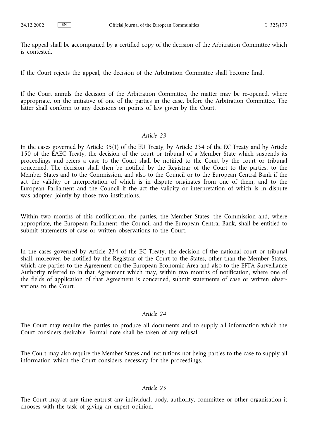The appeal shall be accompanied by a certified copy of the decision of the Arbitration Committee which is contested.

If the Court rejects the appeal, the decision of the Arbitration Committee shall become final.

If the Court annuls the decision of the Arbitration Committee, the matter may be re-opened, where appropriate, on the initiative of one of the parties in the case, before the Arbitration Committee. The latter shall conform to any decisions on points of law given by the Court.

#### *Article 23*

In the cases governed by Article 35(1) of the EU Treaty, by Article 234 of the EC Treaty and by Article 150 of the EAEC Treaty, the decision of the court or tribunal of a Member State which suspends its proceedings and refers a case to the Court shall be notified to the Court by the court or tribunal concerned. The decision shall then be notified by the Registrar of the Court to the parties, to the Member States and to the Commission, and also to the Council or to the European Central Bank if the act the validity or interpretation of which is in dispute originates from one of them, and to the European Parliament and the Council if the act the validity or interpretation of which is in dispute was adopted jointly by those two institutions.

Within two months of this notification, the parties, the Member States, the Commission and, where appropriate, the European Parliament, the Council and the European Central Bank, shall be entitled to submit statements of case or written observations to the Court.

In the cases governed by Article 234 of the EC Treaty, the decision of the national court or tribunal shall, moreover, be notified by the Registrar of the Court to the States, other than the Member States, which are parties to the Agreement on the European Economic Area and also to the EFTA Surveillance Authority referred to in that Agreement which may, within two months of notification, where one of the fields of application of that Agreement is concerned, submit statements of case or written observations to the Court.

## *Article 24*

The Court may require the parties to produce all documents and to supply all information which the Court considers desirable. Formal note shall be taken of any refusal.

The Court may also require the Member States and institutions not being parties to the case to supply all information which the Court considers necessary for the proceedings.

## *Article 25*

The Court may at any time entrust any individual, body, authority, committee or other organisation it chooses with the task of giving an expert opinion.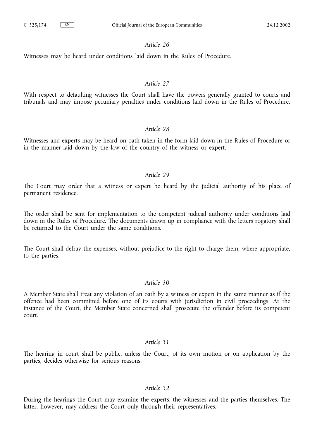Witnesses may be heard under conditions laid down in the Rules of Procedure.

### *Article 27*

With respect to defaulting witnesses the Court shall have the powers generally granted to courts and tribunals and may impose pecuniary penalties under conditions laid down in the Rules of Procedure.

#### *Article 28*

Witnesses and experts may be heard on oath taken in the form laid down in the Rules of Procedure or in the manner laid down by the law of the country of the witness or expert.

## *Article 29*

The Court may order that a witness or expert be heard by the judicial authority of his place of permanent residence.

The order shall be sent for implementation to the competent judicial authority under conditions laid down in the Rules of Procedure. The documents drawn up in compliance with the letters rogatory shall be returned to the Court under the same conditions.

The Court shall defray the expenses, without prejudice to the right to charge them, where appropriate, to the parties.

## *Article 30*

A Member State shall treat any violation of an oath by a witness or expert in the same manner as if the offence had been committed before one of its courts with jurisdiction in civil proceedings. At the instance of the Court, the Member State concerned shall prosecute the offender before its competent court.

## *Article 31*

The hearing in court shall be public, unless the Court, of its own motion or on application by the parties, decides otherwise for serious reasons.

## *Article 32*

During the hearings the Court may examine the experts, the witnesses and the parties themselves. The latter, however, may address the Court only through their representatives.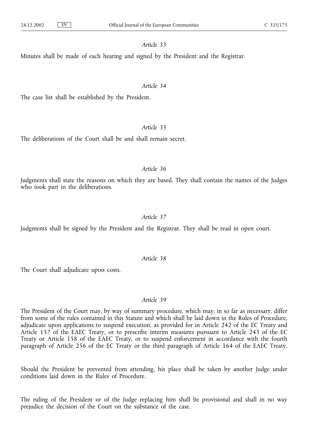Minutes shall be made of each hearing and signed by the President and the Registrar.

## *Article 34*

The case list shall be established by the President.

#### *Article 35*

The deliberations of the Court shall be and shall remain secret.

## *Article 36*

Judgments shall state the reasons on which they are based. They shall contain the names of the Judges who took part in the deliberations.

## *Article 37*

Judgments shall be signed by the President and the Registrar. They shall be read in open court.

## *Article 38*

The Court shall adjudicate upon costs.

## *Article 39*

The President of the Court may, by way of summary procedure, which may, in so far as necessary, differ from some of the rules contained in this Statute and which shall be laid down in the Rules of Procedure, adjudicate upon applications to suspend execution, as provided for in Article 242 of the EC Treaty and Article 157 of the EAEC Treaty, or to prescribe interim measures pursuant to Article 243 of the EC Treaty or Article 158 of the EAEC Treaty, or to suspend enforcement in accordance with the fourth paragraph of Article 256 of the EC Treaty or the third paragraph of Article 164 of the EAEC Treaty.

Should the President be prevented from attending, his place shall be taken by another Judge under conditions laid down in the Rules of Procedure.

The ruling of the President or of the Judge replacing him shall be provisional and shall in no way prejudice the decision of the Court on the substance of the case.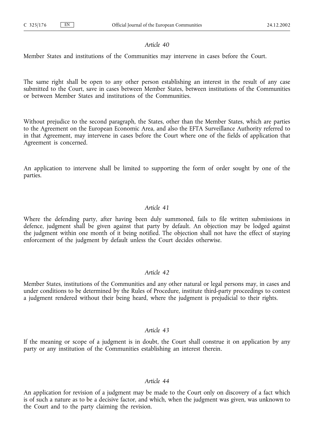Member States and institutions of the Communities may intervene in cases before the Court.

The same right shall be open to any other person establishing an interest in the result of any case submitted to the Court, save in cases between Member States, between institutions of the Communities or between Member States and institutions of the Communities.

Without prejudice to the second paragraph, the States, other than the Member States, which are parties to the Agreement on the European Economic Area, and also the EFTA Surveillance Authority referred to in that Agreement, may intervene in cases before the Court where one of the fields of application that Agreement is concerned.

An application to intervene shall be limited to supporting the form of order sought by one of the parties.

#### *Article 41*

Where the defending party, after having been duly summoned, fails to file written submissions in defence, judgment shall be given against that party by default. An objection may be lodged against the judgment within one month of it being notified. The objection shall not have the effect of staying enforcement of the judgment by default unless the Court decides otherwise.

## *Article 42*

Member States, institutions of the Communities and any other natural or legal persons may, in cases and under conditions to be determined by the Rules of Procedure, institute third-party proceedings to contest a judgment rendered without their being heard, where the judgment is prejudicial to their rights.

## *Article 43*

If the meaning or scope of a judgment is in doubt, the Court shall construe it on application by any party or any institution of the Communities establishing an interest therein.

#### *Article 44*

An application for revision of a judgment may be made to the Court only on discovery of a fact which is of such a nature as to be a decisive factor, and which, when the judgment was given, was unknown to the Court and to the party claiming the revision.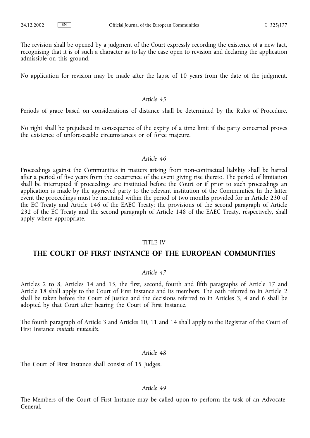The revision shall be opened by a judgment of the Court expressly recording the existence of a new fact, recognising that it is of such a character as to lay the case open to revision and declaring the application admissible on this ground.

No application for revision may be made after the lapse of 10 years from the date of the judgment.

#### *Article 45*

Periods of grace based on considerations of distance shall be determined by the Rules of Procedure.

No right shall be prejudiced in consequence of the expiry of a time limit if the party concerned proves the existence of unforeseeable circumstances or of force majeure.

### *Article 46*

Proceedings against the Communities in matters arising from non-contractual liability shall be barred after a period of five years from the occurrence of the event giving rise thereto. The period of limitation shall be interrupted if proceedings are instituted before the Court or if prior to such proceedings an application is made by the aggrieved party to the relevant institution of the Communities. In the latter event the proceedings must be instituted within the period of two months provided for in Article 230 of the EC Treaty and Article 146 of the EAEC Treaty; the provisions of the second paragraph of Article 232 of the EC Treaty and the second paragraph of Article 148 of the EAEC Treaty, respectively, shall apply where appropriate.

### TITLE IV

## **THE COURT OF FIRST INSTANCE OF THE EUROPEAN COMMUNITIES**

#### *Article 47*

Articles 2 to 8, Articles 14 and 15, the first, second, fourth and fifth paragraphs of Article 17 and Article 18 shall apply to the Court of First Instance and its members. The oath referred to in Article 2 shall be taken before the Court of Justice and the decisions referred to in Articles 3, 4 and 6 shall be adopted by that Court after hearing the Court of First Instance.

The fourth paragraph of Article 3 and Articles 10, 11 and 14 shall apply to the Registrar of the Court of First Instance *mutatis mutandis*.

#### *Article 48*

The Court of First Instance shall consist of 15 Judges.

## *Article 49*

The Members of the Court of First Instance may be called upon to perform the task of an Advocate-General.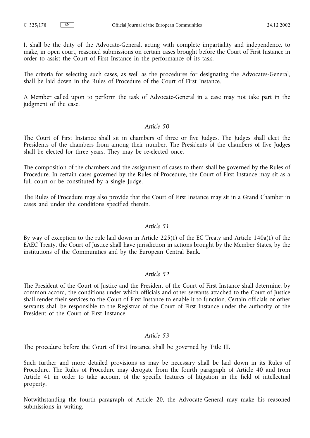It shall be the duty of the Advocate-General, acting with complete impartiality and independence, to make, in open court, reasoned submissions on certain cases brought before the Court of First Instance in order to assist the Court of First Instance in the performance of its task.

The criteria for selecting such cases, as well as the procedures for designating the Advocates-General, shall be laid down in the Rules of Procedure of the Court of First Instance.

A Member called upon to perform the task of Advocate-General in a case may not take part in the judgment of the case.

### *Article 50*

The Court of First Instance shall sit in chambers of three or five Judges. The Judges shall elect the Presidents of the chambers from among their number. The Presidents of the chambers of five Judges shall be elected for three years. They may be re-elected once.

The composition of the chambers and the assignment of cases to them shall be governed by the Rules of Procedure. In certain cases governed by the Rules of Procedure, the Court of First Instance may sit as a full court or be constituted by a single Judge.

The Rules of Procedure may also provide that the Court of First Instance may sit in a Grand Chamber in cases and under the conditions specified therein.

## *Article 51*

By way of exception to the rule laid down in Article 225(1) of the EC Treaty and Article 140a(1) of the EAEC Treaty, the Court of Justice shall have jurisdiction in actions brought by the Member States, by the institutions of the Communities and by the European Central Bank.

## *Article 52*

The President of the Court of Justice and the President of the Court of First Instance shall determine, by common accord, the conditions under which officials and other servants attached to the Court of Justice shall render their services to the Court of First Instance to enable it to function. Certain officials or other servants shall be responsible to the Registrar of the Court of First Instance under the authority of the President of the Court of First Instance.

### *Article 53*

The procedure before the Court of First Instance shall be governed by Title III.

Such further and more detailed provisions as may be necessary shall be laid down in its Rules of Procedure. The Rules of Procedure may derogate from the fourth paragraph of Article 40 and from Article 41 in order to take account of the specific features of litigation in the field of intellectual property.

Notwithstanding the fourth paragraph of Article 20, the Advocate-General may make his reasoned submissions in writing.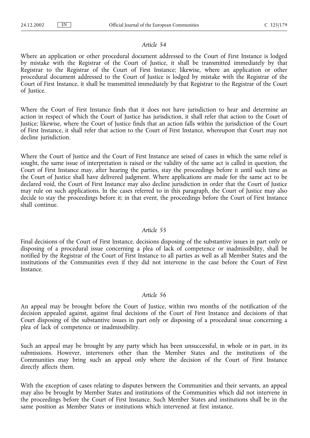Where an application or other procedural document addressed to the Court of First Instance is lodged by mistake with the Registrar of the Court of Justice, it shall be transmitted immediately by that Registrar to the Registrar of the Court of First Instance; likewise, where an application or other procedural document addressed to the Court of Justice is lodged by mistake with the Registrar of the Court of First Instance, it shall be transmitted immediately by that Registrar to the Registrar of the Court of Justice.

Where the Court of First Instance finds that it does not have jurisdiction to hear and determine an action in respect of which the Court of Justice has jurisdiction, it shall refer that action to the Court of Justice; likewise, where the Court of Justice finds that an action falls within the jurisdiction of the Court of First Instance, it shall refer that action to the Court of First Instance, whereupon that Court may not decline jurisdiction.

Where the Court of Justice and the Court of First Instance are seised of cases in which the same relief is sought, the same issue of interpretation is raised or the validity of the same act is called in question, the Court of First Instance may, after hearing the parties, stay the proceedings before it until such time as the Court of Justice shall have delivered judgment. Where applications are made for the same act to be declared void, the Court of First Instance may also decline jurisdiction in order that the Court of Justice may rule on such applications. In the cases referred to in this paragraph, the Court of Justice may also decide to stay the proceedings before it; in that event, the proceedings before the Court of First Instance shall continue.

## *Article 55*

Final decisions of the Court of First Instance, decisions disposing of the substantive issues in part only or disposing of a procedural issue concerning a plea of lack of competence or inadmissibility, shall be notified by the Registrar of the Court of First Instance to all parties as well as all Member States and the institutions of the Communities even if they did not intervene in the case before the Court of First Instance.

## *Article 56*

An appeal may be brought before the Court of Justice, within two months of the notification of the decision appealed against, against final decisions of the Court of First Instance and decisions of that Court disposing of the substantive issues in part only or disposing of a procedural issue concerning a plea of lack of competence or inadmissibility.

Such an appeal may be brought by any party which has been unsuccessful, in whole or in part, in its submissions. However, interveners other than the Member States and the institutions of the Communities may bring such an appeal only where the decision of the Court of First Instance directly affects them.

With the exception of cases relating to disputes between the Communities and their servants, an appeal may also be brought by Member States and institutions of the Communities which did not intervene in the proceedings before the Court of First Instance. Such Member States and institutions shall be in the same position as Member States or institutions which intervened at first instance.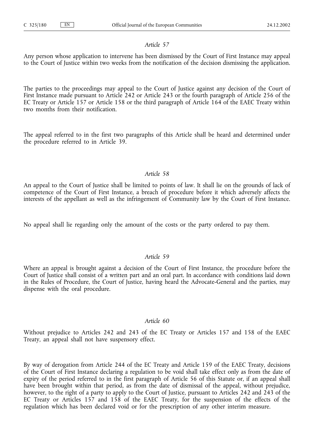Any person whose application to intervene has been dismissed by the Court of First Instance may appeal to the Court of Justice within two weeks from the notification of the decision dismissing the application.

The parties to the proceedings may appeal to the Court of Justice against any decision of the Court of First Instance made pursuant to Article 242 or Article 243 or the fourth paragraph of Article 256 of the EC Treaty or Article 157 or Article 158 or the third paragraph of Article 164 of the EAEC Treaty within two months from their notification.

The appeal referred to in the first two paragraphs of this Article shall be heard and determined under the procedure referred to in Article 39.

#### *Article 58*

An appeal to the Court of Justice shall be limited to points of law. It shall lie on the grounds of lack of competence of the Court of First Instance, a breach of procedure before it which adversely affects the interests of the appellant as well as the infringement of Community law by the Court of First Instance.

No appeal shall lie regarding only the amount of the costs or the party ordered to pay them.

## *Article 59*

Where an appeal is brought against a decision of the Court of First Instance, the procedure before the Court of Justice shall consist of a written part and an oral part. In accordance with conditions laid down in the Rules of Procedure, the Court of Justice, having heard the Advocate-General and the parties, may dispense with the oral procedure.

## *Article 60*

Without prejudice to Articles 242 and 243 of the EC Treaty or Articles 157 and 158 of the EAEC Treaty, an appeal shall not have suspensory effect.

By way of derogation from Article 244 of the EC Treaty and Article 159 of the EAEC Treaty, decisions of the Court of First Instance declaring a regulation to be void shall take effect only as from the date of expiry of the period referred to in the first paragraph of Article 56 of this Statute or, if an appeal shall have been brought within that period, as from the date of dismissal of the appeal, without prejudice, however, to the right of a party to apply to the Court of Justice, pursuant to Articles 242 and 243 of the EC Treaty or Articles 157 and 158 of the EAEC Treaty, for the suspension of the effects of the regulation which has been declared void or for the prescription of any other interim measure.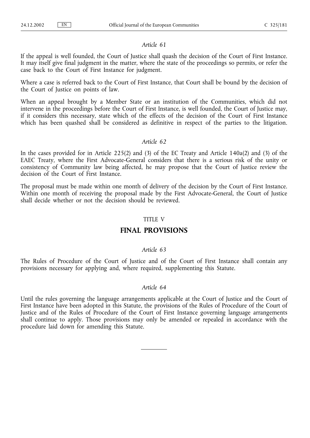If the appeal is well founded, the Court of Justice shall quash the decision of the Court of First Instance. It may itself give final judgment in the matter, where the state of the proceedings so permits, or refer the case back to the Court of First Instance for judgment.

Where a case is referred back to the Court of First Instance, that Court shall be bound by the decision of the Court of Justice on points of law.

When an appeal brought by a Member State or an institution of the Communities, which did not intervene in the proceedings before the Court of First Instance, is well founded, the Court of Justice may, if it considers this necessary, state which of the effects of the decision of the Court of First Instance which has been quashed shall be considered as definitive in respect of the parties to the litigation.

#### *Article 62*

In the cases provided for in Article 225(2) and (3) of the EC Treaty and Article 140a(2) and (3) of the EAEC Treaty, where the First Advocate-General considers that there is a serious risk of the unity or consistency of Community law being affected, he may propose that the Court of Justice review the decision of the Court of First Instance.

The proposal must be made within one month of delivery of the decision by the Court of First Instance. Within one month of receiving the proposal made by the First Advocate-General, the Court of Justice shall decide whether or not the decision should be reviewed.

## TITLE V

## **FINAL PROVISIONS**

### *Article 63*

The Rules of Procedure of the Court of Justice and of the Court of First Instance shall contain any provisions necessary for applying and, where required, supplementing this Statute.

## *Article 64*

Until the rules governing the language arrangements applicable at the Court of Justice and the Court of First Instance have been adopted in this Statute, the provisions of the Rules of Procedure of the Court of Justice and of the Rules of Procedure of the Court of First Instance governing language arrangements shall continue to apply. Those provisions may only be amended or repealed in accordance with the procedure laid down for amending this Statute.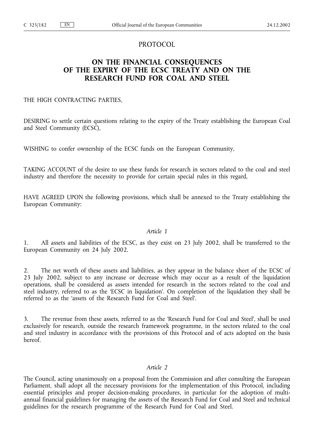## PROTOCOL

## **ON THE FINANCIAL CONSEQUENCES OF THE EXPIRY OF THE ECSC TREATY AND ON THE RESEARCH FUND FOR COAL AND STEEL**

### THE HIGH CONTRACTING PARTIES,

DESIRING to settle certain questions relating to the expiry of the Treaty establishing the European Coal and Steel Community (ECSC),

WISHING to confer ownership of the ECSC funds on the European Community,

TAKING ACCOUNT of the desire to use these funds for research in sectors related to the coal and steel industry and therefore the necessity to provide for certain special rules in this regard,

HAVE AGREED UPON the following provisions, which shall be annexed to the Treaty establishing the European Community:

## *Article 1*

1. All assets and liabilities of the ECSC, as they exist on 23 July 2002, shall be transferred to the European Community on 24 July 2002.

2. The net worth of these assets and liabilities, as they appear in the balance sheet of the ECSC of 23 July 2002, subject to any increase or decrease which may occur as a result of the liquidation operations, shall be considered as assets intended for research in the sectors related to the coal and steel industry, referred to as the 'ECSC in liquidation'. On completion of the liquidation they shall be referred to as the 'assets of the Research Fund for Coal and Steel'.

3. The revenue from these assets, referred to as the 'Research Fund for Coal and Steel', shall be used exclusively for research, outside the research framework programme, in the sectors related to the coal and steel industry in accordance with the provisions of this Protocol and of acts adopted on the basis hereof.

## *Article 2*

The Council, acting unanimously on a proposal from the Commission and after consulting the European Parliament, shall adopt all the necessary provisions for the implementation of this Protocol, including essential principles and proper decision-making procedures, in particular for the adoption of multiannual financial guidelines for managing the assets of the Research Fund for Coal and Steel and technical guidelines for the research programme of the Research Fund for Coal and Steel.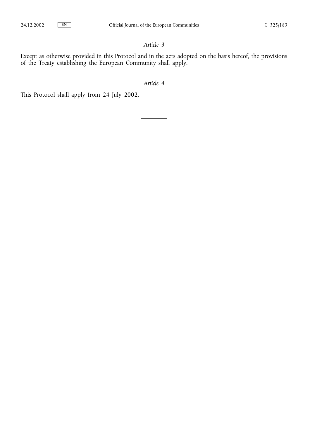Except as otherwise provided in this Protocol and in the acts adopted on the basis hereof, the provisions of the Treaty establishing the European Community shall apply.

*Article 4*

This Protocol shall apply from 24 July 2002.